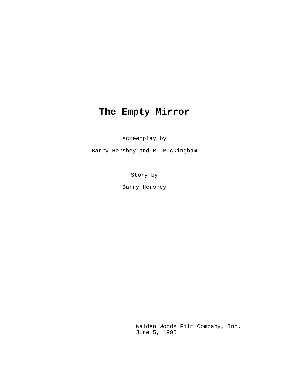# **The Empty Mirror**

screenplay by

Barry Hershey and R. Buckingham

Story by

Barry Hershey

Walden Woods Film Company, Inc. June 5, 1995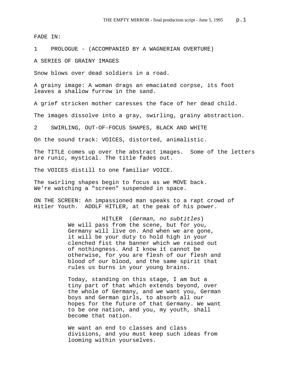FADE IN:

1 PROLOGUE - (ACCOMPANIED BY A WAGNERIAN OVERTURE)

A SERIES OF GRAINY IMAGES

Snow blows over dead soldiers in a road.

A grainy image: A woman drags an emaciated corpse, its foot leaves a shallow furrow in the sand.

A grief stricken mother caresses the face of her dead child.

The images dissolve into a gray, swirling, grainy abstraction.

2 SWIRLING, OUT-OF-FOCUS SHAPES, BLACK AND WHITE

On the sound track: VOICES, distorted, animalistic.

The TITLE comes up over the abstract images. Some of the letters are runic, mystical. The title fades out.

The VOICES distill to one familiar VOICE.

The swirling shapes begin to focus as we MOVE back. We're watching a "screen" suspended in space.

ON THE SCREEN: An impassioned man speaks to a rapt crowd of Hitler Youth. ADOLF HITLER, at the peak of his power.

> HITLER (*German, no subtitles*) We will pass from the scene, but for you, Germany will live on. And when we are gone, it will be your duty to hold high in your clenched fist the banner which we raised out of nothingness. And I know it cannot be otherwise, for you are flesh of our flesh and blood of our blood, and the same spirit that rules us burns in your young brains.

> Today, standing on this stage, I am but a tiny part of that which extends beyond, over the whole of Germany, and we want you, German boys and German girls, to absorb all our hopes for the future of that Germany. We want to be one nation, and you, my youth, shall become that nation.

We want an end to classes and class divisions, and you must keep such ideas from looming within yourselves.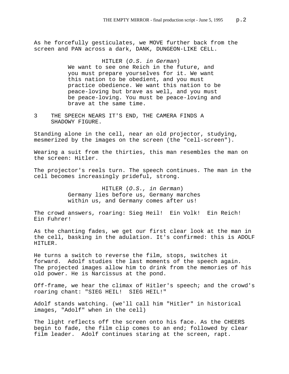As he forcefully gesticulates, we MOVE further back from the screen and PAN across a dark, DANK, DUNGEON-LIKE CELL.

HITLER (*O.S. in German*)

We want to see one Reich in the future, and you must prepare yourselves for it. We want this nation to be obedient, and you must practice obedience. We want this nation to be peace-loving but brave as well, and you must be peace-loving. You must be peace-loving and brave at the same time.

3 THE SPEECH NEARS IT'S END, THE CAMERA FINDS A SHADOWY FIGURE.

Standing alone in the cell, near an old projector, studying, mesmerized by the images on the screen (the "cell-screen").

Wearing a suit from the thirties, this man resembles the man on the screen: Hitler.

The projector's reels turn. The speech continues. The man in the cell becomes increasingly prideful, strong.

> HITLER (*O.S., in German*) Germany lies before us, Germany marches within us, and Germany comes after us!

The crowd answers, roaring: Sieg Heil! Ein Volk! Ein Reich! Ein Fuhrer!

As the chanting fades, we get our first clear look at the man in the cell, basking in the adulation. It's confirmed: this is ADOLF HITLER.

He turns a switch to reverse the film, stops, switches it forward. Adolf studies the last moments of the speech again. The projected images allow him to drink from the memories of his old power. He is Narcissus at the pond.

Off-frame, we hear the climax of Hitler's speech; and the crowd's roaring chant: "SIEG HEIL! SIEG HEIL!"

Adolf stands watching. (we'll call him "Hitler" in historical images, "Adolf" when in the cell)

The light reflects off the screen onto his face. As the CHEERS begin to fade, the film clip comes to an end; followed by clear film leader. Adolf continues staring at the screen, rapt.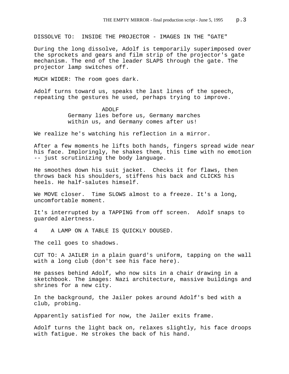DISSOLVE TO: INSIDE THE PROJECTOR - IMAGES IN THE "GATE"

During the long dissolve, Adolf is temporarily superimposed over the sprockets and gears and film strip of the projector's gate mechanism. The end of the leader SLAPS through the gate. The projector lamp switches off.

MUCH WIDER: The room goes dark.

Adolf turns toward us, speaks the last lines of the speech, repeating the gestures he used, perhaps trying to improve.

> ADOLF Germany lies before us, Germany marches within us, and Germany comes after us!

We realize he's watching his reflection in a mirror.

After a few moments he lifts both hands, fingers spread wide near his face. Imploringly, he shakes them, this time with no emotion -- just scrutinizing the body language.

He smoothes down his suit jacket. Checks it for flaws, then throws back his shoulders, stiffens his back and CLICKS his heels. He half-salutes himself.

We MOVE closer. Time SLOWS almost to a freeze. It's a long, uncomfortable moment.

It's interrupted by a TAPPING from off screen. Adolf snaps to guarded alertness.

4 A LAMP ON A TABLE IS QUICKLY DOUSED.

The cell goes to shadows.

CUT TO: A JAILER in a plain guard's uniform, tapping on the wall with a long club (don't see his face here).

He passes behind Adolf, who now sits in a chair drawing in a sketchbook. The images: Nazi architecture, massive buildings and shrines for a new city.

In the background, the Jailer pokes around Adolf's bed with a club, probing.

Apparently satisfied for now, the Jailer exits frame.

Adolf turns the light back on, relaxes slightly, his face droops with fatigue. He strokes the back of his hand.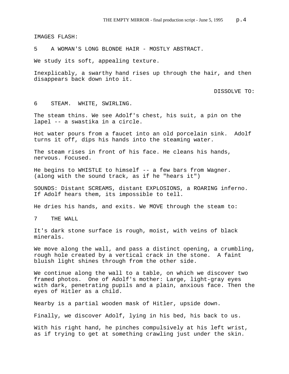IMAGES FLASH:

5 A WOMAN'S LONG BLONDE HAIR - MOSTLY ABSTRACT.

We study its soft, appealing texture.

Inexplicably, a swarthy hand rises up through the hair, and then disappears back down into it.

DISSOLVE TO:

6 STEAM. WHITE, SWIRLING.

The steam thins. We see Adolf's chest, his suit, a pin on the lapel -- a swastika in a circle.

Hot water pours from a faucet into an old porcelain sink. Adolf turns it off, dips his hands into the steaming water.

The steam rises in front of his face. He cleans his hands, nervous. Focused.

He begins to WHISTLE to himself -- a few bars from Wagner. (along with the sound track, as if he "hears it")

SOUNDS: Distant SCREAMS, distant EXPLOSIONS, a ROARING inferno. If Adolf hears them, its impossible to tell.

He dries his hands, and exits. We MOVE through the steam to:

7 THE WALL

It's dark stone surface is rough, moist, with veins of black minerals.

We move along the wall, and pass a distinct opening, a crumbling, rough hole created by a vertical crack in the stone. A faint bluish light shines through from the other side.

We continue along the wall to a table, on which we discover two framed photos. One of Adolf's mother: Large, light-gray eyes with dark, penetrating pupils and a plain, anxious face. Then the eyes of Hitler as a child.

Nearby is a partial wooden mask of Hitler, upside down.

Finally, we discover Adolf, lying in his bed, his back to us.

With his right hand, he pinches compulsively at his left wrist, as if trying to get at something crawling just under the skin.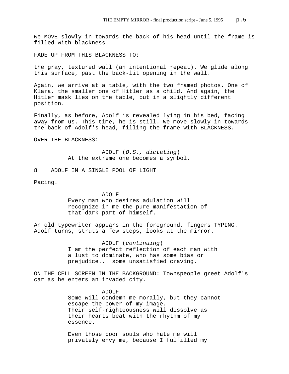We MOVE slowly in towards the back of his head until the frame is filled with blackness.

FADE UP FROM THIS BLACKNESS TO:

the gray, textured wall (an intentional repeat). We glide along this surface, past the back-lit opening in the wall.

Again, we arrive at a table, with the two framed photos. One of Klara, the smaller one of Hitler as a child. And again, the Hitler mask lies on the table, but in a slightly different position.

Finally, as before, Adolf is revealed lying in his bed, facing away from us. This time, he is still. We move slowly in towards the back of Adolf's head, filling the frame with BLACKNESS.

OVER THE BLACKNESS:

ADOLF (*O.S., dictating*) At the extreme one becomes a symbol.

8 ADOLF IN A SINGLE POOL OF LIGHT

Pacing.

ADOLF Every man who desires adulation will recognize in me the pure manifestation of that dark part of himself.

An old typewriter appears in the foreground, fingers TYPING. Adolf turns, struts a few steps, looks at the mirror.

> ADOLF (*continuing*) I am the perfect reflection of each man with a lust to dominate, who has some bias or prejudice... some unsatisfied craving.

ON THE CELL SCREEN IN THE BACKGROUND: Townspeople greet Adolf's car as he enters an invaded city.

> ADOLF Some will condemn me morally, but they cannot escape the power of my image. Their self-righteousness will dissolve as their hearts beat with the rhythm of my essence.

Even those poor souls who hate me will privately envy me, because I fulfilled my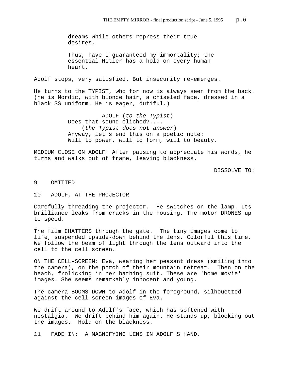dreams while others repress their true desires.

Thus, have I guaranteed my immortality; the essential Hitler has a hold on every human heart.

Adolf stops, very satisfied. But insecurity re-emerges.

He turns to the TYPIST, who for now is always seen from the back. (he is Nordic, with blonde hair, a chiseled face, dressed in a black SS uniform. He is eager, dutiful.)

> ADOLF (*to the Typist*) Does that sound cliched?.... (*the Typist does not answer*) Anyway, let's end this on a poetic note: Will to power, will to form, will to beauty.

MEDIUM CLOSE ON ADOLF: After pausing to appreciate his words, he turns and walks out of frame, leaving blackness.

DISSOLVE TO:

## 9 OMITTED

# 10 ADOLF, AT THE PROJECTOR

Carefully threading the projector. He switches on the lamp. Its brilliance leaks from cracks in the housing. The motor DRONES up to speed.

The film CHATTERS through the gate. The tiny images come to life, suspended upside-down behind the lens. Colorful this time. We follow the beam of light through the lens outward into the cell to the cell screen.

ON THE CELL-SCREEN: Eva, wearing her peasant dress (smiling into the camera), on the porch of their mountain retreat. Then on the beach, frolicking in her bathing suit. These are 'home movie' images. She seems remarkably innocent and young.

The camera BOOMS DOWN to Adolf in the foreground, silhouetted against the cell-screen images of Eva.

We drift around to Adolf's face, which has softened with nostalgia. We drift behind him again. He stands up, blocking out the images. Hold on the blackness.

11 FADE IN: A MAGNIFYING LENS IN ADOLF'S HAND.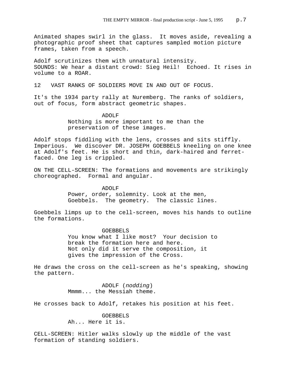Animated shapes swirl in the glass. It moves aside, revealing a photographic proof sheet that captures sampled motion picture frames, taken from a speech.

Adolf scrutinizes them with unnatural intensity. SOUNDS: We hear a distant crowd: Sieg Heil! Echoed. It rises in volume to a ROAR.

12 VAST RANKS OF SOLDIERS MOVE IN AND OUT OF FOCUS.

It's the 1934 party rally at Nuremberg. The ranks of soldiers, out of focus, form abstract geometric shapes.

> ADOLF Nothing is more important to me than the preservation of these images.

Adolf stops fiddling with the lens, crosses and sits stiffly. Imperious. We discover DR. JOSEPH GOEBBELS kneeling on one knee at Adolf's feet. He is short and thin, dark-haired and ferretfaced. One leg is crippled.

ON THE CELL-SCREEN: The formations and movements are strikingly choreographed. Formal and angular.

> ADOLF Power, order, solemnity. Look at the men, Goebbels. The geometry. The classic lines.

Goebbels limps up to the cell-screen, moves his hands to outline the formations.

GOEBBELS

You know what I like most? Your decision to break the formation here and here. Not only did it serve the composition, it gives the impression of the Cross.

He draws the cross on the cell-screen as he's speaking, showing the pattern.

> ADOLF (*nodding*) Mmmm... the Messiah theme.

He crosses back to Adolf, retakes his position at his feet.

GOEBBELS Ah... Here it is.

CELL-SCREEN: Hitler walks slowly up the middle of the vast formation of standing soldiers.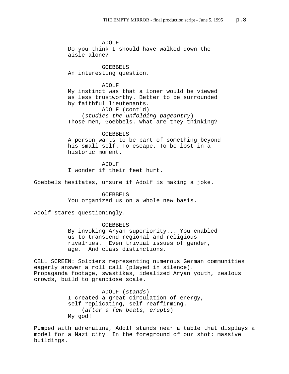ADOLF Do you think I should have walked down the aisle alone? GOEBBELS An interesting question. ADOLF

My instinct was that a loner would be viewed as less trustworthy. Better to be surrounded by faithful lieutenants.

ADOLF (cont'd)

(*studies the unfolding pageantry*) Those men, Goebbels. What are they thinking?

## GOEBBELS

A person wants to be part of something beyond his small self. To escape. To be lost in a historic moment.

ADOLF I wonder if their feet hurt.

Goebbels hesitates, unsure if Adolf is making a joke.

## GOEBBELS

You organized us on a whole new basis.

Adolf stares questioningly.

## GOEBBELS

By invoking Aryan superiority... You enabled us to transcend regional and religious rivalries. Even trivial issues of gender, age. And class distinctions.

CELL SCREEN: Soldiers representing numerous German communities eagerly answer a roll call (played in silence). Propaganda footage, swastikas, idealized Aryan youth, zealous crowds, build to grandiose scale.

> ADOLF (*stands*) I created a great circulation of energy, self-replicating, self-reaffirming. (*after a few beats, erupts*) My god!

Pumped with adrenaline, Adolf stands near a table that displays a model for a Nazi city. In the foreground of our shot: massive buildings.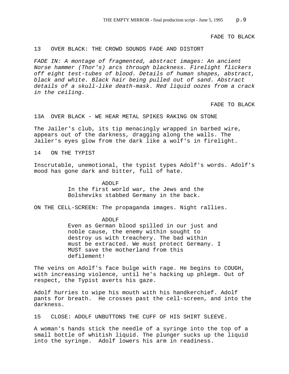FADE TO BLACK

#### 13 OVER BLACK: THE CROWD SOUNDS FADE AND DISTORT

*FADE IN: A montage of fragmented, abstract images: An ancient Norse hammer (Thor's) arcs through blackness. Firelight flickers off eight test-tubes of blood. Details of human shapes, abstract, black and white. Black hair being pulled out of sand. Abstract details of a skull-like death-mask. Red liquid oozes from a crack in the ceiling.* 

FADE TO BLACK

13A OVER BLACK - WE HEAR METAL SPIKES RAKING ON STONE

The Jailer's club, its tip menacingly wrapped in barbed wire, appears out of the darkness, dragging along the walls. The Jailer's eyes glow from the dark like a wolf's in firelight.

14 ON THE TYPIST

Inscrutable, unemotional, the typist types Adolf's words. Adolf's mood has gone dark and bitter, full of hate.

> ADOLF In the first world war, the Jews and the Bolsheviks stabbed Germany in the back.

ON THE CELL-SCREEN: The propaganda images. Night rallies.

ADOLF Even as German blood spilled in our just and noble cause, the enemy within sought to destroy us with treachery. The bad within must be extracted. We must protect Germany. I MUST save the motherland from this defilement!

The veins on Adolf's face bulge with rage. He begins to COUGH, with increasing violence, until he's hacking up phlegm. Out of respect, the Typist averts his gaze.

Adolf hurries to wipe his mouth with his handkerchief. Adolf pants for breath. He crosses past the cell-screen, and into the darkness.

15 CLOSE: ADOLF UNBUTTONS THE CUFF OF HIS SHIRT SLEEVE.

A woman's hands stick the needle of a syringe into the top of a small bottle of whitish liquid. The plunger sucks up the liquid into the syringe. Adolf lowers his arm in readiness.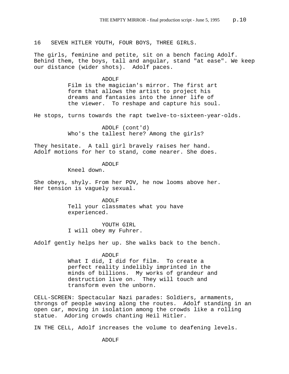16 SEVEN HITLER YOUTH, FOUR BOYS, THREE GIRLS.

The girls, feminine and petite, sit on a bench facing Adolf. Behind them, the boys, tall and angular, stand "at ease". We keep our distance (wider shots). Adolf paces.

#### ADOLF

Film is the magician's mirror. The first art form that allows the artist to project his dreams and fantasies into the inner life of the viewer. To reshape and capture his soul.

He stops, turns towards the rapt twelve-to-sixteen-year-olds.

ADOLF (cont'd) Who's the tallest here? Among the girls?

They hesitate. A tall girl bravely raises her hand. Adolf motions for her to stand, come nearer. She does.

> ADOLF Kneel down.

She obeys, shyly. From her POV, he now looms above her. Her tension is vaguely sexual.

> ADOLF Tell your classmates what you have experienced.

YOUTH GIRL I will obey my Fuhrer.

Adolf gently helps her up. She walks back to the bench.

#### ADOLF

What I did, I did for film. To create a perfect reality indelibly imprinted in the minds of billions. My works of grandeur and destruction live on. They will touch and transform even the unborn.

CELL-SCREEN: Spectacular Nazi parades: Soldiers, armaments, throngs of people waving along the routes. Adolf standing in an open car, moving in isolation among the crowds like a rolling statue. Adoring crowds chanting Heil Hitler.

IN THE CELL, Adolf increases the volume to deafening levels.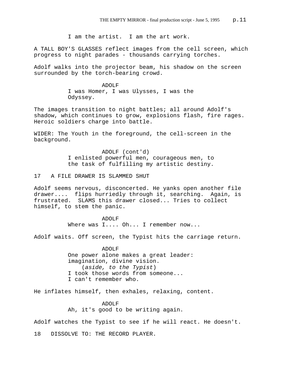I am the artist. I am the art work.

A TALL BOY'S GLASSES reflect images from the cell screen, which progress to night parades - thousands carrying torches.

Adolf walks into the projector beam, his shadow on the screen surrounded by the torch-bearing crowd.

> ADOLF I was Homer, I was Ulysses, I was the Odyssey.

The images transition to night battles; all around Adolf's shadow, which continues to grow, explosions flash, fire rages. Heroic soldiers charge into battle.

WIDER: The Youth in the foreground, the cell-screen in the background.

> ADOLF (cont'd) I enlisted powerful men, courageous men, to the task of fulfilling my artistic destiny.

17 A FILE DRAWER IS SLAMMED SHUT

Adolf seems nervous, disconcerted. He yanks open another file drawer.... flips hurriedly through it, searching. Again, is frustrated. SLAMS this drawer closed... Tries to collect himself, to stem the panic.

> ADOLF Where was I.... Oh... I remember now...

Adolf waits. Off screen, the Typist hits the carriage return.

ADOLF One power alone makes a great leader: imagination, divine vision. (*aside, to the Typist*) I took those words from someone... I can't remember who.

He inflates himself, then exhales, relaxing, content.

ADOLF Ah, it's good to be writing again.

Adolf watches the Typist to see if he will react. He doesn't.

18 DISSOLVE TO: THE RECORD PLAYER.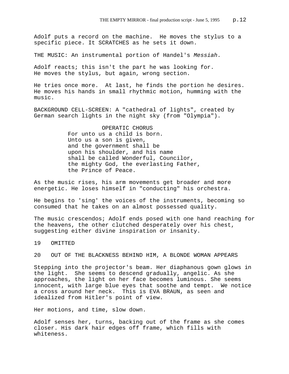Adolf puts a record on the machine. He moves the stylus to a specific piece. It SCRATCHES as he sets it down.

THE MUSIC: An instrumental portion of Handel's *Messiah*.

Adolf reacts; this isn't the part he was looking for. He moves the stylus, but again, wrong section.

He tries once more. At last, he finds the portion he desires. He moves his hands in small rhythmic motion, humming with the music.

BACKGROUND CELL-SCREEN: A "cathedral of lights", created by German search lights in the night sky (from "Olympia").

> OPERATIC CHORUS For unto us a child is born. Unto us a son is given, and the government shall be upon his shoulder, and his name shall be called Wonderful, Councilor, the mighty God, the everlasting Father, the Prince of Peace.

As the music rises, his arm movements get broader and more energetic. He loses himself in "conducting" his orchestra.

He begins to 'sing' the voices of the instruments, becoming so consumed that he takes on an almost possessed quality.

The music crescendos; Adolf ends posed with one hand reaching for the heavens, the other clutched desperately over his chest, suggesting either divine inspiration or insanity.

19 OMITTED

20 OUT OF THE BLACKNESS BEHIND HIM, A BLONDE WOMAN APPEARS

Stepping into the projector's beam. Her diaphanous gown glows in the light. She seems to descend gradually, angelic. As she approaches, the light on her face becomes luminous. She seems innocent, with large blue eyes that soothe and tempt. We notice a cross around her neck. This is EVA BRAUN, as seen and idealized from Hitler's point of view.

Her motions, and time, slow down.

Adolf senses her, turns, backing out of the frame as she comes closer. His dark hair edges off frame, which fills with whiteness.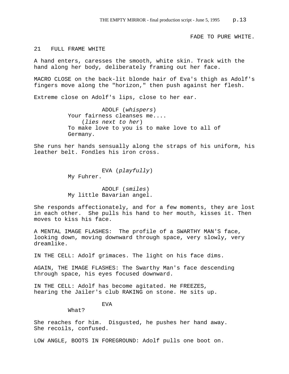FADE TO PURE WHITE.

#### 21 FULL FRAME WHITE

A hand enters, caresses the smooth, white skin. Track with the hand along her body, deliberately framing out her face.

MACRO CLOSE on the back-lit blonde hair of Eva's thigh as Adolf's fingers move along the "horizon," then push against her flesh.

Extreme close on Adolf's lips, close to her ear.

ADOLF (*whispers*) Your fairness cleanses me.... (*lies next to her*) To make love to you is to make love to all of Germany.

She runs her hands sensually along the straps of his uniform, his leather belt. Fondles his iron cross.

> EVA (*playfully*) My Fuhrer.

> ADOLF (*smiles*) My little Bavarian angel.

She responds affectionately, and for a few moments, they are lost in each other. She pulls his hand to her mouth, kisses it. Then moves to kiss his face.

A MENTAL IMAGE FLASHES: The profile of a SWARTHY MAN'S face, looking down, moving downward through space, very slowly, very dreamlike.

IN THE CELL: Adolf grimaces. The light on his face dims.

AGAIN, THE IMAGE FLASHES: The Swarthy Man's face descending through space, his eyes focused downward.

IN THE CELL: Adolf has become agitated. He FREEZES, hearing the Jailer's club RAKING on stone. He sits up.

EVA

What?

She reaches for him. Disgusted, he pushes her hand away. She recoils, confused.

LOW ANGLE, BOOTS IN FOREGROUND: Adolf pulls one boot on.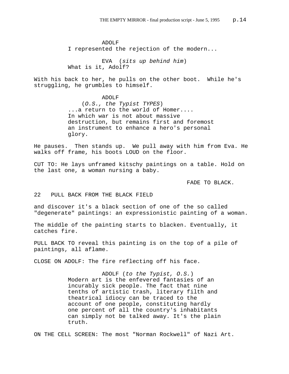ADOLF I represented the rejection of the modern...

EVA (*sits up behind him*) What is it, Adolf?

With his back to her, he pulls on the other boot. While he's struggling, he grumbles to himself.

> ADOLF (*O.S., the Typist TYPES*) ...a return to the world of Homer.... In which war is not about massive destruction, but remains first and foremost an instrument to enhance a hero's personal glory.

He pauses. Then stands up. We pull away with him from Eva. He walks off frame, his boots LOUD on the floor.

CUT TO: He lays unframed kitschy paintings on a table. Hold on the last one, a woman nursing a baby.

FADE TO BLACK.

# 22 PULL BACK FROM THE BLACK FIELD

and discover it's a black section of one of the so called "degenerate" paintings: an expressionistic painting of a woman.

The middle of the painting starts to blacken. Eventually, it catches fire.

PULL BACK TO reveal this painting is on the top of a pile of paintings, all aflame.

CLOSE ON ADOLF: The fire reflecting off his face.

ADOLF (*to the Typist, O.S.*) Modern art is the enfevered fantasies of an incurably sick people. The fact that nine tenths of artistic trash, literary filth and theatrical idiocy can be traced to the account of one people, constituting hardly one percent of all the country's inhabitants can simply not be talked away. It's the plain truth.

ON THE CELL SCREEN: The most "Norman Rockwell" of Nazi Art.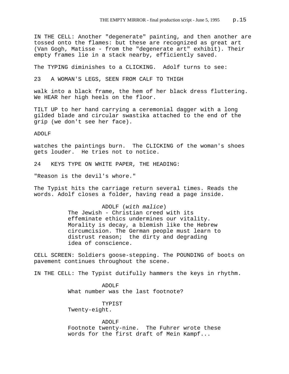IN THE CELL: Another "degenerate" painting, and then another are tossed onto the flames: but these are recognized as great art (Van Gogh, Matisse - from the "degenerate art" exhibit). Their empty frames lie in a stack nearby, efficiently saved.

The TYPING diminishes to a CLICKING. Adolf turns to see:

23 A WOMAN'S LEGS, SEEN FROM CALF TO THIGH

walk into a black frame, the hem of her black dress fluttering. We HEAR her high heels on the floor.

TILT UP to her hand carrying a ceremonial dagger with a long gilded blade and circular swastika attached to the end of the grip (we don't see her face).

ADOLF

watches the paintings burn. The CLICKING of the woman's shoes gets louder. He tries not to notice.

24 KEYS TYPE ON WHITE PAPER, THE HEADING:

"Reason is the devil's whore."

The Typist hits the carriage return several times. Reads the words. Adolf closes a folder, having read a page inside.

> ADOLF (*with malice*) The Jewish - Christian creed with its effeminate ethics undermines our vitality. Morality is decay, a blemish like the Hebrew circumcision. The German people must learn to distrust reason; the dirty and degrading idea of conscience.

CELL SCREEN: Soldiers goose-stepping. The POUNDING of boots on pavement continues throughout the scene.

IN THE CELL: The Typist dutifully hammers the keys in rhythm.

ADOLF What number was the last footnote?

TYPIST Twenty-eight.

ADOLF Footnote twenty-nine. The Fuhrer wrote these words for the first draft of Mein Kampf...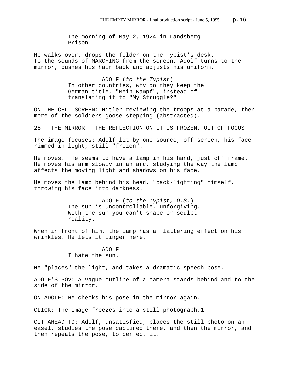The morning of May 2, 1924 in Landsberg Prison.

He walks over, drops the folder on the Typist's desk. To the sounds of MARCHING from the screen, Adolf turns to the mirror, pushes his hair back and adjusts his uniform.

> ADOLF (*to the Typist*) In other countries, why do they keep the German title, "Mein Kampf", instead of translating it to "My Struggle?"

ON THE CELL SCREEN: Hitler reviewing the troops at a parade, then more of the soldiers goose-stepping (abstracted).

25 THE MIRROR - THE REFLECTION ON IT IS FROZEN, OUT OF FOCUS

The image focuses: Adolf lit by one source, off screen, his face rimmed in light, still "frozen".

He moves. He seems to have a lamp in his hand, just off frame. He moves his arm slowly in an arc, studying the way the lamp affects the moving light and shadows on his face.

He moves the lamp behind his head, "back-lighting" himself, throwing his face into darkness.

> ADOLF (*to the Typist, O.S.*) The sun is uncontrollable, unforgiving. With the sun you can't shape or sculpt reality.

When in front of him, the lamp has a flattering effect on his wrinkles. He lets it linger here.

> ADOLF I hate the sun.

He "places" the light, and takes a dramatic-speech pose.

ADOLF'S POV: A vague outline of a camera stands behind and to the side of the mirror.

ON ADOLF: He checks his pose in the mirror again.

CLICK: The image freezes into a still photograph.1

CUT AHEAD TO: Adolf, unsatisfied, places the still photo on an easel, studies the pose captured there, and then the mirror, and then repeats the pose, to perfect it.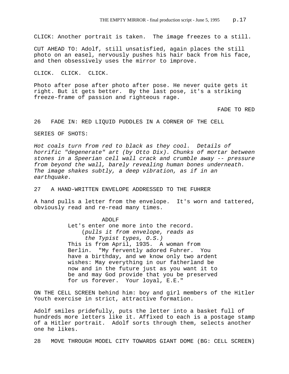CLICK: Another portrait is taken. The image freezes to a still.

CUT AHEAD TO: Adolf, still unsatisfied, again places the still photo on an easel, nervously pushes his hair back from his face, and then obsessively uses the mirror to improve.

CLICK. CLICK. CLICK.

Photo after pose after photo after pose. He never quite gets it right. But it gets better. By the last pose, it's a striking freeze-frame of passion and righteous rage.

FADE TO RED

26 FADE IN: RED LIQUID PUDDLES IN A CORNER OF THE CELL

SERIES OF SHOTS:

*Hot coals turn from red to black as they cool. Details of horrific "degenerate" art (by Otto Dix). Chunks of mortar between stones in a Speerian cell wall crack and crumble away -- pressure from beyond the wall, barely revealing human bones underneath. The image shakes subtly, a deep vibration, as if in an earthquake.* 

27 A HAND-WRITTEN ENVELOPE ADDRESSED TO THE FUHRER

A hand pulls a letter from the envelope. It's worn and tattered, obviously read and re-read many times.

> ADOLF Let's enter one more into the record. (*pulls it from envelope, reads as the Typist types, O.S.)* This is from April, 1935. A woman from Berlin. "My fervently adored Fuhrer. You have a birthday, and we know only two ardent wishes: May everything in our fatherland be now and in the future just as you want it to be and may God provide that you be preserved for us forever. Your loyal, E.E."

ON THE CELL SCREEN behind him: boy and girl members of the Hitler Youth exercise in strict, attractive formation.

Adolf smiles pridefully, puts the letter into a basket full of hundreds more letters like it. Affixed to each is a postage stamp of a Hitler portrait. Adolf sorts through them, selects another one he likes.

28 MOVE THROUGH MODEL CITY TOWARDS GIANT DOME (BG: CELL SCREEN)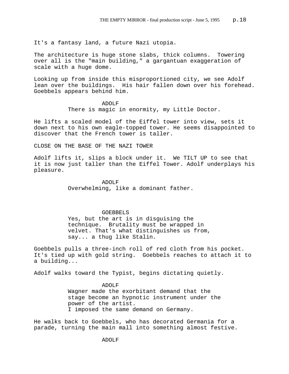It's a fantasy land, a future Nazi utopia.

The architecture is huge stone slabs, thick columns. Towering over all is the "main building," a gargantuan exaggeration of scale with a huge dome.

Looking up from inside this misproportioned city, we see Adolf lean over the buildings. His hair fallen down over his forehead. Goebbels appears behind him.

> ADOLF There is magic in enormity, my Little Doctor.

He lifts a scaled model of the Eiffel tower into view, sets it down next to his own eagle-topped tower. He seems disappointed to discover that the French tower is taller.

CLOSE ON THE BASE OF THE NAZI TOWER

Adolf lifts it, slips a block under it. We TILT UP to see that it is now just taller than the Eiffel Tower. Adolf underplays his pleasure.

> ADOLF Overwhelming, like a dominant father.

## GOEBBELS

Yes, but the art is in disguising the technique. Brutality must be wrapped in velvet. That's what distinguishes us from, say... a thug like Stalin.

Goebbels pulls a three-inch roll of red cloth from his pocket. It's tied up with gold string. Goebbels reaches to attach it to a building...

Adolf walks toward the Typist, begins dictating quietly.

ADOLF Wagner made the exorbitant demand that the stage become an hypnotic instrument under the power of the artist. I imposed the same demand on Germany.

He walks back to Goebbels, who has decorated Germania for a parade, turning the main mall into something almost festive.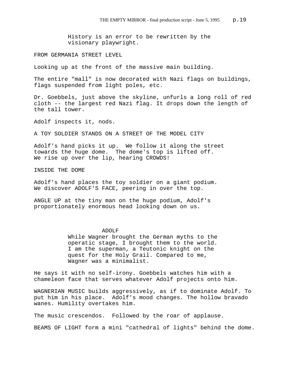History is an error to be rewritten by the visionary playwright.

FROM GERMANIA STREET LEVEL

Looking up at the front of the massive main building.

The entire "mall" is now decorated with Nazi flags on buildings, flags suspended from light poles, etc.

Dr. Goebbels, just above the skyline, unfurls a long roll of red cloth -- the largest red Nazi flag. It drops down the length of the tall tower.

Adolf inspects it, nods.

A TOY SOLDIER STANDS ON A STREET OF THE MODEL CITY

Adolf's hand picks it up. We follow it along the street towards the huge dome. The dome's top is lifted off. We rise up over the lip, hearing CROWDS!

INSIDE THE DOME

Adolf's hand places the toy soldier on a giant podium. We discover ADOLF'S FACE, peering in over the top.

ANGLE UP at the tiny man on the huge podium, Adolf's proportionately enormous head looking down on us.

## ADOLF

While Wagner brought the German myths to the operatic stage, I brought them to the world. I am the superman, a Teutonic knight on the quest for the Holy Grail. Compared to me, Wagner was a minimalist.

He says it with no self-irony. Goebbels watches him with a chameleon face that serves whatever Adolf projects onto him.

WAGNERIAN MUSIC builds aggressively, as if to dominate Adolf. To put him in his place. Adolf's mood changes. The hollow bravado wanes. Humility overtakes him.

The music crescendos. Followed by the roar of applause.

BEAMS OF LIGHT form a mini "cathedral of lights" behind the dome.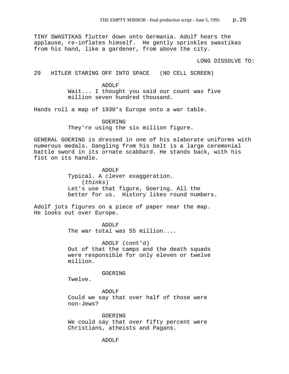TINY SWASTIKAS flutter down onto Germania. Adolf hears the applause, re-inflates himself. He gently sprinkles swastikas from his hand, like a gardener, from above the city.

LONG DISSOLVE TO:

29 HITLER STARING OFF INTO SPACE (NO CELL SCREEN)

ADOLF Wait... I thought you said our count was five million seven hundred thousand.

Hands roll a map of 1930's Europe onto a war table.

GOERING They're using the six million figure.

GENERAL GOERING is dressed in one of his elaborate uniforms with numerous medals. Dangling from his belt is a large ceremonial battle sword in its ornate scabbard. He stands back, with his fist on its handle.

> ADOLF Typical. A clever exaggeration. (*thinks*) Let's use that figure, Goering. All the better for us. History likes round numbers.

Adolf jots figures on a piece of paper near the map. He looks out over Europe.

> ADOLF The war total was 55 million....

ADOLF (cont'd) Out of that the camps and the death squads were responsible for only eleven or twelve million.

GOERING

Twelve.

ADOLF Could we say that over half of those were non-Jews?

GOERING We could say that over fifty percent were Christians, atheists and Pagans.

ADOLF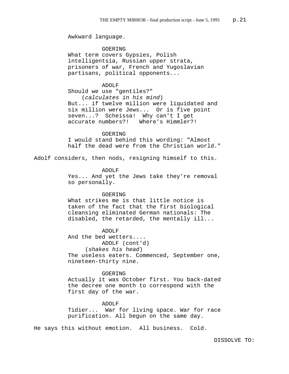Awkward language.

GOERING What term covers Gypsies, Polish intelligentsia, Russian upper strata, prisoners of war, French and Yugoslavian partisans, political opponents...

ADOLF Should we use "gentiles?" (*calculates in his mind*) But... if twelve million were liquidated and six million were Jews... Or is five point seven...? Scheissa! Why can't I get accurate numbers?! Where's Himmler?!

GOER TNG I would stand behind this wording: "Almost half the dead were from the Christian world."

Adolf considers, then nods, resigning himself to this.

ADOLF

Yes... And yet the Jews take they're removal so personally.

#### GOERING

What strikes me is that little notice is taken of the fact that the first biological cleansing eliminated German nationals: The disabled, the retarded, the mentally ill...

ADOLF

And the bed wetters.... ADOLF (cont'd) (*shakes his head*) The useless eaters. Commenced, September one, nineteen-thirty nine.

#### GOERING

Actually it was October first. You back-dated the decree one month to correspond with the first day of the war.

#### ADOLF

Tidier... War for living space. War for race purification. All begun on the same day.

He says this without emotion. All business. Cold.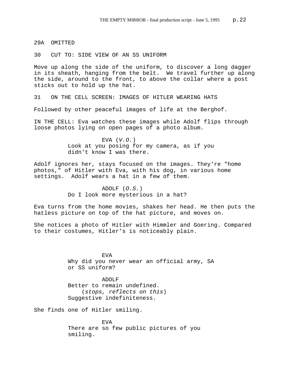29A OMITTED

30 CUT TO: SIDE VIEW OF AN SS UNIFORM

Move up along the side of the uniform, to discover a long dagger in its sheath, hanging from the belt. We travel further up along the side, around to the front, to above the collar where a post sticks out to hold up the hat.

31 ON THE CELL SCREEN: IMAGES OF HITLER WEARING HATS

Followed by other peaceful images of life at the Berghof.

IN THE CELL: Eva watches these images while Adolf flips through loose photos lying on open pages of a photo album.

> EVA (*V.O.*) Look at you posing for my camera, as if you didn't know I was there.

Adolf ignores her, stays focused on the images. They're "home photos," of Hitler with Eva, with his dog, in various home settings. Adolf wears a hat in a few of them.

> ADOLF (*O.S.*) Do I look more mysterious in a hat?

Eva turns from the home movies, shakes her head. He then puts the hatless picture on top of the hat picture, and moves on.

She notices a photo of Hitler with Himmler and Goering. Compared to their costumes, Hitler's is noticeably plain.

> EVA Why did you never wear an official army, SA or SS uniform?

ADOLF Better to remain undefined. (*stops, reflects on this*) Suggestive indefiniteness.

She finds one of Hitler smiling.

EVA There are so few public pictures of you smiling.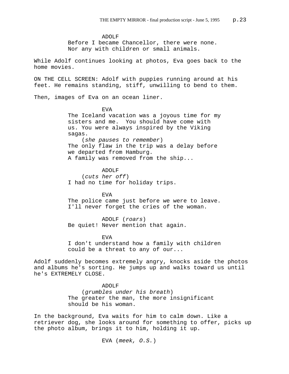ADOLF Before I became Chancellor, there were none. Nor any with children or small animals.

While Adolf continues looking at photos, Eva goes back to the home movies.

ON THE CELL SCREEN: Adolf with puppies running around at his feet. He remains standing, stiff, unwilling to bend to them.

Then, images of Eva on an ocean liner.

EVA The Iceland vacation was a joyous time for my sisters and me. You should have come with us. You were always inspired by the Viking sagas. (*she pauses to remember*) The only flaw in the trip was a delay before we departed from Hamburg.

A family was removed from the ship...

ADOLF (*cuts her off*) I had no time for holiday trips.

**EVA** The police came just before we were to leave. I'll never forget the cries of the woman.

ADOLF (*roars*) Be quiet! Never mention that again.

EVA I don't understand how a family with children could be a threat to any of our...

Adolf suddenly becomes extremely angry, knocks aside the photos and albums he's sorting. He jumps up and walks toward us until he's EXTREMELY CLOSE.

> ADOLF (*grumbles under his breath*) The greater the man, the more insignificant should be his woman.

In the background, Eva waits for him to calm down. Like a retriever dog, she looks around for something to offer, picks up the photo album, brings it to him, holding it up.

EVA (*meek, O.S.*)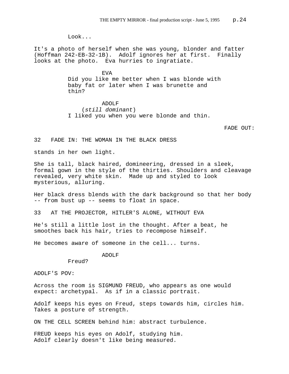Look...

It's a photo of herself when she was young, blonder and fatter (Hoffman 242-EB-32-1B). Adolf ignores her at first. Finally looks at the photo. Eva hurries to ingratiate.

> EVA Did you like me better when I was blonde with baby fat or later when I was brunette and thin?

ADOLF (*still dominant*) I liked you when you were blonde and thin.

FADE OUT:

32 FADE IN: THE WOMAN IN THE BLACK DRESS

stands in her own light.

She is tall, black haired, domineering, dressed in a sleek, formal gown in the style of the thirties. Shoulders and cleavage revealed, very white skin. Made up and styled to look mysterious, alluring.

Her black dress blends with the dark background so that her body -- from bust up -- seems to float in space.

33 AT THE PROJECTOR, HITLER'S ALONE, WITHOUT EVA

He's still a little lost in the thought. After a beat, he smoothes back his hair, tries to recompose himself.

He becomes aware of someone in the cell... turns.

ADOLF

ADOLF'S POV:

Freud?

Across the room is SIGMUND FREUD, who appears as one would expect: archetypal. As if in a classic portrait.

Adolf keeps his eyes on Freud, steps towards him, circles him. Takes a posture of strength.

ON THE CELL SCREEN behind him: abstract turbulence.

FREUD keeps his eyes on Adolf, studying him. Adolf clearly doesn't like being measured.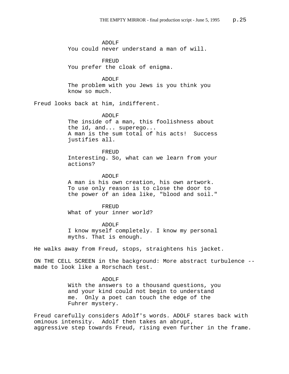ADOLF You could never understand a man of will.

FREUD You prefer the cloak of enigma.

## ADOLF

The problem with you Jews is you think you know so much.

Freud looks back at him, indifferent.

## ADOLF

The inside of a man, this foolishness about the id, and... superego... A man is the sum total of his acts! Success justifies all.

FREUD

Interesting. So, what can we learn from your actions?

ADOLF

A man is his own creation, his own artwork. To use only reason is to close the door to the power of an idea like, "blood and soil."

FREUD What of your inner world?

ADOLF

I know myself completely. I know my personal myths. That is enough.

He walks away from Freud, stops, straightens his jacket.

ON THE CELL SCREEN in the background: More abstract turbulence - made to look like a Rorschach test.

#### ADOLF

With the answers to a thousand questions, you and your kind could not begin to understand me. Only a poet can touch the edge of the Fuhrer mystery.

Freud carefully considers Adolf's words. ADOLF stares back with ominous intensity. Adolf then takes an abrupt, aggressive step towards Freud, rising even further in the frame.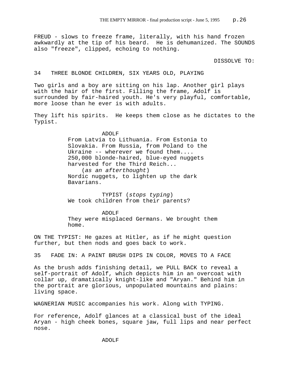FREUD - slows to freeze frame, literally, with his hand frozen awkwardly at the tip of his beard. He is dehumanized. The SOUNDS also "freeze", clipped, echoing to nothing.

DISSOLVE TO:

## 34 THREE BLONDE CHILDREN, SIX YEARS OLD, PLAYING

Two girls and a boy are sitting on his lap. Another girl plays with the hair of the first. Filling the frame, Adolf is surrounded by fair-haired youth. He's very playful, comfortable, more loose than he ever is with adults.

They lift his spirits. He keeps them close as he dictates to the Typist.

> ADOLF From Latvia to Lithuania. From Estonia to Slovakia. From Russia, from Poland to the Ukraine -- wherever we found them.... 250,000 blonde-haired, blue-eyed nuggets harvested for the Third Reich... (*as an afterthought*) Nordic nuggets, to lighten up the dark Bavarians.

TYPIST (*stops typing*) We took children from their parents?

ADOLF They were misplaced Germans. We brought them home.

ON THE TYPIST: He gazes at Hitler, as if he might question further, but then nods and goes back to work.

35 FADE IN: A PAINT BRUSH DIPS IN COLOR, MOVES TO A FACE

As the brush adds finishing detail, we PULL BACK to reveal a self-portrait of Adolf, which depicts him in an overcoat with collar up, dramatically knight-like and "Aryan." Behind him in the portrait are glorious, unpopulated mountains and plains: living space.

WAGNERIAN MUSIC accompanies his work. Along with TYPING.

For reference, Adolf glances at a classical bust of the ideal Aryan - high cheek bones, square jaw, full lips and near perfect nose.

ADOLF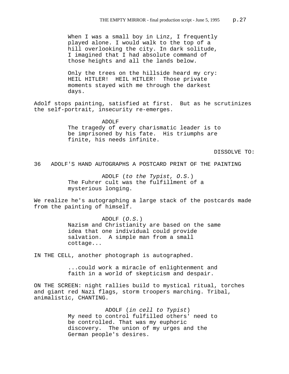When I was a small boy in Linz, I frequently played alone. I would walk to the top of a hill overlooking the city. In dark solitude, I imagined that I had absolute command of those heights and all the lands below.

Only the trees on the hillside heard my cry: HEIL HITLER! HEIL HITLER! Those private moments stayed with me through the darkest days.

Adolf stops painting, satisfied at first. But as he scrutinizes the self-portrait, insecurity re-emerges.

> ADOLF The tragedy of every charismatic leader is to be imprisoned by his fate. His triumphs are finite, his needs infinite.

> > DISSOLVE TO:

36 ADOLF'S HAND AUTOGRAPHS A POSTCARD PRINT OF THE PAINTING

ADOLF (*to the Typist, O.S.*) The Fuhrer cult was the fulfillment of a mysterious longing.

We realize he's autographing a large stack of the postcards made from the painting of himself.

> ADOLF (*O.S.*) Nazism and Christianity are based on the same idea that one individual could provide salvation. A simple man from a small cottage...

IN THE CELL, another photograph is autographed.

...could work a miracle of enlightenment and faith in a world of skepticism and despair.

ON THE SCREEN: night rallies build to mystical ritual, torches and giant red Nazi flags, storm troopers marching. Tribal, animalistic, CHANTING.

> ADOLF (*in cell to Typist*) My need to control fulfilled others' need to be controlled. That was my euphoric discovery. The union of my urges and the German people's desires.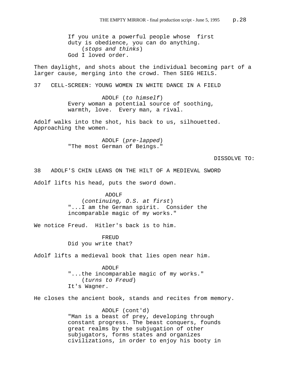If you unite a powerful people whose first duty is obedience, you can do anything. (*stops and thinks*) God I loved order.

Then daylight, and shots about the individual becoming part of a larger cause, merging into the crowd. Then SIEG HEILS.

37 CELL-SCREEN: YOUNG WOMEN IN WHITE DANCE IN A FIELD

ADOLF (*to himself*) Every woman a potential source of soothing, warmth, love. Every man, a rival.

Adolf walks into the shot, his back to us, silhouetted. Approaching the women.

> ADOLF (*pre-lapped*) "The most German of Beings."

> > DISSOLVE TO:

38 ADOLF'S CHIN LEANS ON THE HILT OF A MEDIEVAL SWORD

Adolf lifts his head, puts the sword down.

 ADOLF (*continuing, O.S. at first*) "...I am the German spirit. Consider the incomparable magic of my works."

We notice Freud. Hitler's back is to him.

FREUD Did you write that?

Adolf lifts a medieval book that lies open near him.

ADOLF "...the incomparable magic of my works." (*turns to Freud*) It's Wagner.

He closes the ancient book, stands and recites from memory.

ADOLF (cont'd) "Man is a beast of prey, developing through constant progress. The beast conquers, founds great realms by the subjugation of other subjugators, forms states and organizes civilizations, in order to enjoy his booty in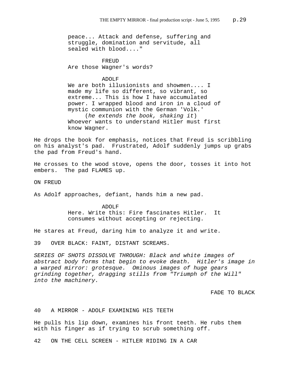peace... Attack and defense, suffering and struggle, domination and servitude, all sealed with blood...."

**FREUD** Are those Wagner's words?

ADOLF

We are both illusionists and showmen.... I made my life so different, so vibrant, so extreme... This is how I have accumulated power. I wrapped blood and iron in a cloud of mystic communion with the German 'Volk.' (*he extends the book, shaking it*) Whoever wants to understand Hitler must first know Wagner.

He drops the book for emphasis, notices that Freud is scribbling on his analyst's pad. Frustrated, Adolf suddenly jumps up grabs the pad from Freud's hand.

He crosses to the wood stove, opens the door, tosses it into hot embers. The pad FLAMES up.

ON FREUD

As Adolf approaches, defiant, hands him a new pad.

ADOLF Here. Write this: Fire fascinates Hitler. It consumes without accepting or rejecting.

He stares at Freud, daring him to analyze it and write.

39 OVER BLACK: FAINT, DISTANT SCREAMS.

*SERIES OF SHOTS DISSOLVE THROUGH: Black and white images of abstract body forms that begin to evoke death. Hitler's image in a warped mirror: grotesque. Ominous images of huge gears grinding together, dragging stills from "Triumph of the Will" into the machinery.* 

FADE TO BLACK

40 A MIRROR - ADOLF EXAMINING HIS TEETH

He pulls his lip down, examines his front teeth. He rubs them with his finger as if trying to scrub something off.

42 ON THE CELL SCREEN - HITLER RIDING IN A CAR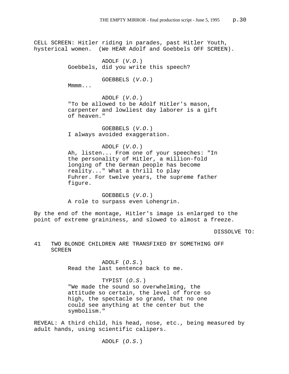CELL SCREEN: Hitler riding in parades, past Hitler Youth, hysterical women. (We HEAR Adolf and Goebbels OFF SCREEN). ADOLF (*V.O.*) Goebbels, did you write this speech? GOEBBELS (*V.O.*) Mmmm... ADOLF (*V.O.*) "To be allowed to be Adolf Hitler's mason, carpenter and lowliest day laborer is a gift of heaven." GOEBBELS (*V.O.*) I always avoided exaggeration. ADOLF (*V.O.*) Ah, listen... From one of your speeches: "In the personality of Hitler, a million-fold longing of the German people has become reality..." What a thrill to play Fuhrer. For twelve years, the supreme father figure. GOEBBELS (*V.O.*)

A role to surpass even Lohengrin.

By the end of the montage, Hitler's image is enlarged to the point of extreme graininess, and slowed to almost a freeze.

DISSOLVE TO:

# 41 TWO BLONDE CHILDREN ARE TRANSFIXED BY SOMETHING OFF SCREEN

ADOLF (*O.S.*) Read the last sentence back to me.

TYPIST (*O.S.*) "We made the sound so overwhelming, the attitude so certain, the level of force so high, the spectacle so grand, that no one could see anything at the center but the symbolism."

REVEAL: A third child, his head, nose, etc., being measured by adult hands, using scientific calipers.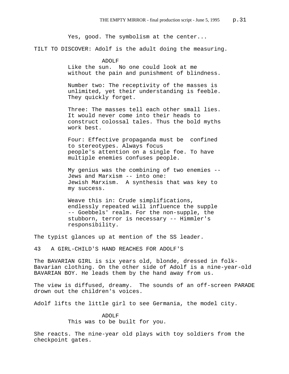Yes, good. The symbolism at the center...

TILT TO DISCOVER: Adolf is the adult doing the measuring.

ADOLF Like the sun. No one could look at me without the pain and punishment of blindness.

Number two: The receptivity of the masses is unlimited, yet their understanding is feeble. They quickly forget.

Three: The masses tell each other small lies. It would never come into their heads to construct colossal tales. Thus the bold myths work best.

Four: Effective propaganda must be confined to stereotypes. Always focus people's attention on a single foe. To have multiple enemies confuses people.

My genius was the combining of two enemies -- Jews and Marxism -- into one: Jewish Marxism. A synthesis that was key to my success.

Weave this in: Crude simplifications, endlessly repeated will influence the supple -- Goebbels' realm. For the non-supple, the stubborn, terror is necessary -- Himmler's responsibility.

The typist glances up at mention of the SS leader.

43 A GIRL-CHILD'S HAND REACHES FOR ADOLF'S

The BAVARIAN GIRL is six years old, blonde, dressed in folk-Bavarian clothing. On the other side of Adolf is a nine-year-old BAVARIAN BOY. He leads them by the hand away from us.

The view is diffused, dreamy. The sounds of an off-screen PARADE drown out the children's voices.

Adolf lifts the little girl to see Germania, the model city.

ADOLF This was to be built for you.

She reacts. The nine-year old plays with toy soldiers from the checkpoint gates.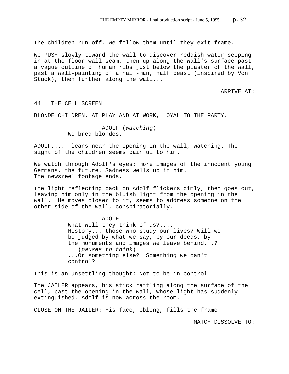The children run off. We follow them until they exit frame.

We PUSH slowly toward the wall to discover reddish water seeping in at the floor-wall seam, then up along the wall's surface past a vague outline of human ribs just below the plaster of the wall, past a wall-painting of a half-man, half beast (inspired by Von Stuck), then further along the wall...

ARRIVE AT:

#### 44 THE CELL SCREEN

BLONDE CHILDREN, AT PLAY AND AT WORK, LOYAL TO THE PARTY.

ADOLF (*watching*) We bred blondes.

ADOLF.... leans near the opening in the wall, watching. The sight of the children seems painful to him.

We watch through Adolf's eyes: more images of the innocent young Germans, the future. Sadness wells up in him. The newsreel footage ends.

The light reflecting back on Adolf flickers dimly, then goes out, leaving him only in the bluish light from the opening in the wall. He moves closer to it, seems to address someone on the other side of the wall, conspiratorially.

> ADOLF What will they think of us?.... History... those who study our lives? Will we be judged by what we say, by our deeds, by the monuments and images we leave behind...? (*pauses to think*) ...Or something else? Something we can't control?

This is an unsettling thought: Not to be in control.

The JAILER appears, his stick rattling along the surface of the cell, past the opening in the wall, whose light has suddenly extinguished. Adolf is now across the room.

CLOSE ON THE JAILER: His face, oblong, fills the frame.

MATCH DISSOLVE TO: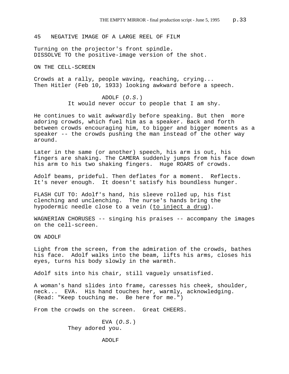45 NEGATIVE IMAGE OF A LARGE REEL OF FILM

Turning on the projector's front spindle. DISSOLVE TO the positive-image version of the shot.

ON THE CELL-SCREEN

Crowds at a rally, people waving, reaching, crying... Then Hitler (Feb 10, 1933) looking awkward before a speech.

> ADOLF (*O.S.*) It would never occur to people that I am shy.

He continues to wait awkwardly before speaking. But then more adoring crowds, which fuel him as a speaker. Back and forth between crowds encouraging him, to bigger and bigger moments as a speaker -- the crowds pushing the man instead of the other way around.

Later in the same (or another) speech, his arm is out, his fingers are shaking. The CAMERA suddenly jumps from his face down his arm to his two shaking fingers. Huge ROARS of crowds.

Adolf beams, prideful. Then deflates for a moment. Reflects. It's never enough. It doesn't satisfy his boundless hunger.

FLASH CUT TO: Adolf's hand, his sleeve rolled up, his fist clenching and unclenching. The nurse's hands bring the hypodermic needle close to a vein (to inject a drug).

WAGNERIAN CHORUSES -- singing his praises -- accompany the images on the cell-screen.

ON ADOLF

Light from the screen, from the admiration of the crowds, bathes his face. Adolf walks into the beam, lifts his arms, closes his eyes, turns his body slowly in the warmth.

Adolf sits into his chair, still vaguely unsatisfied.

A woman's hand slides into frame, caresses his cheek, shoulder, neck... EVA. His hand touches her, warmly, acknowledging. (Read: "Keep touching me. Be here for me.")

From the crowds on the screen. Great CHEERS.

EVA (*O.S.*) They adored you.

ADOLF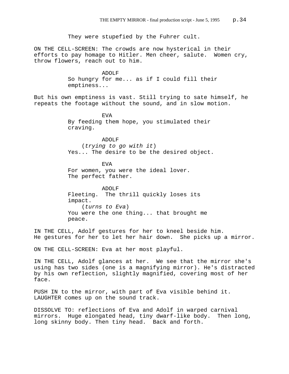They were stupefied by the Fuhrer cult. ON THE CELL-SCREEN: The crowds are now hysterical in their efforts to pay homage to Hitler. Men cheer, salute. Women cry, throw flowers, reach out to him. ADOLF So hungry for me... as if I could fill their emptiness... But his own emptiness is vast. Still trying to sate himself, he repeats the footage without the sound, and in slow motion. EVA By feeding them hope, you stimulated their craving. ADOLF (*trying to go with it*) Yes... The desire to be the desired object. EVA For women, you were the ideal lover. The perfect father. ADOLF Fleeting. The thrill quickly loses its impact. (*turns to Eva*) You were the one thing... that brought me peace. IN THE CELL, Adolf gestures for her to kneel beside him. He gestures for her to let her hair down. She picks up a mirror. ON THE CELL-SCREEN: Eva at her most playful.

IN THE CELL, Adolf glances at her. We see that the mirror she's using has two sides (one is a magnifying mirror). He's distracted by his own reflection, slightly magnified, covering most of her face.

PUSH IN to the mirror, with part of Eva visible behind it. LAUGHTER comes up on the sound track.

DISSOLVE TO: reflections of Eva and Adolf in warped carnival mirrors. Huge elongated head, tiny dwarf-like body. Then long, long skinny body. Then tiny head. Back and forth.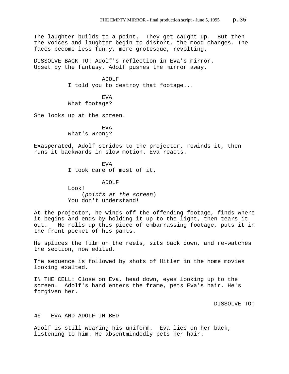The laughter builds to a point. They get caught up. But then the voices and laughter begin to distort, the mood changes. The faces become less funny, more grotesque, revolting.

DISSOLVE BACK TO: Adolf's reflection in Eva's mirror. Upset by the fantasy, Adolf pushes the mirror away.

> ADOLF I told you to destroy that footage...

EVA What footage?

She looks up at the screen.

EVA What's wrong?

Exasperated, Adolf strides to the projector, rewinds it, then runs it backwards in slow motion. Eva reacts.

> EVA I took care of most of it.

ADOLF Look! (*points at the screen*) You don't understand!

At the projector, he winds off the offending footage, finds where it begins and ends by holding it up to the light, then tears it out. He rolls up this piece of embarrassing footage, puts it in the front pocket of his pants.

He splices the film on the reels, sits back down, and re-watches the section, now edited.

The sequence is followed by shots of Hitler in the home movies looking exalted.

IN THE CELL: Close on Eva, head down, eyes looking up to the screen. Adolf's hand enters the frame, pets Eva's hair. He's forgiven her.

DISSOLVE TO:

# 46 EVA AND ADOLF IN BED

Adolf is still wearing his uniform. Eva lies on her back, listening to him. He absentmindedly pets her hair.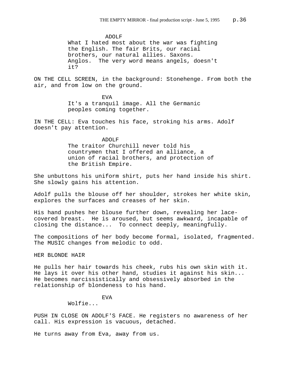ADOLF

What I hated most about the war was fighting the English. The fair Brits, our racial brothers, our natural allies. Saxons. Anglos. The very word means angels, doesn't it?

ON THE CELL SCREEN, in the background: Stonehenge. From both the air, and from low on the ground.

> EVA It's a tranquil image. All the Germanic peoples coming together.

IN THE CELL: Eva touches his face, stroking his arms. Adolf doesn't pay attention.

### ADOLF

The traitor Churchill never told his countrymen that I offered an alliance, a union of racial brothers, and protection of the British Empire.

She unbuttons his uniform shirt, puts her hand inside his shirt. She slowly gains his attention.

Adolf pulls the blouse off her shoulder, strokes her white skin, explores the surfaces and creases of her skin.

His hand pushes her blouse further down, revealing her lacecovered breast. He is aroused, but seems awkward, incapable of closing the distance... To connect deeply, meaningfully.

The compositions of her body become formal, isolated, fragmented. The MUSIC changes from melodic to odd.

HER BLONDE HAIR

He pulls her hair towards his cheek, rubs his own skin with it. He lays it over his other hand, studies it against his skin... He becomes narcissistically and obsessively absorbed in the relationship of blondeness to his hand.

### EVA

Wolfie...

PUSH IN CLOSE ON ADOLF'S FACE. He registers no awareness of her call. His expression is vacuous, detached.

He turns away from Eva, away from us.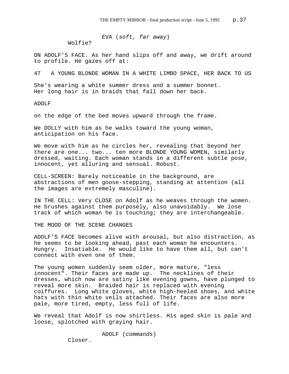EVA (*soft, far away*)

Wolfie?

ON ADOLF'S FACE. As her hand slips off and away, we drift around to profile. He gazes off at:

47 A YOUNG BLONDE WOMAN IN A WHITE LIMBO SPACE, HER BACK TO US

She's wearing a white summer dress and a summer bonnet. Her long hair is in braids that fall down her back.

ADOLF

on the edge of the bed moves upward through the frame.

We DOLLY with him as he walks toward the young woman, anticipation on his face.

We move with him as he circles her, revealing that beyond her there are one... two... ten more BLONDE YOUNG WOMEN, similarly dressed, waiting. Each woman stands in a different subtle pose, innocent, yet alluring and sensual. Robust.

CELL-SCREEN: Barely noticeable in the background, are abstractions of men goose-stepping, standing at attention (all the images are extremely masculine).

IN THE CELL: Very CLOSE on Adolf as he weaves through the women. He brushes against them purposely, also unavoidably. We lose track of which woman he is touching; they are interchangeable.

THE MOOD OF THE SCENE CHANGES

ADOLF'S FACE becomes alive with arousal, but also distraction, as he seems to be looking ahead, past each woman he encounters. Hungry. Insatiable. He would like to have them all, but can't connect with even one of them.

The young women suddenly seem older, more mature, "less innocent". Their faces are made up. The necklines of their dresses, which now are satiny like evening gowns, have plunged to reveal more skin. Braided hair is replaced with evening coiffures. Long white gloves, white high-heeled shoes, and white hats with thin white veils attached. Their faces are also more pale, more tired, empty, less full of life.

We reveal that Adolf is now shirtless. His aged skin is pale and loose, splotched with graying hair.

ADOLF (*commands*)

Closer.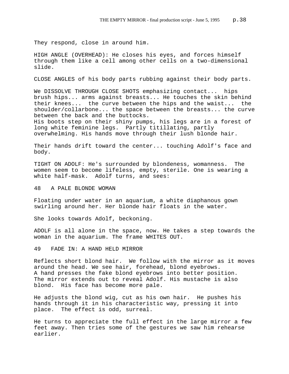They respond, close in around him.

HIGH ANGLE (OVERHEAD): He closes his eyes, and forces himself through them like a cell among other cells on a two-dimensional slide.

CLOSE ANGLES of his body parts rubbing against their body parts.

We DISSOLVE THROUGH CLOSE SHOTS emphasizing contact... hips brush hips... arms against breasts... He touches the skin behind their knees... the curve between the hips and the waist... the shoulder/collarbone... the space between the breasts... the curve between the back and the buttocks. His boots step on their shiny pumps, his legs are in a forest of long white feminine legs. Partly titillating, partly overwhelming. His hands move through their lush blonde hair.

Their hands drift toward the center... touching Adolf's face and body.

TIGHT ON ADOLF: He's surrounded by blondeness, womanness. The women seem to become lifeless, empty, sterile. One is wearing a white half-mask. Adolf turns, and sees:

48 A PALE BLONDE WOMAN

Floating under water in an aquarium, a white diaphanous gown swirling around her. Her blonde hair floats in the water.

She looks towards Adolf, beckoning.

ADOLF is all alone in the space, now. He takes a step towards the woman in the aquarium. The frame WHITES OUT.

49 FADE IN: A HAND HELD MIRROR

Reflects short blond hair. We follow with the mirror as it moves around the head. We see hair, forehead, blond eyebrows. A hand presses the fake blond eyebrows into better position. The mirror extends out to reveal Adolf. His mustache is also blond. His face has become more pale.

He adjusts the blond wig, cut as his own hair. He pushes his hands through it in his characteristic way, pressing it into place. The effect is odd, surreal.

He turns to appreciate the full effect in the large mirror a few feet away. Then tries some of the gestures we saw him rehearse earlier.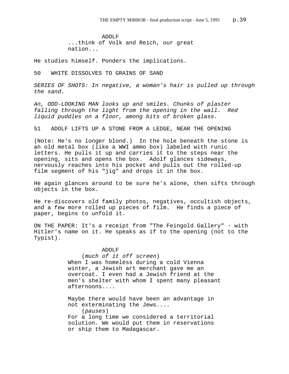ADOLF ...think of Volk and Reich, our great nation...

He studies himself. Ponders the implications.

50 WHITE DISSOLVES TO GRAINS OF SAND

*SERIES OF SHOTS: In negative, a woman's hair is pulled up through the sand.* 

*An, ODD-LOOKING MAN looks up and smiles. Chunks of plaster falling through the light from the opening in the wall. Red liquid puddles on a floor, among bits of broken glass.*

51 ADOLF LIFTS UP A STONE FROM A LEDGE, NEAR THE OPENING

(Note: He's no longer blond.) In the hole beneath the stone is an old metal box (like a WWI ammo box) labeled with runic letters. He pulls it up and carries it to the steps near the opening, sits and opens the box. Adolf glances sideways, nervously reaches into his pocket and pulls out the rolled-up film segment of his "jig" and drops it in the box.

He again glances around to be sure he's alone, then sifts through objects in the box.

He re-discovers old family photos, negatives, occultish objects, and a few more rolled up pieces of film. He finds a piece of paper, begins to unfold it.

ON THE PAPER: It's a receipt from "The Feingold Gallery" - with Hitler's name on it. He speaks as if to the opening (not to the Typist).

> ADOLF (*much of it off screen*) When I was homeless during a cold Vienna winter, a Jewish art merchant gave me an overcoat. I even had a Jewish friend at the men's shelter with whom I spent many pleasant afternoons....

Maybe there would have been an advantage in not exterminating the Jews....

(*pauses*)

For a long time we considered a territorial solution. We would put them in reservations or ship them to Madagascar.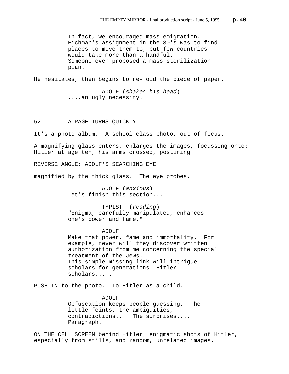In fact, we encouraged mass emigration. Eichman's assignment in the 30's was to find places to move them to, but few countries would take more than a handful. Someone even proposed a mass sterilization plan.

He hesitates, then begins to re-fold the piece of paper.

ADOLF (*shakes his head*) ....an ugly necessity.

52 A PAGE TURNS QUICKLY

It's a photo album. A school class photo, out of focus.

A magnifying glass enters, enlarges the images, focussing onto: Hitler at age ten, his arms crossed, posturing.

REVERSE ANGLE: ADOLF'S SEARCHING EYE

magnified by the thick glass. The eye probes.

ADOLF (*anxious*) Let's finish this section...

TYPIST (*reading*) "Enigma, carefully manipulated, enhances one's power and fame."

#### ADOLF

Make that power, fame and immortality. For example, never will they discover written authorization from me concerning the special treatment of the Jews. This simple missing link will intrigue scholars for generations. Hitler scholars.....

PUSH IN to the photo. To Hitler as a child.

ADOLF Obfuscation keeps people guessing. The little feints, the ambiguities, contradictions... The surprises..... Paragraph.

ON THE CELL SCREEN behind Hitler, enigmatic shots of Hitler, especially from stills, and random, unrelated images.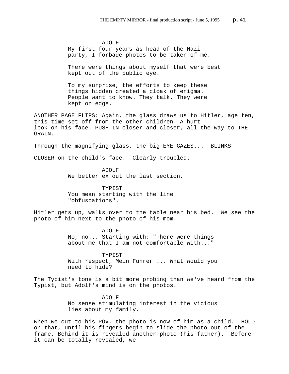ADOLF My first four years as head of the Nazi party, I forbade photos to be taken of me.

There were things about myself that were best kept out of the public eye.

To my surprise, the efforts to keep these things hidden created a cloak of enigma. People want to know. They talk. They were kept on edge.

ANOTHER PAGE FLIPS: Again, the glass draws us to Hitler, age ten, this time set off from the other children. A hurt look on his face. PUSH IN closer and closer, all the way to THE GRAIN.

Through the magnifying glass, the big EYE GAZES... BLINKS

CLOSER on the child's face. Clearly troubled.

ADOLF We better ex out the last section.

TYPIST You mean starting with the line "obfuscations".

Hitler gets up, walks over to the table near his bed. We see the photo of him next to the photo of his mom.

> ADOLF No, no... Starting with: "There were things about me that I am not comfortable with..."

TYPIST With respect, Mein Fuhrer ... What would you need to hide?

The Typist's tone is a bit more probing than we've heard from the Typist, but Adolf's mind is on the photos.

> ADOLF No sense stimulating interest in the vicious lies about my family.

When we cut to his POV, the photo is now of him as a child. HOLD on that, until his fingers begin to slide the photo out of the frame. Behind it is revealed another photo (his father). Before it can be totally revealed, we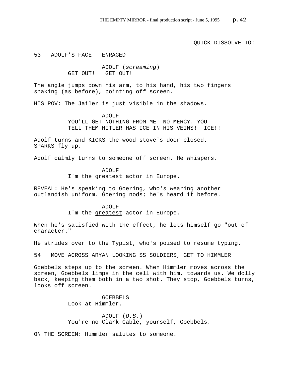QUICK DISSOLVE TO:

53 ADOLF'S FACE - ENRAGED

ADOLF (*screaming*) GET OUT! GET OUT!

The angle jumps down his arm, to his hand, his two fingers shaking (as before), pointing off screen.

HIS POV: The Jailer is just visible in the shadows.

ADOLF YOU'LL GET NOTHING FROM ME! NO MERCY. YOU TELL THEM HITLER HAS ICE IN HIS VEINS! ICE!!

Adolf turns and KICKS the wood stove's door closed. SPARKS fly up.

Adolf calmly turns to someone off screen. He whispers.

ADOLF I'm the greatest actor in Europe.

REVEAL: He's speaking to Goering, who's wearing another outlandish uniform. Goering nods; he's heard it before.

> ADOLF I'm the greatest actor in Europe.

When he's satisfied with the effect, he lets himself go "out of character."

He strides over to the Typist, who's poised to resume typing.

54 MOVE ACROSS ARYAN LOOKING SS SOLDIERS, GET TO HIMMLER

Goebbels steps up to the screen. When Himmler moves across the screen, Goebbels limps in the cell with him, towards us. We dolly back, keeping them both in a two shot. They stop, Goebbels turns, looks off screen.

> GOEBBELS Look at Himmler.

ADOLF (*O.S.*) You're no Clark Gable, yourself, Goebbels.

ON THE SCREEN: Himmler salutes to someone.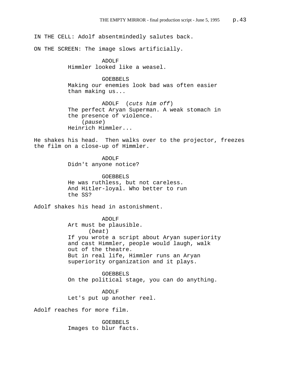IN THE CELL: Adolf absentmindedly salutes back.

ON THE SCREEN: The image slows artificially.

ADOLF Himmler looked like a weasel.

GOEBBELS Making our enemies look bad was often easier than making us...

ADOLF (*cuts him off*) The perfect Aryan Superman. A weak stomach in the presence of violence. (*pause*) Heinrich Himmler...

He shakes his head. Then walks over to the projector, freezes the film on a close-up of Himmler.

> ADOLF Didn't anyone notice?

GOEBBELS He was ruthless, but not careless. And Hitler-loyal. Who better to run the SS?

Adolf shakes his head in astonishment.

ADOLF Art must be plausible. (*beat*) If you wrote a script about Aryan superiority and cast Himmler, people would laugh, walk out of the theatre. But in real life, Himmler runs an Aryan superiority organization and it plays.

GOEBBELS On the political stage, you can do anything.

ADOLF Let's put up another reel.

Adolf reaches for more film.

GOEBBELS Images to blur facts.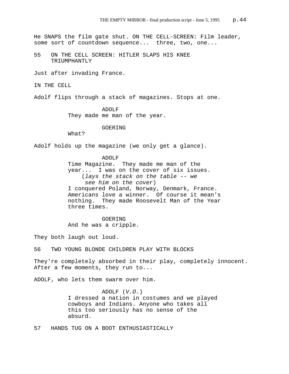He SNAPS the film gate shut. ON THE CELL-SCREEN: Film leader, some sort of countdown sequence... three, two, one...

55 ON THE CELL SCREEN: HITLER SLAPS HIS KNEE TRIUMPHANTLY

Just after invading France.

IN THE CELL

Adolf flips through a stack of magazines. Stops at one.

ADOLF They made me man of the year.

GOERING

What?

Adolf holds up the magazine (we only get a glance).

ADOLF Time Magazine. They made me man of the year... I was on the cover of six issues. (*lays the stack on the table -- we see him on the cover*) I conquered Poland, Norway, Denmark, France. Americans love a winner. Of course it mean's nothing. They made Roosevelt Man of the Year three times.

GOERING And he was a cripple.

They both laugh out loud.

56 TWO YOUNG BLONDE CHILDREN PLAY WITH BLOCKS

They're completely absorbed in their play, completely innocent. After a few moments, they run to...

ADOLF, who lets them swarm over him.

ADOLF (*V.O.*) I dressed a nation in costumes and we played cowboys and Indians. Anyone who takes all this too seriously has no sense of the absurd.

57 HANDS TUG ON A BOOT ENTHUSIASTICALLY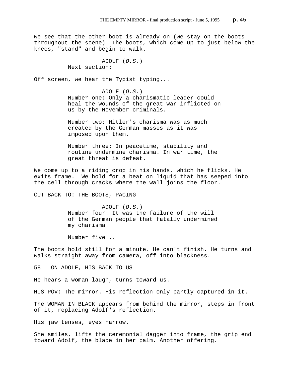We see that the other boot is already on (we stay on the boots throughout the scene). The boots, which come up to just below the knees, "stand" and begin to walk.

> ADOLF (*O.S.*) Next section:

Off screen, we hear the Typist typing...

ADOLF (*O.S.*) Number one: Only a charismatic leader could heal the wounds of the great war inflicted on us by the November criminals.

Number two: Hitler's charisma was as much created by the German masses as it was imposed upon them.

Number three: In peacetime, stability and routine undermine charisma. In war time, the great threat is defeat.

We come up to a riding crop in his hands, which he flicks. He exits frame. We hold for a beat on liquid that has seeped into the cell through cracks where the wall joins the floor.

CUT BACK TO: THE BOOTS, PACING

ADOLF (*O.S.*) Number four: It was the failure of the will of the German people that fatally undermined my charisma.

Number five...

The boots hold still for a minute. He can't finish. He turns and walks straight away from camera, off into blackness.

58 ON ADOLF, HIS BACK TO US

He hears a woman laugh, turns toward us.

HIS POV: The mirror. His reflection only partly captured in it.

The WOMAN IN BLACK appears from behind the mirror, steps in front of it, replacing Adolf's reflection.

His jaw tenses, eyes narrow.

She smiles, lifts the ceremonial dagger into frame, the grip end toward Adolf, the blade in her palm. Another offering.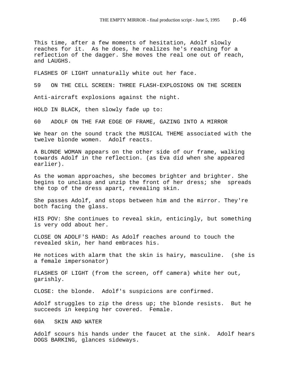This time, after a few moments of hesitation, Adolf slowly reaches for it. As he does, he realizes he's reaching for a reflection of the dagger. She moves the real one out of reach, and LAUGHS.

FLASHES OF LIGHT unnaturally white out her face.

59 ON THE CELL SCREEN: THREE FLASH-EXPLOSIONS ON THE SCREEN

Anti-aircraft explosions against the night.

HOLD IN BLACK, then slowly fade up to:

60 ADOLF ON THE FAR EDGE OF FRAME, GAZING INTO A MIRROR

We hear on the sound track the MUSICAL THEME associated with the twelve blonde women. Adolf reacts.

A BLONDE WOMAN appears on the other side of our frame, walking towards Adolf in the reflection. (as Eva did when she appeared earlier).

As the woman approaches, she becomes brighter and brighter. She begins to unclasp and unzip the front of her dress; she spreads the top of the dress apart, revealing skin.

She passes Adolf, and stops between him and the mirror. They're both facing the glass.

HIS POV: She continues to reveal skin, enticingly, but something is very odd about her.

CLOSE ON ADOLF'S HAND: As Adolf reaches around to touch the revealed skin, her hand embraces his.

He notices with alarm that the skin is hairy, masculine. (she is a female impersonator)

FLASHES OF LIGHT (from the screen, off camera) white her out, garishly.

CLOSE: the blonde. Adolf's suspicions are confirmed.

Adolf struggles to zip the dress up; the blonde resists. But he succeeds in keeping her covered. Female.

60A SKIN AND WATER

Adolf scours his hands under the faucet at the sink. Adolf hears DOGS BARKING, glances sideways.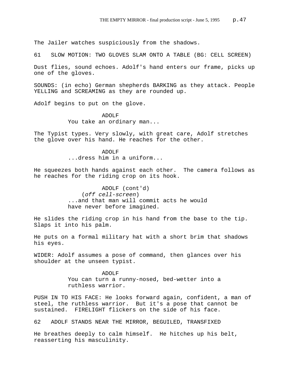The Jailer watches suspiciously from the shadows.

61 SLOW MOTION: TWO GLOVES SLAM ONTO A TABLE (BG: CELL SCREEN)

Dust flies, sound echoes. Adolf's hand enters our frame, picks up one of the gloves.

SOUNDS: (in echo) German shepherds BARKING as they attack. People YELLING and SCREAMING as they are rounded up.

Adolf begins to put on the glove.

ADOLF You take an ordinary man...

The Typist types. Very slowly, with great care, Adolf stretches the glove over his hand. He reaches for the other.

> ADOLF ...dress him in a uniform...

He squeezes both hands against each other. The camera follows as he reaches for the riding crop on its hook.

> ADOLF (cont'd) (*off cell-screen*) ...and that man will commit acts he would have never before imagined.

He slides the riding crop in his hand from the base to the tip. Slaps it into his palm.

He puts on a formal military hat with a short brim that shadows his eyes.

WIDER: Adolf assumes a pose of command, then glances over his shoulder at the unseen typist.

> ADOLF You can turn a runny-nosed, bed-wetter into a ruthless warrior.

PUSH IN TO HIS FACE: He looks forward again, confident, a man of steel, the ruthless warrior. But it's a pose that cannot be sustained. FIRELIGHT flickers on the side of his face.

62 ADOLF STANDS NEAR THE MIRROR, BEGUILED, TRANSFIXED

He breathes deeply to calm himself. He hitches up his belt, reasserting his masculinity.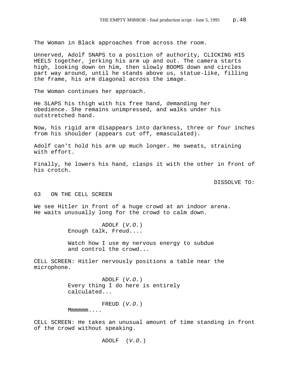The Woman in Black approaches from across the room.

Unnerved, Adolf SNAPS to a position of authority, CLICKING HIS HEELS together, jerking his arm up and out. The camera starts high, looking down on him, then slowly BOOMS down and circles part way around, until he stands above us, statue-like, filling the frame, his arm diagonal across the image.

The Woman continues her approach.

He SLAPS his thigh with his free hand, demanding her obedience. She remains unimpressed, and walks under his outstretched hand.

Now, his rigid arm disappears into darkness, three or four inches from his shoulder (appears cut off, emasculated).

Adolf can't hold his arm up much longer. He sweats, straining with effort.

Finally, he lowers his hand, clasps it with the other in front of his crotch.

DISSOLVE TO:

#### 63 ON THE CELL SCREEN

We see Hitler in front of a huge crowd at an indoor arena. He waits unusually long for the crowd to calm down.

> ADOLF (*V.O.*) Enough talk, Freud....

Watch how I use my nervous energy to subdue and control the crowd...

CELL SCREEN: Hitler nervously positions a table near the microphone.

> ADOLF (*V.O.*) Every thing I do here is entirely calculated...

> > FREUD (*V.O.*)

Mmmmmm....

CELL SCREEN: He takes an unusual amount of time standing in front of the crowd without speaking.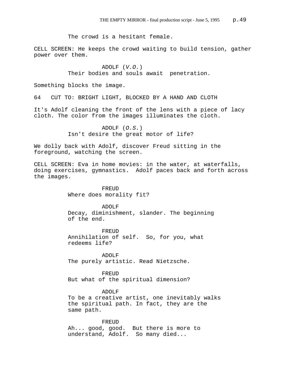The crowd is a hesitant female.

CELL SCREEN: He keeps the crowd waiting to build tension, gather power over them.

> ADOLF (*V.O.*) Their bodies and souls await penetration.

Something blocks the image.

64 CUT TO: BRIGHT LIGHT, BLOCKED BY A HAND AND CLOTH

It's Adolf cleaning the front of the lens with a piece of lacy cloth. The color from the images illuminates the cloth.

> ADOLF (*O.S.*) Isn't desire the great motor of life?

We dolly back with Adolf, discover Freud sitting in the foreground, watching the screen.

CELL SCREEN: Eva in home movies: in the water, at waterfalls, doing exercises, gymnastics. Adolf paces back and forth across the images.

> FREUD Where does morality fit?

#### ADOLF

Decay, diminishment, slander. The beginning of the end.

FREUD Annihilation of self. So, for you, what redeems life?

ADOLF The purely artistic. Read Nietzsche.

FREUD But what of the spiritual dimension?

## ADOLF

To be a creative artist, one inevitably walks the spiritual path. In fact, they are the same path.

## FREUD

Ah... good, good. But there is more to understand, Adolf. So many died...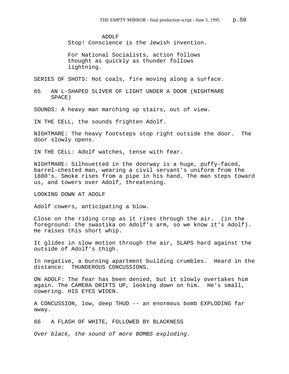ADOLF Stop! Conscience is the Jewish invention.

For National Socialists, action follows thought as quickly as thunder follows lightning.

SERIES OF SHOTS: Hot coals, fire moving along a surface.

65 AN L-SHAPED SLIVER OF LIGHT UNDER A DOOR (NIGHTMARE SPACE)

SOUNDS: A heavy man marching up stairs, out of view.

IN THE CELL, the sounds frighten Adolf.

NIGHTMARE: The heavy footsteps stop right outside the door. The door slowly opens.

IN THE CELL: Adolf watches, tense with fear.

NIGHTMARE: Silhouetted in the doorway is a huge, puffy-faced, barrel-chested man, wearing a civil servant's uniform from the 1880's. Smoke rises from a pipe in his hand. The man steps toward us, and towers over Adolf, threatening.

LOOKING DOWN AT ADOLF

Adolf cowers, anticipating a blow.

Close on the riding crop as it rises through the air. (in the foreground: the swastika on Adolf's arm, so we know it's Adolf). He raises this short whip.

It glides in slow motion through the air, SLAPS hard against the outside of Adolf's thigh.

In negative, a burning apartment building crumbles. Heard in the distance: THUNDEROUS CONCUSSIONS.

ON ADOLF: The fear has been denied, but it slowly overtakes him again. The CAMERA DRIFTS UP, looking down on him. He's small, cowering. HIS EYES WIDEN.

A CONCUSSION, low, deep THUD -- an enormous bomb EXPLODING far away.

66 A FLASH OF WHITE, FOLLOWED BY BLACKNESS

*Over black, the sound of more BOMBS exploding.*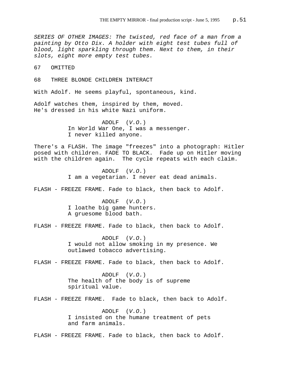*SERIES OF OTHER IMAGES: The twisted, red face of a man from a painting by Otto Dix. A holder with eight test tubes full of blood, light sparkling through them. Next to them, in their slots, eight more empty test tubes.* 

67 OMITTED

68 THREE BLONDE CHILDREN INTERACT

With Adolf. He seems playful, spontaneous, kind.

Adolf watches them, inspired by them, moved. He's dressed in his white Nazi uniform.

> ADOLF (*V.O.*) In World War One, I was a messenger. I never killed anyone.

There's a FLASH. The image "freezes" into a photograph: Hitler posed with children. FADE TO BLACK. Fade up on Hitler moving with the children again. The cycle repeats with each claim.

> ADOLF (*V.O.*) I am a vegetarian. I never eat dead animals.

FLASH - FREEZE FRAME. Fade to black, then back to Adolf.

ADOLF (*V.O.*) I loathe big game hunters. A gruesome blood bath.

FLASH - FREEZE FRAME. Fade to black, then back to Adolf.

ADOLF (*V.O.*) I would not allow smoking in my presence. We outlawed tobacco advertising.

FLASH - FREEZE FRAME. Fade to black, then back to Adolf.

ADOLF (*V.O.*) The health of the body is of supreme spiritual value.

FLASH - FREEZE FRAME. Fade to black, then back to Adolf.

ADOLF (*V.O.*) I insisted on the humane treatment of pets and farm animals.

FLASH - FREEZE FRAME. Fade to black, then back to Adolf.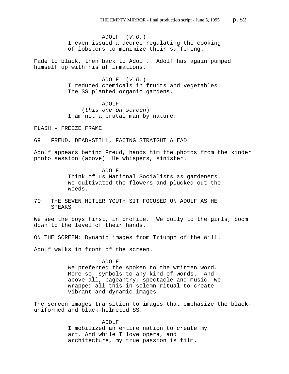ADOLF (*V.O.*) I even issued a decree regulating the cooking of lobsters to minimize their suffering.

Fade to black, then back to Adolf. Adolf has again pumped himself up with his affirmations.

> ADOLF (*V.O.*) I reduced chemicals in fruits and vegetables. The SS planted organic gardens.

ADOLF (*this one on screen*) I am not a brutal man by nature.

FLASH - FREEZE FRAME

69 FREUD, DEAD-STILL, FACING STRAIGHT AHEAD

Adolf appears behind Freud, hands him the photos from the kinder photo session (above). He whispers, sinister.

ADOLF

Think of us National Socialists as gardeners. We cultivated the flowers and plucked out the weeds.

70 THE SEVEN HITLER YOUTH SIT FOCUSED ON ADOLF AS HE SPEAKS

We see the boys first, in profile. We dolly to the girls, boom down to the level of their hands.

ON THE SCREEN: Dynamic images from Triumph of the Will.

Adolf walks in front of the screen.

## ADOLF

We preferred the spoken to the written word. More so, symbols to any kind of words. And above all, pageantry, spectacle and music. We wrapped all this in solemn ritual to create vibrant and dynamic images.

The screen images transition to images that emphasize the blackuniformed and black-helmeted SS.

## ADOLF

I mobilized an entire nation to create my art. And while I love opera, and architecture, my true passion is film.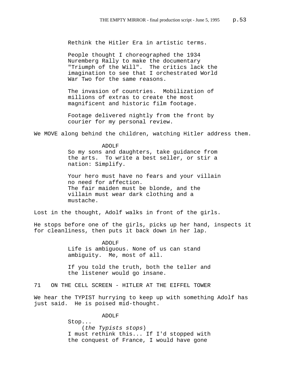Rethink the Hitler Era in artistic terms.

People thought I choreographed the 1934 Nuremberg Rally to make the documentary "Triumph of the Will". The critics lack the imagination to see that I orchestrated World War Two for the same reasons.

The invasion of countries. Mobilization of millions of extras to create the most magnificent and historic film footage.

Footage delivered nightly from the front by courier for my personal review.

We MOVE along behind the children, watching Hitler address them.

ADOLF

So my sons and daughters, take guidance from the arts. To write a best seller, or stir a nation: Simplify.

Your hero must have no fears and your villain no need for affection. The fair maiden must be blonde, and the villain must wear dark clothing and a mustache.

Lost in the thought, Adolf walks in front of the girls.

He stops before one of the girls, picks up her hand, inspects it for cleanliness, then puts it back down in her lap.

> ADOLF Life is ambiguous. None of us can stand ambiguity. Me, most of all.

If you told the truth, both the teller and the listener would go insane.

71 ON THE CELL SCREEN - HITLER AT THE EIFFEL TOWER

We hear the TYPIST hurrying to keep up with something Adolf has just said. He is poised mid-thought.

ADOLF

Stop... (*the Typists stops*) I must rethink this... If I'd stopped with the conquest of France, I would have gone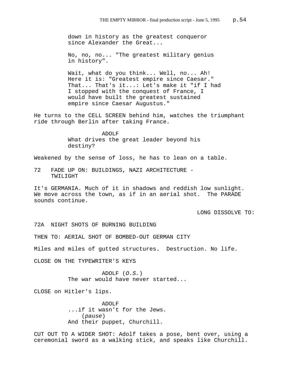down in history as the greatest conqueror since Alexander the Great...

No, no, no... "The greatest military genius in history".

Wait, what do you think... Well, no... Ah! Here it is: "Greatest empire since Caesar." That... That's it...: Let's make it "if I had I stopped with the conquest of France, I would have built the greatest sustained empire since Caesar Augustus."

He turns to the CELL SCREEN behind him, watches the triumphant ride through Berlin after taking France.

> ADOLF What drives the great leader beyond his destiny?

Weakened by the sense of loss, he has to lean on a table.

72 FADE UP ON: BUILDINGS, NAZI ARCHITECTURE - TWILIGHT

It's GERMANIA. Much of it in shadows and reddish low sunlight. We move across the town, as if in an aerial shot. The PARADE sounds continue.

LONG DISSOLVE TO:

72A NIGHT SHOTS OF BURNING BUILDING

THEN TO: AERIAL SHOT OF BOMBED-OUT GERMAN CITY

Miles and miles of gutted structures. Destruction. No life.

CLOSE ON THE TYPEWRITER'S KEYS

ADOLF (*O.S.*) The war would have never started...

CLOSE on Hitler's lips.

ADOLF ...if it wasn't for the Jews. (*pause*) And their puppet, Churchill.

CUT OUT TO A WIDER SHOT: Adolf takes a pose, bent over, using a ceremonial sword as a walking stick, and speaks like Churchill.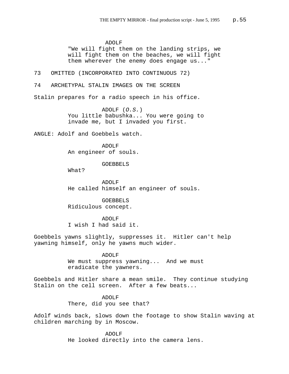ADOLF "We will fight them on the landing strips, we will fight them on the beaches, we will fight them wherever the enemy does engage us..."

73 OMITTED (INCORPORATED INTO CONTINUOUS 72)

74 ARCHETYPAL STALIN IMAGES ON THE SCREEN

Stalin prepares for a radio speech in his office.

ADOLF (*O.S.*) You little babushka... You were going to invade me, but I invaded you first.

ANGLE: Adolf and Goebbels watch.

ADOLF An engineer of souls.

GOEBBELS

What?

ADOLF He called himself an engineer of souls.

GOEBBELS Ridiculous concept.

ADOLF I wish I had said it.

Goebbels yawns slightly, suppresses it. Hitler can't help yawning himself, only he yawns much wider.

> ADOLF We must suppress yawning... And we must eradicate the yawners.

Goebbels and Hitler share a mean smile. They continue studying Stalin on the cell screen. After a few beats...

> ADOLF There, did you see that?

Adolf winds back, slows down the footage to show Stalin waving at children marching by in Moscow.

> ADOLF He looked directly into the camera lens.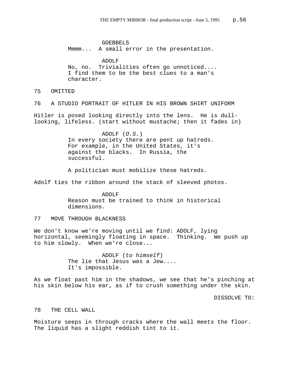GOEBBELS Mmmm... A small error in the presentation.

ADOLF No, no. Trivialities often go unnoticed.... I find them to be the best clues to a man's character.

## 75 OMITTED

76 A STUDIO PORTRAIT OF HITLER IN HIS BROWN SHIRT UNIFORM

Hitler is posed looking directly into the lens. He is dulllooking, lifeless. (start without mustache; then it fades in)

> ADOLF (*O.S.*) In every society there are pent up hatreds. For example, in the United States, it's against the blacks. In Russia, the successful.

A politician must mobilize these hatreds.

Adolf ties the ribbon around the stack of sleeved photos.

ADOLF Reason must be trained to think in historical dimensions.

## 77 MOVE THROUGH BLACKNESS

We don't know we're moving until we find: ADOLF, lying horizontal, seemingly floating in space. Thinking. We push up to him slowly. When we're close...

> ADOLF (*to himself*) The lie that Jesus was a Jew.... It's impossible.

As we float past him in the shadows, we see that he's pinching at his skin below his ear, as if to crush something under the skin.

DISSOLVE TO:

## 78 THE CELL WALL

Moisture seeps in through cracks where the wall meets the floor. The liquid has a slight reddish tint to it.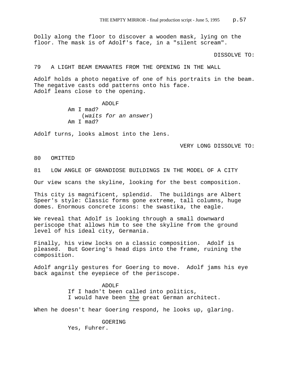Dolly along the floor to discover a wooden mask, lying on the floor. The mask is of Adolf's face, in a "silent scream".

DISSOLVE TO:

79 A LIGHT BEAM EMANATES FROM THE OPENING IN THE WALL

Adolf holds a photo negative of one of his portraits in the beam. The negative casts odd patterns onto his face. Adolf leans close to the opening.

> ADOLF Am I mad? (*waits for an answer*) Am I mad?

Adolf turns, looks almost into the lens.

VERY LONG DISSOLVE TO:

80 OMITTED

81 LOW ANGLE OF GRANDIOSE BUILDINGS IN THE MODEL OF A CITY

Our view scans the skyline, looking for the best composition.

This city is magnificent, splendid. The buildings are Albert Speer's style: Classic forms gone extreme, tall columns, huge domes. Enormous concrete icons: the swastika, the eagle.

We reveal that Adolf is looking through a small downward periscope that allows him to see the skyline from the ground level of his ideal city, Germania.

Finally, his view locks on a classic composition. Adolf is pleased. But Goering's head dips into the frame, ruining the composition.

Adolf angrily gestures for Goering to move. Adolf jams his eye back against the eyepiece of the periscope.

> ADOLF If I hadn't been called into politics, I would have been the great German architect.

When he doesn't hear Goering respond, he looks up, glaring.

GOERING Yes, Fuhrer.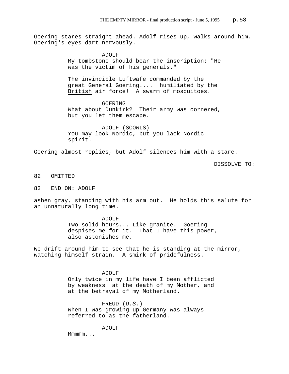Goering stares straight ahead. Adolf rises up, walks around him. Goering's eyes dart nervously.

> ADOLF My tombstone should bear the inscription: "He was the victim of his generals."

The invincible Luftwafe commanded by the great General Goering.... humiliated by the British air force! A swarm of mosquitoes.

GOERING What about Dunkirk? Their army was cornered, but you let them escape.

ADOLF (SCOWLS) You may look Nordic, but you lack Nordic spirit.

Goering almost replies, but Adolf silences him with a stare.

DISSOLVE TO:

## 82 OMITTED

83 END ON: ADOLF

ashen gray, standing with his arm out. He holds this salute for an unnaturally long time.

> ADOLF Two solid hours... Like granite. Goering despises me for it. That I have this power, also astonishes me.

We drift around him to see that he is standing at the mirror, watching himself strain. A smirk of pridefulness.

#### ADOLF

Only twice in my life have I been afflicted by weakness: at the death of my Mother, and at the betrayal of my Motherland.

FREUD (*O.S.*) When I was growing up Germany was always referred to as the fatherland.

ADOLF

Mmmmm...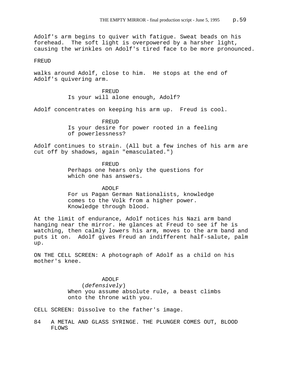Adolf's arm begins to quiver with fatigue. Sweat beads on his forehead. The soft light is overpowered by a harsher light, causing the wrinkles on Adolf's tired face to be more pronounced.

#### FREUD.

walks around Adolf, close to him. He stops at the end of Adolf's quivering arm.

> **FREUD** Is your will alone enough, Adolf?

Adolf concentrates on keeping his arm up. Freud is cool.

FREUD Is your desire for power rooted in a feeling of powerlessness?

Adolf continues to strain. (All but a few inches of his arm are cut off by shadows, again "emasculated.")

> FREUD Perhaps one hears only the questions for which one has answers.

ADOLF For us Pagan German Nationalists, knowledge comes to the Volk from a higher power. Knowledge through blood.

At the limit of endurance, Adolf notices his Nazi arm band hanging near the mirror. He glances at Freud to see if he is watching, then calmly lowers his arm, moves to the arm band and puts it on. Adolf gives Freud an indifferent half-salute, palm up.

ON THE CELL SCREEN: A photograph of Adolf as a child on his mother's knee.

> ADOLF (*defensively*) When you assume absolute rule, a beast climbs onto the throne with you.

CELL SCREEN: Dissolve to the father's image.

84 A METAL AND GLASS SYRINGE. THE PLUNGER COMES OUT, BLOOD FLOWS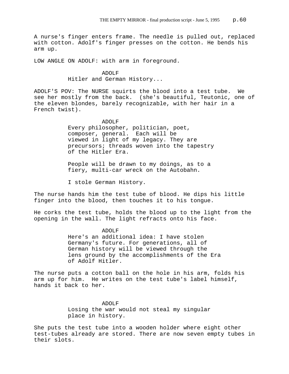A nurse's finger enters frame. The needle is pulled out, replaced with cotton. Adolf's finger presses on the cotton. He bends his arm up.

LOW ANGLE ON ADOLF: with arm in foreground.

# ADOLF Hitler and German History...

ADOLF'S POV: The NURSE squirts the blood into a test tube. We see her mostly from the back. (she's beautiful, Teutonic, one of the eleven blondes, barely recognizable, with her hair in a French twist).

## ADOLF

Every philosopher, politician, poet, composer, general. Each will be viewed in light of my legacy. They are precursors; threads woven into the tapestry of the Hitler Era.

People will be drawn to my doings, as to a fiery, multi-car wreck on the Autobahn.

I stole German History.

The nurse hands him the test tube of blood. He dips his little finger into the blood, then touches it to his tongue.

He corks the test tube, holds the blood up to the light from the opening in the wall. The light refracts onto his face.

## ADOLF

Here's an additional idea: I have stolen Germany's future. For generations, all of German history will be viewed through the lens ground by the accomplishments of the Era of Adolf Hitler.

The nurse puts a cotton ball on the hole in his arm, folds his arm up for him. He writes on the test tube's label himself, hands it back to her.

# ADOLF Losing the war would not steal my singular place in history.

She puts the test tube into a wooden holder where eight other test-tubes already are stored. There are now seven empty tubes in their slots.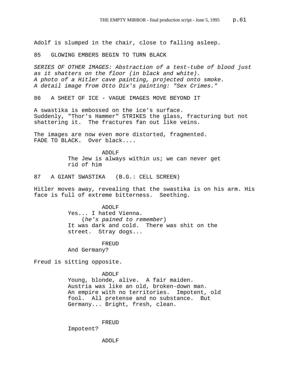Adolf is slumped in the chair, close to falling asleep.

85 GLOWING EMBERS BEGIN TO TURN BLACK

*SERIES OF OTHER IMAGES: Abstraction of a test-tube of blood just as it shatters on the floor (in black and white). A photo of a Hitler cave painting, projected onto smoke. A detail image from Otto Dix's painting: "Sex Crimes."*

86 A SHEET OF ICE - VAGUE IMAGES MOVE BEYOND IT

A swastika is embossed on the ice's surface. Suddenly, "Thor's Hammer" STRIKES the glass, fracturing but not shattering it. The fractures fan out like veins.

The images are now even more distorted, fragmented. FADE TO BLACK. Over black....

> ADOLF The Jew is always within us; we can never get rid of him

87 A GIANT SWASTIKA (B.G.: CELL SCREEN)

Hitler moves away, revealing that the swastika is on his arm. His face is full of extreme bitterness. Seething.

> ADOLF Yes... I hated Vienna. (*he's pained to remember*) It was dark and cold. There was shit on the street. Stray dogs...

FREUD And Germany?

Freud is sitting opposite.

ADOLF Young, blonde, alive. A fair maiden. Austria was like an old, broken-down man. An empire with no territories. Impotent, old fool. All pretense and no substance. But Germany... Bright, fresh, clean.

FREUD Impotent?

ADOLF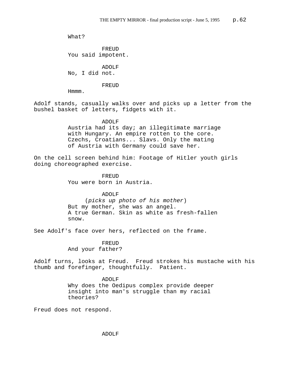What?

FREUD You said impotent.

ADOLF No, I did not.

FREUD

Hmmm.

Adolf stands, casually walks over and picks up a letter from the bushel basket of letters, fidgets with it.

ADOLF

Austria had its day; an illegitimate marriage with Hungary. An empire rotten to the core. Czechs, Croatians... Slavs. Only the mating of Austria with Germany could save her.

On the cell screen behind him: Footage of Hitler youth girls doing choreographed exercise.

> FREUD You were born in Austria.

> > ADOLF

 (*picks up photo of his mother*) But my mother, she was an angel. A true German. Skin as white as fresh-fallen snow.

See Adolf's face over hers, reflected on the frame.

FREUD And your father?

Adolf turns, looks at Freud. Freud strokes his mustache with his thumb and forefinger, thoughtfully. Patient.

> ADOLF Why does the Oedipus complex provide deeper insight into man's struggle than my racial theories?

Freud does not respond.

ADOLF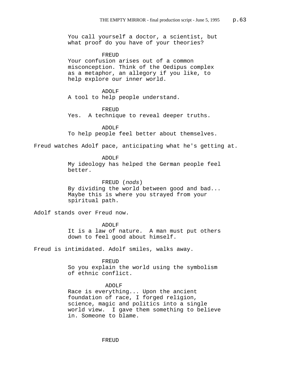You call yourself a doctor, a scientist, but what proof do you have of your theories? FREUD Your confusion arises out of a common misconception. Think of the Oedipus complex as a metaphor, an allegory if you like, to help explore our inner world. ADOLF A tool to help people understand. FREUD Yes. A technique to reveal deeper truths. ADOLF To help people feel better about themselves. Freud watches Adolf pace, anticipating what he's getting at. ADOLF My ideology has helped the German people feel better. FREUD (*nods*) By dividing the world between good and bad... Maybe this is where you strayed from your spiritual path. Adolf stands over Freud now. ADOLF It is a law of nature. A man must put others down to feel good about himself. Freud is intimidated. Adolf smiles, walks away. FREUD So you explain the world using the symbolism of ethnic conflict. ADOLF Race is everything... Upon the ancient foundation of race, I forged religion, science, magic and politics into a single world view. I gave them something to believe in. Someone to blame.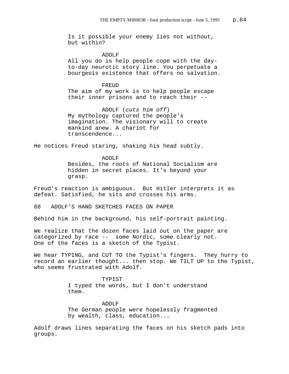Is it possible your enemy lies not without, but within?

ADOLF All you do is help people cope with the dayto-day neurotic story line. You perpetuate a bourgeois existence that offers no salvation.

## FREUD

The aim of my work is to help people escape their inner prisons and to reach their --

ADOLF (*cuts him off*) My mythology captured the people's imagination. The visionary will to create mankind anew. A chariot for transcendence...

He notices Freud staring, shaking his head subtly.

ADOLF Besides, the roots of National Socialism are hidden in secret places. It's beyond your grasp.

Freud's reaction is ambiguous. But Hitler interprets it as defeat. Satisfied, he sits and crosses his arms.

88 ADOLF'S HAND SKETCHES FACES ON PAPER

Behind him in the background, his self-portrait painting.

We realize that the dozen faces laid out on the paper are categorized by race -- some Nordic, some clearly not. One of the faces is a sketch of the Typist.

We hear TYPING, and CUT TO the Typist's fingers. They hurry to record an earlier thought... then stop. We TILT UP to the Typist, who seems frustrated with Adolf.

> TYPIST I typed the words, but I don't understand them.

ADOLF The German people were hopelessly fragmented by wealth, class, education...

Adolf draws lines separating the faces on his sketch pads into groups.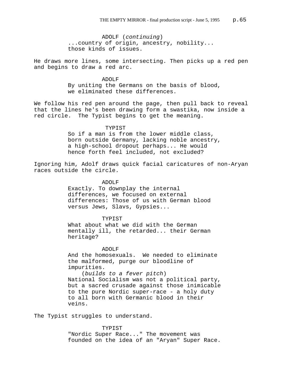ADOLF (*continuing*) ...country of origin, ancestry, nobility... those kinds of issues.

He draws more lines, some intersecting. Then picks up a red pen and begins to draw a red arc.

> ADOLF By uniting the Germans on the basis of blood, we eliminated these differences.

We follow his red pen around the page, then pull back to reveal that the lines he's been drawing form a swastika, now inside a red circle. The Typist begins to get the meaning.

## TYPIST

So if a man is from the lower middle class, born outside Germany, lacking noble ancestry, a high-school dropout perhaps... He would hence forth feel included, not excluded?

Ignoring him, Adolf draws quick facial caricatures of non-Aryan races outside the circle.

ADOLF

Exactly. To downplay the internal differences, we focused on external differences: Those of us with German blood versus Jews, Slavs, Gypsies...

#### TYPIST

What about what we did with the German mentally ill, the retarded... their German heritage?

## ADOLF

And the homosexuals. We needed to eliminate the malformed, purge our bloodline of impurities.

(*builds to a fever pitch*) National Socialism was not a political party, but a sacred crusade against those inimicable to the pure Nordic super-race - a holy duty to all born with Germanic blood in their veins.

The Typist struggles to understand.

TYPIST "Nordic Super Race..." The movement was founded on the idea of an "Aryan" Super Race.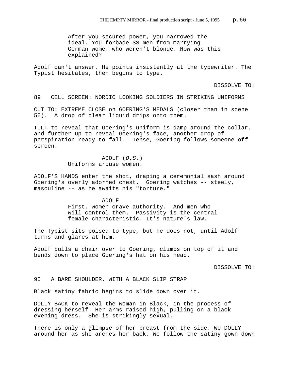After you secured power, you narrowed the ideal. You forbade SS men from marrying German women who weren't blonde. How was this explained?

Adolf can't answer. He points insistently at the typewriter. The Typist hesitates, then begins to type.

DISSOLVE TO:

89 CELL SCREEN: NORDIC LOOKING SOLDIERS IN STRIKING UNIFORMS

CUT TO: EXTREME CLOSE on GOERING'S MEDALS (closer than in scene 55). A drop of clear liquid drips onto them.

TILT to reveal that Goering's uniform is damp around the collar, and further up to reveal Goering's face, another drop of perspiration ready to fall. Tense, Goering follows someone off screen.

> ADOLF (*O.S.*) Uniforms arouse women.

ADOLF'S HANDS enter the shot, draping a ceremonial sash around Goering's overly adorned chest. Goering watches -- steely, masculine -- as he awaits his "torture."

#### ADOLF

First, women crave authority. And men who will control them. Passivity is the central female characteristic. It's nature's law.

The Typist sits poised to type, but he does not, until Adolf turns and glares at him.

Adolf pulls a chair over to Goering, climbs on top of it and bends down to place Goering's hat on his head.

DISSOLVE TO:

90 A BARE SHOULDER, WITH A BLACK SLIP STRAP

Black satiny fabric begins to slide down over it.

DOLLY BACK to reveal the Woman in Black, in the process of dressing herself. Her arms raised high, pulling on a black evening dress. She is strikingly sexual.

There is only a glimpse of her breast from the side. We DOLLY around her as she arches her back. We follow the satiny gown down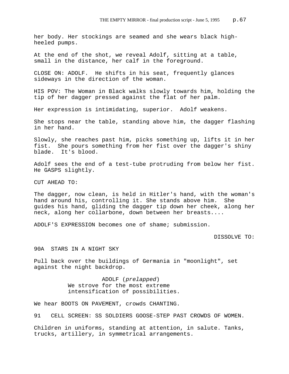her body. Her stockings are seamed and she wears black highheeled pumps.

At the end of the shot, we reveal Adolf, sitting at a table, small in the distance, her calf in the foreground.

CLOSE ON: ADOLF. He shifts in his seat, frequently glances sideways in the direction of the woman.

HIS POV: The Woman in Black walks slowly towards him, holding the tip of her dagger pressed against the flat of her palm.

Her expression is intimidating, superior. Adolf weakens.

She stops near the table, standing above him, the dagger flashing in her hand.

Slowly, she reaches past him, picks something up, lifts it in her fist. She pours something from her fist over the dagger's shiny blade. It's blood.

Adolf sees the end of a test-tube protruding from below her fist. He GASPS slightly.

CUT AHEAD TO:

The dagger, now clean, is held in Hitler's hand, with the woman's hand around his, controlling it. She stands above him. She guides his hand, gliding the dagger tip down her cheek, along her neck, along her collarbone, down between her breasts....

ADOLF'S EXPRESSION becomes one of shame; submission.

DISSOLVE TO:

90A STARS IN A NIGHT SKY

Pull back over the buildings of Germania in "moonlight", set against the night backdrop.

> ADOLF (*prelapped*) We strove for the most extreme intensification of possibilities.

We hear BOOTS ON PAVEMENT, crowds CHANTING.

91 CELL SCREEN: SS SOLDIERS GOOSE-STEP PAST CROWDS OF WOMEN.

Children in uniforms, standing at attention, in salute. Tanks, trucks, artillery, in symmetrical arrangements.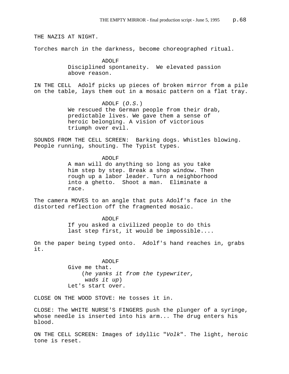THE NAZIS AT NIGHT.

Torches march in the darkness, become choreographed ritual.

ADOLF Disciplined spontaneity. We elevated passion above reason.

IN THE CELL Adolf picks up pieces of broken mirror from a pile on the table, lays them out in a mosaic pattern on a flat tray.

> ADOLF (*O.S.*) We rescued the German people from their drab, predictable lives. We gave them a sense of heroic belonging. A vision of victorious triumph over evil.

SOUNDS FROM THE CELL SCREEN: Barking dogs. Whistles blowing. People running, shouting. The Typist types.

> ADOLF A man will do anything so long as you take him step by step. Break a shop window. Then rough up a labor leader. Turn a neighborhood into a ghetto. Shoot a man. Eliminate a race.

The camera MOVES to an angle that puts Adolf's face in the distorted reflection off the fragmented mosaic.

> ADOLF If you asked a civilized people to do this last step first, it would be impossible....

On the paper being typed onto. Adolf's hand reaches in, grabs it.

> ADOLF Give me that. (*he yanks it from the typewriter, wads it up*) Let's start over.

CLOSE ON THE WOOD STOVE: He tosses it in.

CLOSE: The WHITE NURSE'S FINGERS push the plunger of a syringe, whose needle is inserted into his arm... The drug enters his blood.

ON THE CELL SCREEN: Images of idyllic "*Volk*". The light, heroic tone is reset.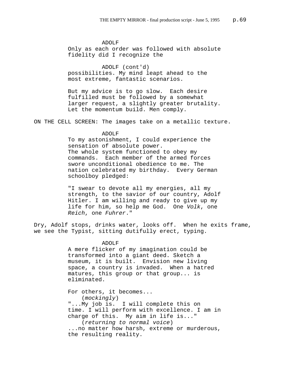ADOLF Only as each order was followed with absolute fidelity did I recognize the

ADOLF (cont'd) possibilities. My mind leapt ahead to the most extreme, fantastic scenarios.

But my advice is to go slow. Each desire fulfilled must be followed by a somewhat larger request, a slightly greater brutality. Let the momentum build. Men comply.

ON THE CELL SCREEN: The images take on a metallic texture.

## ADOLF

To my astonishment, I could experience the sensation of absolute power. The whole system functioned to obey my commands. Each member of the armed forces swore unconditional obedience to me. The nation celebrated my birthday. Every German schoolboy pledged:

"I swear to devote all my energies, all my strength, to the savior of our country, Adolf Hitler. I am willing and ready to give up my life for him, so help me God. One *Volk*, one *Reich*, one *Fuhrer*."

Dry, Adolf stops, drinks water, looks off. When he exits frame, we see the Typist, sitting dutifully erect, typing.

> ADOLF A mere flicker of my imagination could be transformed into a giant deed. Sketch a museum, it is built. Envision new living space, a country is invaded. When a hatred matures, this group or that group... is eliminated.

For others, it becomes... (*mockingly*) "...My job is. I will complete this on time. I will perform with excellence. I am in charge of this. My aim in life is..." (*returning to normal voice*) ...no matter how harsh, extreme or murderous, the resulting reality.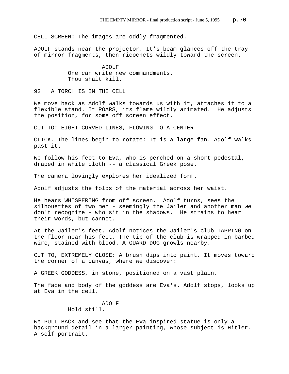CELL SCREEN: The images are oddly fragmented.

ADOLF stands near the projector. It's beam glances off the tray of mirror fragments, then ricochets wildly toward the screen.

> ADOLF One can write new commandments. Thou shalt kill.

92 A TORCH IS IN THE CELL

We move back as Adolf walks towards us with it, attaches it to a flexible stand. It ROARS, its flame wildly animated. He adjusts the position, for some off screen effect.

CUT TO: EIGHT CURVED LINES, FLOWING TO A CENTER

CLICK. The lines begin to rotate: It is a large fan. Adolf walks past it.

We follow his feet to Eva, who is perched on a short pedestal, draped in white cloth -- a classical Greek pose.

The camera lovingly explores her idealized form.

Adolf adjusts the folds of the material across her waist.

He hears WHISPERING from off screen. Adolf turns, sees the silhouettes of two men - seemingly the Jailer and another man we don't recognize - who sit in the shadows. He strains to hear their words, but cannot.

At the Jailer's feet, Adolf notices the Jailer's club TAPPING on the floor near his feet. The tip of the club is wrapped in barbed wire, stained with blood. A GUARD DOG growls nearby.

CUT TO, EXTREMELY CLOSE: A brush dips into paint. It moves toward the corner of a canvas, where we discover:

A GREEK GODDESS, in stone, positioned on a vast plain.

The face and body of the goddess are Eva's. Adolf stops, looks up at Eva in the cell.

> ADOLF Hold still.

We PULL BACK and see that the Eva-inspired statue is only a background detail in a larger painting, whose subject is Hitler. A self-portrait.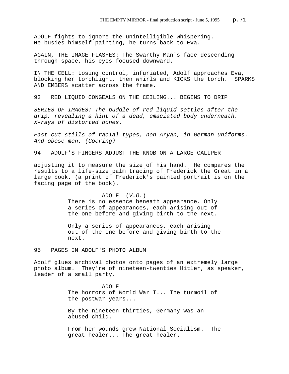ADOLF fights to ignore the unintelligible whispering. He busies himself painting, he turns back to Eva.

AGAIN, THE IMAGE FLASHES: The Swarthy Man's face descending through space, his eyes focused downward.

IN THE CELL: Losing control, infuriated, Adolf approaches Eva, blocking her torchlight, then whirls and KICKS the torch. SPARKS AND EMBERS scatter across the frame.

93 RED LIQUID CONGEALS ON THE CEILING... BEGINS TO DRIP

*SERIES OF IMAGES: The puddle of red liquid settles after the drip, revealing a hint of a dead, emaciated body underneath. X-rays of distorted bones.*

*Fast-cut stills of racial types, non-Aryan, in German uniforms. And obese men. (Goering)*

94 ADOLF'S FINGERS ADJUST THE KNOB ON A LARGE CALIPER

adjusting it to measure the size of his hand. He compares the results to a life-size palm tracing of Frederick the Great in a large book. (a print of Frederick's painted portrait is on the facing page of the book).

#### ADOLF (*V.O.*)

There is no essence beneath appearance. Only a series of appearances, each arising out of the one before and giving birth to the next.

Only a series of appearances, each arising out of the one before and giving birth to the next.

95 PAGES IN ADOLF'S PHOTO ALBUM

Adolf glues archival photos onto pages of an extremely large photo album. They're of nineteen-twenties Hitler, as speaker, leader of a small party.

> ADOLF The horrors of World War I... The turmoil of the postwar years...

By the nineteen thirties, Germany was an abused child.

From her wounds grew National Socialism. The great healer... The great healer.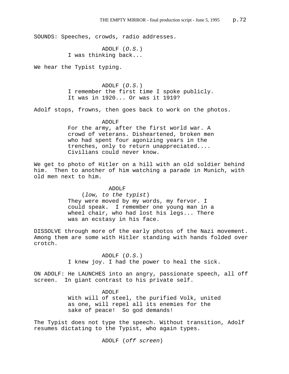SOUNDS: Speeches, crowds, radio addresses.

ADOLF (*O.S.*) I was thinking back...

We hear the Typist typing.

ADOLF (*O.S.*) I remember the first time I spoke publicly. It was in 1920... Or was it 1919?

Adolf stops, frowns, then goes back to work on the photos.

### ADOLF

For the army, after the first world war. A crowd of veterans. Disheartened, broken men who had spent four agonizing years in the trenches, only to return unappreciated.... Civilians could never know.

We get to photo of Hitler on a hill with an old soldier behind him. Then to another of him watching a parade in Munich, with old men next to him.

> ADOLF (*low, to the typist*) They were moved by my words, my fervor. I could speak. I remember one young man in a wheel chair, who had lost his legs... There was an ecstasy in his face.

DISSOLVE through more of the early photos of the Nazi movement. Among them are some with Hitler standing with hands folded over crotch.

> ADOLF (*O.S.*) I knew joy. I had the power to heal the sick.

ON ADOLF: He LAUNCHES into an angry, passionate speech, all off screen. In giant contrast to his private self.

> ADOLF With will of steel, the purified Volk, united as one, will repel all its enemies for the sake of peace! So god demands!

The Typist does not type the speech. Without transition, Adolf resumes dictating to the Typist, who again types.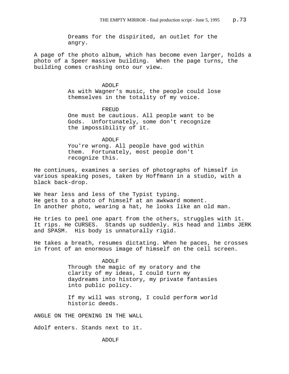Dreams for the dispirited, an outlet for the angry.

A page of the photo album, which has become even larger, holds a photo of a Speer massive building. When the page turns, the building comes crashing onto our view.

## ADOLF

As with Wagner's music, the people could lose themselves in the totality of my voice.

#### FREUD

One must be cautious. All people want to be Gods. Unfortunately, some don't recognize the impossibility of it.

# ADOLF

You're wrong. All people have god within them. Fortunately, most people don't recognize this.

He continues, examines a series of photographs of himself in various speaking poses, taken by Hoffmann in a studio, with a black back-drop.

We hear less and less of the Typist typing. He gets to a photo of himself at an awkward moment. In another photo, wearing a hat, he looks like an old man.

He tries to peel one apart from the others, struggles with it. It rips. He CURSES. Stands up suddenly. His head and limbs JERK and SPASM. His body is unnaturally rigid.

He takes a breath, resumes dictating. When he paces, he crosses in front of an enormous image of himself on the cell screen.

# ADOLF

Through the magic of my oratory and the clarity of my ideas, I could turn my daydreams into history, my private fantasies into public policy.

If my will was strong, I could perform world historic deeds.

ANGLE ON THE OPENING IN THE WALL

Adolf enters. Stands next to it.

ADOLF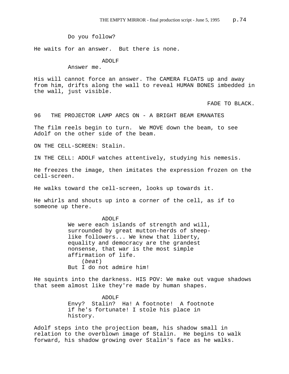Do you follow?

He waits for an answer. But there is none.

ADOLF

Answer me.

His will cannot force an answer. The CAMERA FLOATS up and away from him, drifts along the wall to reveal HUMAN BONES imbedded in the wall, just visible.

FADE TO BLACK.

96 THE PROJECTOR LAMP ARCS ON - A BRIGHT BEAM EMANATES

The film reels begin to turn. We MOVE down the beam, to see Adolf on the other side of the beam.

ON THE CELL-SCREEN: Stalin.

IN THE CELL: ADOLF watches attentively, studying his nemesis.

He freezes the image, then imitates the expression frozen on the cell-screen.

He walks toward the cell-screen, looks up towards it.

He whirls and shouts up into a corner of the cell, as if to someone up there.

ADOLF

We were each islands of strength and will, surrounded by great mutton-herds of sheeplike followers... We knew that liberty, equality and democracy are the grandest nonsense, that war is the most simple affirmation of life. (*beat*) But I do not admire him!

He squints into the darkness. HIS POV: We make out vague shadows that seem almost like they're made by human shapes.

> ADOLF Envy? Stalin? Ha! A footnote! A footnote if he's fortunate! I stole his place in history.

Adolf steps into the projection beam, his shadow small in relation to the overblown image of Stalin. He begins to walk forward, his shadow growing over Stalin's face as he walks.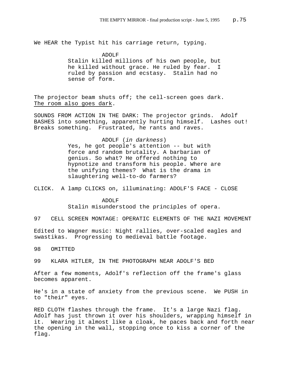We HEAR the Typist hit his carriage return, typing.

ADOLF

Stalin killed millions of his own people, but he killed without grace. He ruled by fear. I ruled by passion and ecstasy. Stalin had no sense of form.

The projector beam shuts off; the cell-screen goes dark. The room also goes dark.

SOUNDS FROM ACTION IN THE DARK: The projector grinds. Adolf BASHES into something, apparently hurting himself. Lashes out! Breaks something. Frustrated, he rants and raves.

> ADOLF (*in darkness*) Yes, he got people's attention -- but with force and random brutality. A barbarian of genius. So what? He offered nothing to hypnotize and transform his people. Where are the unifying themes? What is the drama in slaughtering well-to-do farmers?

CLICK. A lamp CLICKS on, illuminating: ADOLF'S FACE - CLOSE

ADOLF Stalin misunderstood the principles of opera.

97 CELL SCREEN MONTAGE: OPERATIC ELEMENTS OF THE NAZI MOVEMENT

Edited to Wagner music: Night rallies, over-scaled eagles and swastikas. Progressing to medieval battle footage.

98 OMITTED

99 KLARA HITLER, IN THE PHOTOGRAPH NEAR ADOLF'S BED

After a few moments, Adolf's reflection off the frame's glass becomes apparent.

He's in a state of anxiety from the previous scene. We PUSH in to "their" eyes.

RED CLOTH flashes through the frame. It's a large Nazi flag. Adolf has just thrown it over his shoulders, wrapping himself in it. Wearing it almost like a cloak, he paces back and forth near the opening in the wall, stopping once to kiss a corner of the flag.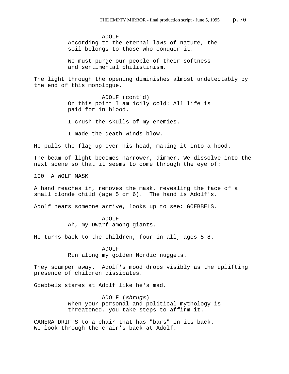ADOLF According to the eternal laws of nature, the soil belongs to those who conquer it.

We must purge our people of their softness and sentimental philistinism.

The light through the opening diminishes almost undetectably by the end of this monologue.

> ADOLF (cont'd) On this point I am icily cold: All life is paid for in blood.

I crush the skulls of my enemies.

I made the death winds blow.

He pulls the flag up over his head, making it into a hood.

The beam of light becomes narrower, dimmer. We dissolve into the next scene so that it seems to come through the eye of:

100 A WOLF MASK

A hand reaches in, removes the mask, revealing the face of a small blonde child (age 5 or 6). The hand is Adolf's.

Adolf hears someone arrive, looks up to see: GOEBBELS.

ADOLF Ah, my Dwarf among giants.

He turns back to the children, four in all, ages 5-8.

ADOLF Run along my golden Nordic nuggets.

They scamper away. Adolf's mood drops visibly as the uplifting presence of children dissipates.

Goebbels stares at Adolf like he's mad.

ADOLF (*shrugs*) When your personal and political mythology is threatened, you take steps to affirm it.

CAMERA DRIFTS to a chair that has "bars" in its back. We look through the chair's back at Adolf.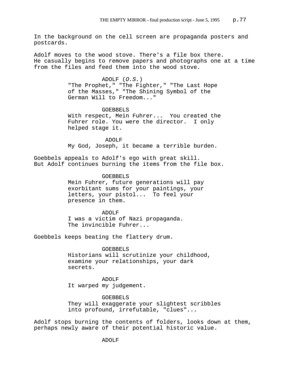In the background on the cell screen are propaganda posters and postcards.

Adolf moves to the wood stove. There's a file box there. He casually begins to remove papers and photographs one at a time from the files and feed them into the wood stove.

> ADOLF (*O.S.*) "The Prophet," "The Fighter," "The Last Hope of the Masses," "The Shining Symbol of the German Will to Freedom..."

# GOEBBELS With respect, Mein Fuhrer... You created the Fuhrer role. You were the director. I only helped stage it.

 ADOLF My God, Joseph, it became a terrible burden.

Goebbels appeals to Adolf's ego with great skill. But Adolf continues burning the items from the file box.

> GOEBBELS Mein Fuhrer, future generations will pay exorbitant sums for your paintings, your letters, your pistol... To feel your presence in them.

ADOLF I was a victim of Nazi propaganda. The invincible Fuhrer...

Goebbels keeps beating the flattery drum.

#### GOEBBELS

Historians will scrutinize your childhood, examine your relationships, your dark secrets.

ADOLF It warped my judgement.

GOEBBELS They will exaggerate your slightest scribbles into profound, irrefutable, "clues"...

Adolf stops burning the contents of folders, looks down at them, perhaps newly aware of their potential historic value.

ADOLF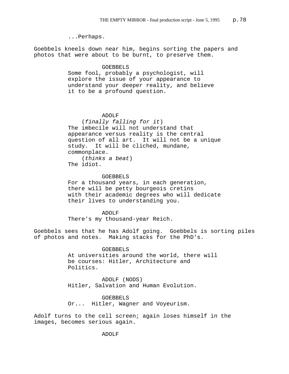...Perhaps.

Goebbels kneels down near him, begins sorting the papers and photos that were about to be burnt, to preserve them.

## GOEBBELS

Some fool, probably a psychologist, will explore the issue of your appearance to understand your deeper reality, and believe it to be a profound question.

# ADOLF

(*finally falling for it*) The imbecile will not understand that appearance versus reality is the central question of all art. It will not be a unique study. It will be cliched, mundane, commonplace. (*thinks a beat*)

The idiot.

## GOEBBELS

For a thousand years, in each generation, there will be petty bourgeois cretins with their academic degrees who will dedicate their lives to understanding you.

ADOLF There's my thousand-year Reich.

Goebbels sees that he has Adolf going. Goebbels is sorting piles of photos and notes. Making stacks for the PhD's.

# GOEBBELS

At universities around the world, there will be courses: Hitler, Architecture and Politics.

ADOLF (NODS) Hitler, Salvation and Human Evolution.

## GOEBBELS

Or... Hitler, Wagner and Voyeurism.

Adolf turns to the cell screen; again loses himself in the images, becomes serious again.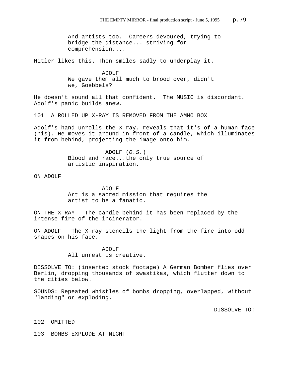And artists too. Careers devoured, trying to bridge the distance... striving for comprehension....

Hitler likes this. Then smiles sadly to underplay it.

ADOLF We gave them all much to brood over, didn't we, Goebbels?

He doesn't sound all that confident. The MUSIC is discordant. Adolf's panic builds anew.

101 A ROLLED UP X-RAY IS REMOVED FROM THE AMMO BOX

Adolf's hand unrolls the X-ray, reveals that it's of a human face (his). He moves it around in front of a candle, which illuminates it from behind, projecting the image onto him.

> ADOLF (*O.S.*) Blood and race...the only true source of artistic inspiration.

ON ADOLF

ADOLF Art is a sacred mission that requires the artist to be a fanatic.

ON THE X-RAY The candle behind it has been replaced by the intense fire of the incinerator.

ON ADOLF The X-ray stencils the light from the fire into odd shapes on his face.

> ADOLF All unrest is creative.

DISSOLVE TO: (inserted stock footage) A German Bomber flies over Berlin, dropping thousands of swastikas, which flutter down to the cities below.

SOUNDS: Repeated whistles of bombs dropping, overlapped, without "landing" or exploding.

DISSOLVE TO:

102 OMITTED

103 BOMBS EXPLODE AT NIGHT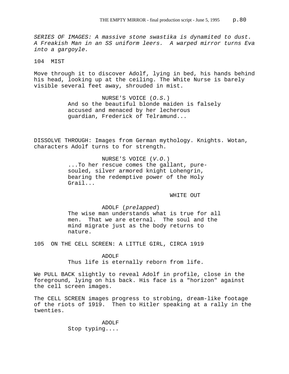*SERIES OF IMAGES: A massive stone swastika is dynamited to dust. A Freakish Man in an SS uniform leers. A warped mirror turns Eva into a gargoyle.* 

104 MIST

Move through it to discover Adolf, lying in bed, his hands behind his head, looking up at the ceiling. The White Nurse is barely visible several feet away, shrouded in mist.

> NURSE'S VOICE (*O.S.*) And so the beautiful blonde maiden is falsely accused and menaced by her lecherous guardian, Frederick of Telramund...

DISSOLVE THROUGH: Images from German mythology. Knights. Wotan, characters Adolf turns to for strength.

> NURSE'S VOICE (*V.O.*) ...To her rescue comes the gallant, puresouled, silver armored knight Lohengrin, bearing the redemptive power of the Holy Grail...

> > WHITE OUT

ADOLF (*prelapped*) The wise man understands what is true for all men. That we are eternal. The soul and the mind migrate just as the body returns to nature.

105 ON THE CELL SCREEN: A LITTLE GIRL, CIRCA 1919

ADOLF Thus life is eternally reborn from life.

We PULL BACK slightly to reveal Adolf in profile, close in the foreground, lying on his back. His face is a "horizon" against the cell screen images.

The CELL SCREEN images progress to strobing, dream-like footage of the riots of 1919. Then to Hitler speaking at a rally in the twenties.

> ADOLF Stop typing....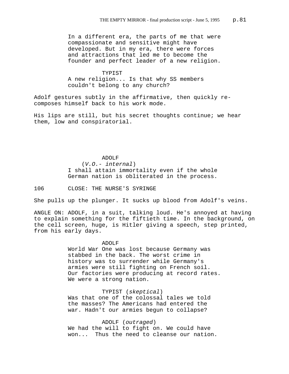In a different era, the parts of me that were compassionate and sensitive might have developed. But in my era, there were forces and attractions that led me to become the founder and perfect leader of a new religion.

# TYPIST A new religion... Is that why SS members couldn't belong to any church?

Adolf gestures subtly in the affirmative, then quickly recomposes himself back to his work mode.

His lips are still, but his secret thoughts continue; we hear them, low and conspiratorial.

# ADOLF (*V.O.- internal*) I shall attain immortality even if the whole German nation is obliterated in the process.

106 CLOSE: THE NURSE'S SYRINGE

She pulls up the plunger. It sucks up blood from Adolf's veins.

ANGLE ON: ADOLF, in a suit, talking loud. He's annoyed at having to explain something for the fiftieth time. In the background, on the cell screen, huge, is Hitler giving a speech, step printed, from his early days.

## ADOLF

World War One was lost because Germany was stabbed in the back. The worst crime in history was to surrender while Germany's armies were still fighting on French soil. Our factories were producing at record rates. We were a strong nation.

TYPIST (*skeptical*) Was that one of the colossal tales we told the masses? The Americans had entered the war. Hadn't our armies begun to collapse?

ADOLF (*outraged*) We had the will to fight on. We could have won... Thus the need to cleanse our nation.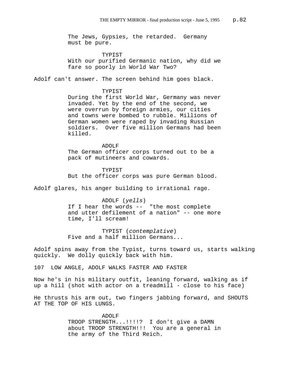The Jews, Gypsies, the retarded. Germany must be pure.

TYPIST With our purified Germanic nation, why did we fare so poorly in World War Two?

Adolf can't answer. The screen behind him goes black.

#### TYPIST

During the first World War, Germany was never invaded. Yet by the end of the second, we were overrun by foreign armies, our cities and towns were bombed to rubble. Millions of German women were raped by invading Russian soldiers. Over five million Germans had been killed.

ADOLF The German officer corps turned out to be a pack of mutineers and cowards.

#### TYPIST

But the officer corps was pure German blood.

Adolf glares, his anger building to irrational rage.

ADOLF (*yells*) If I hear the words -- "the most complete and utter defilement of a nation" -- one more time, I'll scream!

TYPIST (*contemplative*) Five and a half million Germans...

Adolf spins away from the Typist, turns toward us, starts walking quickly. We dolly quickly back with him.

107 LOW ANGLE, ADOLF WALKS FASTER AND FASTER

Now he's in his military outfit, leaning forward, walking as if up a hill (shot with actor on a treadmill - close to his face)

He thrusts his arm out, two fingers jabbing forward, and SHOUTS AT THE TOP OF HIS LUNGS.

> ADOLF TROOP STRENGTH...!!!!? I don't give a DAMN about TROOP STRENGTH!!! You are a general in the army of the Third Reich.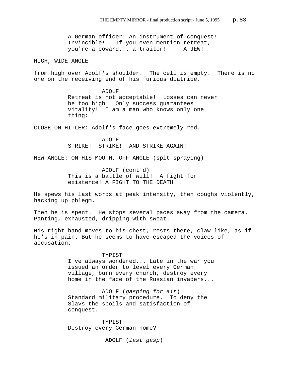A German officer! An instrument of conquest! Invincible! If you even mention retreat, you're a coward... a traitor! A JEW!

HIGH, WIDE ANGLE

from high over Adolf's shoulder. The cell is empty. There is no one on the receiving end of his furious diatribe.

> ADOLF Retreat is not acceptable! Losses can never be too high! Only success guarantees vitality! I am a man who knows only one thing:

CLOSE ON HITLER: Adolf's face goes extremely red.

ADOLF STRIKE! STRIKE! AND STRIKE AGAIN!

NEW ANGLE: ON HIS MOUTH, OFF ANGLE (spit spraying)

ADOLF (cont'd) This is a battle of will! A fight for existence! A FIGHT TO THE DEATH!

He spews his last words at peak intensity, then coughs violently, hacking up phlegm.

Then he is spent. He stops several paces away from the camera. Panting, exhausted, dripping with sweat.

His right hand moves to his chest, rests there, claw-like, as if he's in pain. But he seems to have escaped the voices of accusation.

#### TYPIST

I've always wondered... Late in the war you issued an order to level every German village, burn every church, destroy every home in the face of the Russian invaders...

ADOLF (*gasping for air*) Standard military procedure. To deny the Slavs the spoils and satisfaction of conquest.

TYPIST Destroy every German home?

ADOLF (*last gasp*)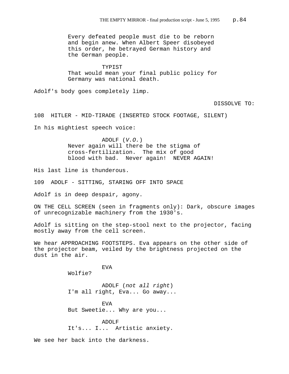Every defeated people must die to be reborn and begin anew. When Albert Speer disobeyed this order, he betrayed German history and the German people.

TYPIST That would mean your final public policy for Germany was national death.

Adolf's body goes completely limp.

DISSOLVE TO:

108 HITLER - MID-TIRADE (INSERTED STOCK FOOTAGE, SILENT)

In his mightiest speech voice:

ADOLF (*V.O.*) Never again will there be the stigma of cross-fertilization. The mix of good blood with bad. Never again! NEVER AGAIN!

His last line is thunderous.

109 ADOLF - SITTING, STARING OFF INTO SPACE

EVA

Adolf is in deep despair, agony.

ON THE CELL SCREEN (seen in fragments only): Dark, obscure images of unrecognizable machinery from the 1930's.

Adolf is sitting on the step-stool next to the projector, facing mostly away from the cell screen.

We hear APPROACHING FOOTSTEPS. Eva appears on the other side of the projector beam, veiled by the brightness projected on the dust in the air.

Wolfie?

ADOLF (*not all right*) I'm all right, Eva... Go away...

EVA But Sweetie... Why are you...

ADOLF It's... I... Artistic anxiety.

We see her back into the darkness.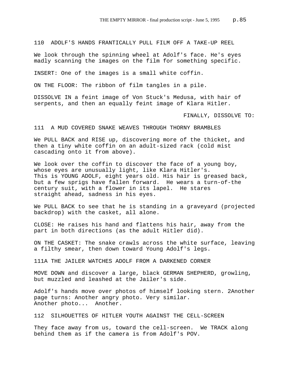110 ADOLF'S HANDS FRANTICALLY PULL FILM OFF A TAKE-UP REEL

We look through the spinning wheel at Adolf's face. He's eyes madly scanning the images on the film for something specific.

INSERT: One of the images is a small white coffin.

ON THE FLOOR: The ribbon of film tangles in a pile.

DISSOLVE IN a feint image of Von Stuck's Medusa, with hair of serpents, and then an equally feint image of Klara Hitler.

FINALLY, DISSOLVE TO:

111 A MUD COVERED SNAKE WEAVES THROUGH THORNY BRAMBLES

We PULL BACK and RISE up, discovering more of the thicket, and then a tiny white coffin on an adult-sized rack (cold mist cascading onto it from above).

We look over the coffin to discover the face of a young boy, whose eyes are unusually light, like Klara Hitler's. This is YOUNG ADOLF, eight years old. His hair is greased back, but a few sprigs have fallen forward. He wears a turn-of-the century suit, with a flower in its lapel. He stares straight ahead, sadness in his eyes.

We PULL BACK to see that he is standing in a graveyard (projected backdrop) with the casket, all alone.

CLOSE: He raises his hand and flattens his hair, away from the part in both directions (as the adult Hitler did).

ON THE CASKET: The snake crawls across the white surface, leaving a filthy smear, then down toward Young Adolf's legs.

111A THE JAILER WATCHES ADOLF FROM A DARKENED CORNER

MOVE DOWN and discover a large, black GERMAN SHEPHERD, growling, but muzzled and leashed at the Jailer's side.

Adolf's hands move over photos of himself looking stern. 2Another page turns: Another angry photo. Very similar. Another photo... Another.

112 SILHOUETTES OF HITLER YOUTH AGAINST THE CELL-SCREEN

They face away from us, toward the cell-screen. We TRACK along behind them as if the camera is from Adolf's POV.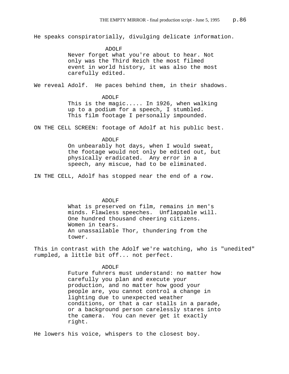He speaks conspiratorially, divulging delicate information.

 ADOLF Never forget what you're about to hear. Not only was the Third Reich the most filmed event in world history, it was also the most carefully edited.

We reveal Adolf. He paces behind them, in their shadows.

#### ADOLF

This is the magic..... In 1926, when walking up to a podium for a speech, I stumbled. This film footage I personally impounded.

ON THE CELL SCREEN: footage of Adolf at his public best.

### ADOLF

On unbearably hot days, when I would sweat, the footage would not only be edited out, but physically eradicated. Any error in a speech, any miscue, had to be eliminated.

IN THE CELL, Adolf has stopped near the end of a row.

## ADOLF

What is preserved on film, remains in men's minds. Flawless speeches. Unflappable will. One hundred thousand cheering citizens. Women in tears. An unassailable Thor, thundering from the tower.

This in contrast with the Adolf we're watching, who is "unedited" rumpled, a little bit off... not perfect.

# ADOLF

Future fuhrers must understand: no matter how carefully you plan and execute your production, and no matter how good your people are, you cannot control a change in lighting due to unexpected weather conditions, or that a car stalls in a parade, or a background person carelessly stares into the camera. You can never get it exactly right.

He lowers his voice, whispers to the closest boy.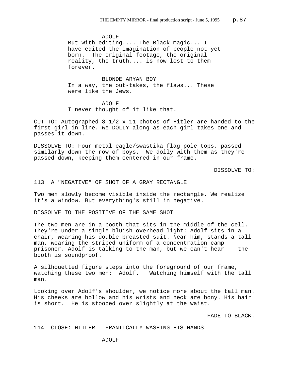ADOLF But with editing.... The Black magic... I have edited the imagination of people not yet born. The original footage, the original reality, the truth.... is now lost to them forever.

BLONDE ARYAN BOY In a way, the out-takes, the flaws... These were like the Jews.

ADOLF I never thought of it like that.

CUT TO: Autographed 8 1/2 x 11 photos of Hitler are handed to the first girl in line. We DOLLY along as each girl takes one and passes it down.

DISSOLVE TO: Four metal eagle/swastika flag-pole tops, passed similarly down the row of boys. We dolly with them as they're passed down, keeping them centered in our frame.

DISSOLVE TO:

# 113 A "NEGATIVE" OF SHOT OF A GRAY RECTANGLE

Two men slowly become visible inside the rectangle. We realize it's a window. But everything's still in negative.

DISSOLVE TO THE POSITIVE OF THE SAME SHOT

The two men are in a booth that sits in the middle of the cell. They're under a single bluish overhead light: Adolf sits in a chair, wearing his double-breasted suit. Near him, stands a tall man, wearing the striped uniform of a concentration camp prisoner. Adolf is talking to the man, but we can't hear -- the booth is soundproof.

A silhouetted figure steps into the foreground of our frame, watching these two men: Adolf. Watching himself with the tall man.

Looking over Adolf's shoulder, we notice more about the tall man. His cheeks are hollow and his wrists and neck are bony. His hair is short. He is stooped over slightly at the waist.

FADE TO BLACK.

### 114 CLOSE: HITLER - FRANTICALLY WASHING HIS HANDS

## ADOLF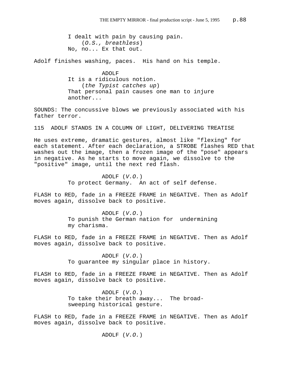I dealt with pain by causing pain. (*O.S., breathless*) No, no... Ex that out.

Adolf finishes washing, paces. His hand on his temple.

ADOLF It is a ridiculous notion. (*the Typist catches up*) That personal pain causes one man to injure another...

SOUNDS: The concussive blows we previously associated with his father terror.

115 ADOLF STANDS IN A COLUMN OF LIGHT, DELIVERING TREATISE

He uses extreme, dramatic gestures, almost like "flexing" for each statement. After each declaration, a STROBE flashes RED that washes out the image, then a frozen image of the "pose" appears in negative. As he starts to move again, we dissolve to the "positive" image, until the next red flash.

> ADOLF (*V.O.*) To protect Germany. An act of self defense.

FLASH to RED, fade in a FREEZE FRAME in NEGATIVE. Then as Adolf moves again, dissolve back to positive.

> ADOLF (*V.O.*) To punish the German nation for undermining my charisma.

FLASH to RED, fade in a FREEZE FRAME in NEGATIVE. Then as Adolf moves again, dissolve back to positive.

> ADOLF (*V.O.*) To guarantee my singular place in history.

FLASH to RED, fade in a FREEZE FRAME in NEGATIVE. Then as Adolf moves again, dissolve back to positive.

> ADOLF (*V.O.*) To take their breath away... The broadsweeping historical gesture.

FLASH to RED, fade in a FREEZE FRAME in NEGATIVE. Then as Adolf moves again, dissolve back to positive.

ADOLF (*V.O.*)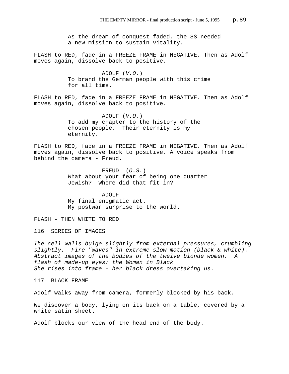As the dream of conquest faded, the SS needed a new mission to sustain vitality.

FLASH to RED, fade in a FREEZE FRAME in NEGATIVE. Then as Adolf moves again, dissolve back to positive.

> ADOLF (*V.O.*) To brand the German people with this crime for all time.

FLASH to RED, fade in a FREEZE FRAME in NEGATIVE. Then as Adolf moves again, dissolve back to positive.

> ADOLF (*V.O.*) To add my chapter to the history of the chosen people. Their eternity is my eternity.

FLASH to RED, fade in a FREEZE FRAME in NEGATIVE. Then as Adolf moves again, dissolve back to positive. A voice speaks from behind the camera - Freud.

> FREUD (*O.S.*) What about your fear of being one quarter Jewish? Where did that fit in?

ADOLF My final enigmatic act. My postwar surprise to the world.

FLASH - THEN WHITE TO RED

116 SERIES OF IMAGES

*The cell walls bulge slightly from external pressures, crumbling slightly. Fire "waves" in extreme slow motion (black & white). Abstract images of the bodies of the twelve blonde women. A flash of made-up eyes: the Woman in Black She rises into frame - her black dress overtaking us.*

117 BLACK FRAME

Adolf walks away from camera, formerly blocked by his back.

We discover a body, lying on its back on a table, covered by a white satin sheet.

Adolf blocks our view of the head end of the body.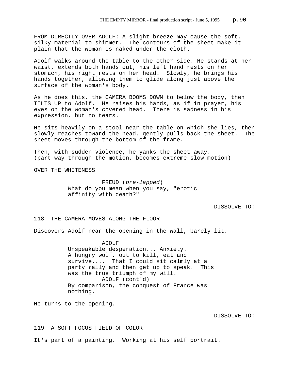FROM DIRECTLY OVER ADOLF: A slight breeze may cause the soft, silky material to shimmer. The contours of the sheet make it plain that the woman is naked under the cloth.

Adolf walks around the table to the other side. He stands at her waist, extends both hands out, his left hand rests on her stomach, his right rests on her head. Slowly, he brings his hands together, allowing them to glide along just above the surface of the woman's body.

As he does this, the CAMERA BOOMS DOWN to below the body, then TILTS UP to Adolf. He raises his hands, as if in prayer, his eyes on the woman's covered head. There is sadness in his expression, but no tears.

He sits heavily on a stool near the table on which she lies, then slowly reaches toward the head, gently pulls back the sheet. The sheet moves through the bottom of the frame.

Then, with sudden violence, he yanks the sheet away. (part way through the motion, becomes extreme slow motion)

OVER THE WHITENESS

FREUD (*pre-lapped*) What do you mean when you say, "erotic affinity with death?"

#### DISSOLVE TO:

118 THE CAMERA MOVES ALONG THE FLOOR

Discovers Adolf near the opening in the wall, barely lit.

ADOLF Unspeakable desperation... Anxiety. A hungry wolf, out to kill, eat and survive.... That I could sit calmly at a party rally and then get up to speak. This was the true triumph of my will. ADOLF (cont'd) By comparison, the conquest of France was nothing.

He turns to the opening.

DISSOLVE TO:

119 A SOFT-FOCUS FIELD OF COLOR

It's part of a painting. Working at his self portrait.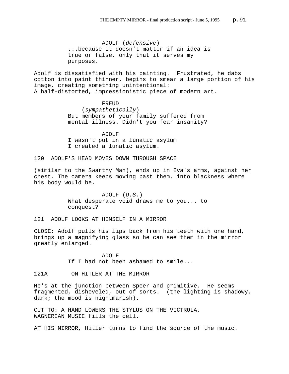ADOLF (*defensive*) ...because it doesn't matter if an idea is true or false, only that it serves my purposes.

Adolf is dissatisfied with his painting. Frustrated, he dabs cotton into paint thinner, begins to smear a large portion of his image, creating something unintentional: A half-distorted, impressionistic piece of modern art.

> FREUD (*sympathetically*) But members of your family suffered from mental illness. Didn't you fear insanity?

ADOLF I wasn't put in a lunatic asylum I created a lunatic asylum.

120 ADOLF'S HEAD MOVES DOWN THROUGH SPACE

(similar to the Swarthy Man), ends up in Eva's arms, against her chest. The camera keeps moving past them, into blackness where his body would be.

> ADOLF (*O.S.*) What desperate void draws me to you... to conquest?

121 ADOLF LOOKS AT HIMSELF IN A MIRROR

CLOSE: Adolf pulls his lips back from his teeth with one hand, brings up a magnifying glass so he can see them in the mirror greatly enlarged.

> ADOLF If I had not been ashamed to smile...

121A ON HITLER AT THE MIRROR

He's at the junction between Speer and primitive. He seems fragmented, disheveled, out of sorts. (the lighting is shadowy, dark; the mood is nightmarish).

CUT TO: A HAND LOWERS THE STYLUS ON THE VICTROLA. WAGNERIAN MUSIC fills the cell.

AT HIS MIRROR, Hitler turns to find the source of the music.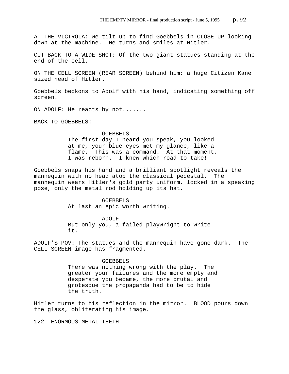AT THE VICTROLA: We tilt up to find Goebbels in CLOSE UP looking down at the machine. He turns and smiles at Hitler.

CUT BACK TO A WIDE SHOT: Of the two giant statues standing at the end of the cell.

ON THE CELL SCREEN (REAR SCREEN) behind him: a huge Citizen Kane sized head of Hitler.

Goebbels beckons to Adolf with his hand, indicating something off screen.

ON ADOLF: He reacts by not.......

BACK TO GOEBBELS:

#### GOEBBELS

The first day I heard you speak, you looked at me, your blue eyes met my glance, like a flame. This was a command. At that moment, I was reborn. I knew which road to take!

Goebbels snaps his hand and a brilliant spotlight reveals the mannequin with no head atop the classical pedestal. The mannequin wears Hitler's gold party uniform, locked in a speaking pose, only the metal rod holding up its hat.

> GOEBBELS At last an epic worth writing.

ADOLF But only you, a failed playwright to write it.

ADOLF'S POV: The statues and the mannequin have gone dark. The CELL SCREEN image has fragmented.

#### GOEBBELS

There was nothing wrong with the play. The greater your failures and the more empty and desperate you became, the more brutal and grotesque the propaganda had to be to hide the truth.

Hitler turns to his reflection in the mirror. BLOOD pours down the glass, obliterating his image.

122 ENORMOUS METAL TEETH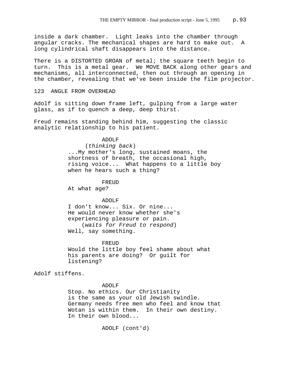inside a dark chamber. Light leaks into the chamber through angular cracks. The mechanical shapes are hard to make out. A long cylindrical shaft disappears into the distance.

There is a DISTORTED GROAN of metal; the square teeth begin to turn. This is a metal gear. We MOVE BACK along other gears and mechanisms, all interconnected, then out through an opening in the chamber, revealing that we've been inside the film projector.

123 ANGLE FROM OVERHEAD

Adolf is sitting down frame left, gulping from a large water glass, as if to quench a deep, deep thirst.

Freud remains standing behind him, suggesting the classic analytic relationship to his patient.

> ADOLF (*thinking back*) ...My mother's long, sustained moans, the shortness of breath, the occasional high, rising voice... What happens to a little boy when he hears such a thing?

FREUD At what age?

ADOLF

I don't know... Six. Or nine... He would never know whether she's experiencing pleasure or pain. (*waits for Freud to respond*) Well, say something.

FREUD Would the little boy feel shame about what his parents are doing? Or guilt for listening?

Adolf stiffens.

ADOLF

Stop. No ethics. Our Christianity is the same as your old Jewish swindle. Germany needs free men who feel and know that Wotan is within them. In their own destiny. In their own blood...

ADOLF (cont'd)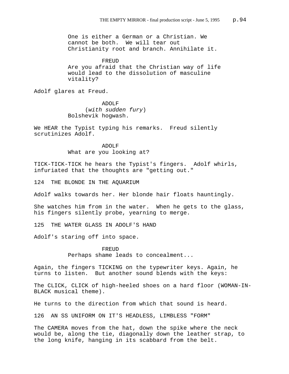One is either a German or a Christian. We cannot be both. We will tear out Christianity root and branch. Annihilate it.

FREUD Are you afraid that the Christian way of life would lead to the dissolution of masculine vitality?

Adolf glares at Freud.

ADOLF (*with sudden fury*) Bolshevik hogwash.

We HEAR the Typist typing his remarks. Freud silently scrutinizes Adolf.

> ADOLF What are you looking at?

TICK-TICK-TICK he hears the Typist's fingers. Adolf whirls, infuriated that the thoughts are "getting out."

124 THE BLONDE IN THE AQUARIUM

Adolf walks towards her. Her blonde hair floats hauntingly.

She watches him from in the water. When he gets to the glass, his fingers silently probe, yearning to merge.

125 THE WATER GLASS IN ADOLF'S HAND

Adolf's staring off into space.

FREUD Perhaps shame leads to concealment...

Again, the fingers TICKING on the typewriter keys. Again, he turns to listen. But another sound blends with the keys:

The CLICK, CLICK of high-heeled shoes on a hard floor (WOMAN-IN-BLACK musical theme).

He turns to the direction from which that sound is heard.

126 AN SS UNIFORM ON IT'S HEADLESS, LIMBLESS "FORM"

The CAMERA moves from the hat, down the spike where the neck would be, along the tie, diagonally down the leather strap, to the long knife, hanging in its scabbard from the belt.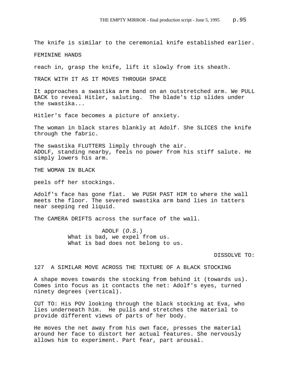The knife is similar to the ceremonial knife established earlier.

FEMININE HANDS

reach in, grasp the knife, lift it slowly from its sheath.

TRACK WITH IT AS IT MOVES THROUGH SPACE

It approaches a swastika arm band on an outstretched arm. We PULL BACK to reveal Hitler, saluting. The blade's tip slides under the swastika...

Hitler's face becomes a picture of anxiety.

The woman in black stares blankly at Adolf. She SLICES the knife through the fabric.

The swastika FLUTTERS limply through the air. ADOLF, standing nearby, feels no power from his stiff salute. He simply lowers his arm.

THE WOMAN IN BLACK

peels off her stockings.

Adolf's face has gone flat. We PUSH PAST HIM to where the wall meets the floor. The severed swastika arm band lies in tatters near seeping red liquid.

The CAMERA DRIFTS across the surface of the wall.

ADOLF (*O.S.*) What is bad, we expel from us. What is bad does not belong to us.

DISSOLVE TO:

# 127 A SIMILAR MOVE ACROSS THE TEXTURE OF A BLACK STOCKING

A shape moves towards the stocking from behind it (towards us). Comes into focus as it contacts the net: Adolf's eyes, turned ninety degrees (vertical).

CUT TO: His POV looking through the black stocking at Eva, who lies underneath him. He pulls and stretches the material to provide different views of parts of her body.

He moves the net away from his own face, presses the material around her face to distort her actual features. She nervously allows him to experiment. Part fear, part arousal.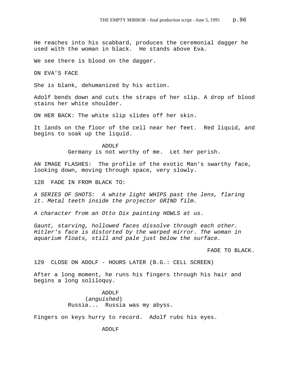He reaches into his scabbard, produces the ceremonial dagger he used with the woman in black. He stands above Eva.

We see there is blood on the dagger.

ON EVA'S FACE

She is blank, dehumanized by his action.

Adolf bends down and cuts the straps of her slip. A drop of blood stains her white shoulder.

ON HER BACK: The white slip slides off her skin.

It lands on the floor of the cell near her feet. Red liquid, and begins to soak up the liquid.

> ADOLF Germany is not worthy of me. Let her perish.

AN IMAGE FLASHES: The profile of the exotic Man's swarthy face, looking down, moving through space, very slowly.

128 FADE IN FROM BLACK TO:

*A SERIES OF SHOTS: A white light WHIPS past the lens, flaring it. Metal teeth inside the projector GRIND film.*

*A character from an Otto Dix painting HOWLS at us.* 

*Gaunt, starving, hollowed faces dissolve through each other. Hitler's face is distorted by the warped mirror. The woman in aquarium floats, still and pale just below the surface.*

FADE TO BLACK.

129 CLOSE ON ADOLF - HOURS LATER (B.G.: CELL SCREEN)

After a long moment, he runs his fingers through his hair and begins a long soliloquy.

> ADOLF (*anguished*) Russia... Russia was my abyss.

Fingers on keys hurry to record. Adolf rubs his eyes.

ADOLF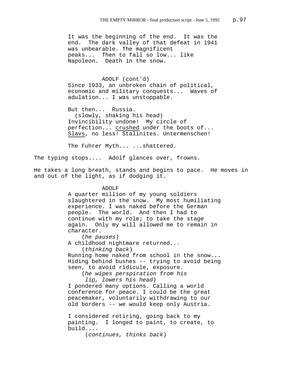It was the beginning of the end. It was the end. The dark valley of that defeat in 1941 was unbearable. The magnificent peaks... Then to fall so low... like Napoleon. Death in the snow.

ADOLF (cont'd) Since 1933, an unbroken chain of political, economic and military conquests... Waves of adulation... I was unstoppable.

But then... Russia. (slowly, shaking his head) Invincibility undone! My circle of perfection... crushed under the boots of... Slavs, no less! Stalinites. Untermenschen!

The Fuhrer Myth... ...shattered.

The typing stops.... Adolf glances over, frowns.

He takes a long breath, stands and begins to pace. He moves in and out of the light, as if dodging it.

#### ADOLF

A quarter million of my young soldiers slaughtered in the snow. My most humiliating experience. I was naked before the German people. The world. And then I had to continue with my role; to take the stage again. Only my will allowed me to remain in character.

(*he pauses*) A childhood nightmare returned...

(*thinking back*)

Running home naked from school in the snow... Hiding behind bushes -- trying to avoid being seen, to avoid ridicule, exposure.

(*he wipes perspiration from his* 

*lip, lowers his head*)

I pondered many options. Calling a world conference for peace. I could be the great peacemaker, voluntarily withdrawing to our old borders -- we would keep only Austria.

I considered retiring, going back to my painting. I longed to paint, to create, to build....

(*continues, thinks back*)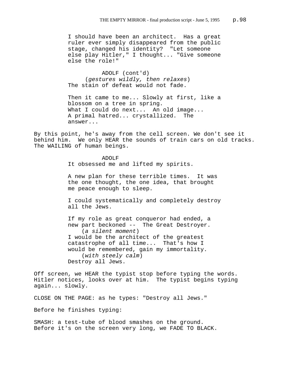I should have been an architect. Has a great ruler ever simply disappeared from the public stage, changed his identity? "Let someone else play Hitler," I thought... "Give someone else the role!"

ADOLF (cont'd) (*gestures wildly, then relaxes*) The stain of defeat would not fade.

Then it came to me... Slowly at first, like a blossom on a tree in spring. What I could do next... An old image... A primal hatred... crystallized. The answer...

By this point, he's away from the cell screen. We don't see it behind him. We only HEAR the sounds of train cars on old tracks. The WAILING of human beings.

> ADOLF It obsessed me and lifted my spirits.

A new plan for these terrible times. It was the one thought, the one idea, that brought me peace enough to sleep.

I could systematically and completely destroy all the Jews.

If my role as great conqueror had ended, a new part beckoned -- The Great Destroyer. (*a silent moment*) I would be the architect of the greatest catastrophe of all time... That's how I would be remembered, gain my immortality. (*with steely calm*) Destroy all Jews.

Off screen, we HEAR the typist stop before typing the words. Hitler notices, looks over at him. The typist begins typing again... slowly.

CLOSE ON THE PAGE: as he types: "Destroy all Jews."

Before he finishes typing:

SMASH: a test-tube of blood smashes on the ground. Before it's on the screen very long, we FADE TO BLACK.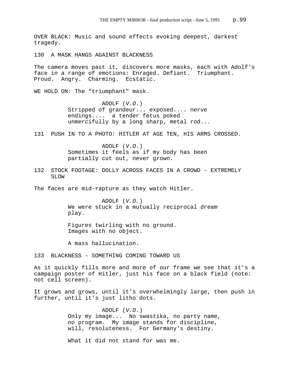OVER BLACK: Music and sound effects evoking deepest, darkest tragedy. 130 A MASK HANGS AGAINST BLACKNESS The camera moves past it, discovers more masks, each with Adolf's face in a range of emotions: Enraged. Defiant. Triumphant. Proud. Angry. Charming. Ecstatic. WE HOLD ON: The "triumphant" mask. ADOLF (*V.O.*) Stripped of grandeur... exposed.... nerve endings.... a tender fetus poked unmercifully by a long sharp, metal rod... 131 PUSH IN TO A PHOTO: HITLER AT AGE TEN, HIS ARMS CROSSED. ADOLF (*V.O.*) Sometimes it feels as if my body has been partially cut out, never grown. 132 STOCK FOOTAGE: DOLLY ACROSS FACES IN A CROWD - EXTREMELY SLOW

The faces are mid-rapture as they watch Hitler.

ADOLF (*V.O.*) We were stuck in a mutually reciprocal dream play.

Figures twirling with no ground. Images with no object.

A mass hallucination.

133 BLACKNESS - SOMETHING COMING TOWARD US

As it quickly fills more and more of our frame we see that it's a campaign poster of Hitler, just his face on a black field (note: not cell screen).

It grows and grows, until it's overwhelmingly large, then push in further, until it's just litho dots.

> ADOLF (*V.O.*) Only my image... No swastika, no party name, no program. My image stands for discipline, will, resoluteness. For Germany's destiny.

What it did not stand for was me.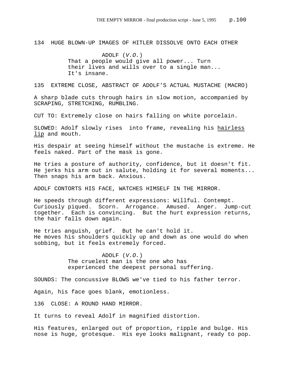134 HUGE BLOWN-UP IMAGES OF HITLER DISSOLVE ONTO EACH OTHER

ADOLF (*V.O.*) That a people would give all power... Turn their lives and wills over to a single man... It's insane.

135 EXTREME CLOSE, ABSTRACT OF ADOLF'S ACTUAL MUSTACHE (MACRO)

A sharp blade cuts through hairs in slow motion, accompanied by SCRAPING, STRETCHING, RUMBLING.

CUT TO: Extremely close on hairs falling on white porcelain.

SLOWED: Adolf slowly rises into frame, revealing his hairless lip and mouth.

His despair at seeing himself without the mustache is extreme. He feels naked. Part of the mask is gone.

He tries a posture of authority, confidence, but it doesn't fit. He jerks his arm out in salute, holding it for several moments... Then snaps his arm back. Anxious.

ADOLF CONTORTS HIS FACE, WATCHES HIMSELF IN THE MIRROR.

He speeds through different expressions: Willful. Contempt. Curiously piqued. Scorn. Arrogance. Amused. Anger. Jump-cut together. Each is convincing. But the hurt expression returns, the hair falls down again.

He tries anguish, grief. But he can't hold it. He moves his shoulders quickly up and down as one would do when sobbing, but it feels extremely forced.

> ADOLF (*V.O.*) The cruelest man is the one who has experienced the deepest personal suffering.

SOUNDS: The concussive BLOWS we've tied to his father terror.

Again, his face goes blank, emotionless.

136 CLOSE: A ROUND HAND MIRROR.

It turns to reveal Adolf in magnified distortion.

His features, enlarged out of proportion, ripple and bulge. His nose is huge, grotesque. His eye looks malignant, ready to pop.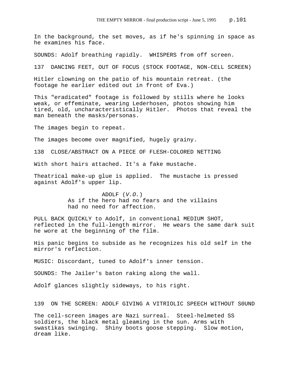In the background, the set moves, as if he's spinning in space as he examines his face.

SOUNDS: Adolf breathing rapidly. WHISPERS from off screen.

137 DANCING FEET, OUT OF FOCUS (STOCK FOOTAGE, NON-CELL SCREEN)

Hitler clowning on the patio of his mountain retreat. (the footage he earlier edited out in front of Eva.)

This "eradicated" footage is followed by stills where he looks weak, or effeminate, wearing Lederhosen, photos showing him tired, old, uncharacteristically Hitler. Photos that reveal the man beneath the masks/personas.

The images begin to repeat.

The images become over magnified, hugely grainy.

138 CLOSE/ABSTRACT ON A PIECE OF FLESH-COLORED NETTING

With short hairs attached. It's a fake mustache.

Theatrical make-up glue is applied. The mustache is pressed against Adolf's upper lip.

> ADOLF (*V.O.*) As if the hero had no fears and the villains had no need for affection.

PULL BACK QUICKLY to Adolf, in conventional MEDIUM SHOT, reflected in the full-length mirror. He wears the same dark suit he wore at the beginning of the film.

His panic begins to subside as he recognizes his old self in the mirror's reflection.

MUSIC: Discordant, tuned to Adolf's inner tension.

SOUNDS: The Jailer's baton raking along the wall.

Adolf glances slightly sideways, to his right.

139 ON THE SCREEN: ADOLF GIVING A VITRIOLIC SPEECH WITHOUT S0UND

The cell-screen images are Nazi surreal. Steel-helmeted SS soldiers, the black metal gleaming in the sun. Arms with swastikas swinging. Shiny boots goose stepping. Slow motion, dream like.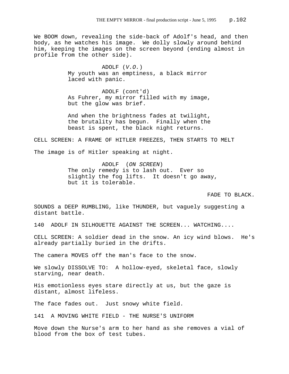We BOOM down, revealing the side-back of Adolf's head, and then body, as he watches his image. We dolly slowly around behind him, keeping the images on the screen beyond (ending almost in profile from the other side).

> ADOLF (*V.O.*) My youth was an emptiness, a black mirror laced with panic.

ADOLF (cont'd) As Fuhrer, my mirror filled with my image, but the glow was brief.

And when the brightness fades at twilight, the brutality has begun. Finally when the beast is spent, the black night returns.

CELL SCREEN: A FRAME OF HITLER FREEZES, THEN STARTS TO MELT

The image is of Hitler speaking at night.

ADOLF (*ON SCREEN*) The only remedy is to lash out. Ever so slightly the fog lifts. It doesn't go away, but it is tolerable.

FADE TO BLACK.

SOUNDS a DEEP RUMBLING, like THUNDER, but vaguely suggesting a distant battle.

140 ADOLF IN SILHOUETTE AGAINST THE SCREEN... WATCHING....

CELL SCREEN: A soldier dead in the snow. An icy wind blows. He's already partially buried in the drifts.

The camera MOVES off the man's face to the snow.

We slowly DISSOLVE TO: A hollow-eyed, skeletal face, slowly starving, near death.

His emotionless eyes stare directly at us, but the gaze is distant, almost lifeless.

The face fades out. Just snowy white field.

141 A MOVING WHITE FIELD - THE NURSE'S UNIFORM

Move down the Nurse's arm to her hand as she removes a vial of blood from the box of test tubes.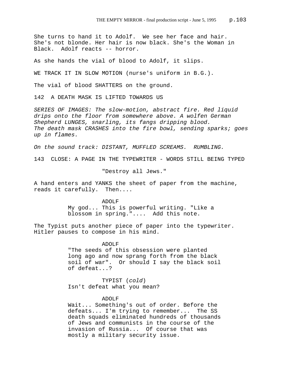She turns to hand it to Adolf. We see her face and hair. She's not blonde. Her hair is now black. She's the Woman in Black. Adolf reacts -- horror.

As she hands the vial of blood to Adolf, it slips.

WE TRACK IT IN SLOW MOTION (nurse's uniform in B.G.).

The vial of blood SHATTERS on the ground.

142 A DEATH MASK IS LIFTED TOWARDS US

*SERIES OF IMAGES: The slow-motion, abstract fire. Red liquid drips onto the floor from somewhere above. A wolfen German Shepherd LUNGES, snarling, its fangs dripping blood. The death mask CRASHES into the fire bowl, sending sparks; goes up in flames.* 

*On the sound track: DISTANT, MUFFLED SCREAMS. RUMBLING.*

143 CLOSE: A PAGE IN THE TYPEWRITER - WORDS STILL BEING TYPED

"Destroy all Jews."

A hand enters and YANKS the sheet of paper from the machine, reads it carefully. Then....

> ADOLF My god... This is powerful writing. "Like a blossom in spring.".... Add this note.

The Typist puts another piece of paper into the typewriter. Hitler pauses to compose in his mind.

> ADOLF "The seeds of this obsession were planted long ago and now sprang forth from the black soil of war". Or should I say the black soil of defeat...?

TYPIST (*cold*) Isn't defeat what you mean?

## ADOLF

Wait... Something's out of order. Before the defeats... I'm trying to remember... The SS death squads eliminated hundreds of thousands of Jews and communists in the course of the invasion of Russia... Of course that was mostly a military security issue.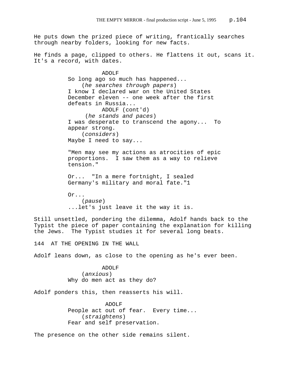He puts down the prized piece of writing, frantically searches through nearby folders, looking for new facts.

He finds a page, clipped to others. He flattens it out, scans it. It's a record, with dates.

> ADOLF So long ago so much has happened... (*he searches through papers*) I know I declared war on the United States December eleven -- one week after the first defeats in Russia... ADOLF (cont'd) (*he stands and paces*) I was desperate to transcend the agony... To appear strong. (*considers*) Maybe I need to say...

> "Men may see my actions as atrocities of epic proportions. I saw them as a way to relieve tension."

Or... "In a mere fortnight, I sealed Germany's military and moral fate."1

Or... (*pause*) ...let's just leave it the way it is.

Still unsettled, pondering the dilemma, Adolf hands back to the Typist the piece of paper containing the explanation for killing the Jews. The Typist studies it for several long beats.

144 AT THE OPENING IN THE WALL

Adolf leans down, as close to the opening as he's ever been.

ADOLF (*anxious*) Why do men act as they do?

Adolf ponders this, then reasserts his will.

 ADOLF People act out of fear. Every time... (*straightens*) Fear and self preservation.

The presence on the other side remains silent.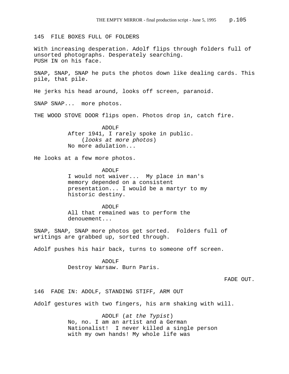145 FILE BOXES FULL OF FOLDERS

With increasing desperation. Adolf flips through folders full of unsorted photographs. Desperately searching. PUSH IN on his face.

SNAP, SNAP, SNAP he puts the photos down like dealing cards. This pile, that pile.

He jerks his head around, looks off screen, paranoid.

SNAP SNAP... more photos.

THE WOOD STOVE DOOR flips open. Photos drop in, catch fire.

ADOLF After 1941, I rarely spoke in public. (*looks at more photos*) No more adulation...

He looks at a few more photos.

ADOLF I would not waiver... My place in man's memory depended on a consistent presentation... I would be a martyr to my historic destiny.

ADOLF All that remained was to perform the denouement...

SNAP, SNAP, SNAP more photos get sorted. Folders full of writings are grabbed up, sorted through.

Adolf pushes his hair back, turns to someone off screen.

ADOLF Destroy Warsaw. Burn Paris.

FADE OUT.

146 FADE IN: ADOLF, STANDING STIFF, ARM OUT

Adolf gestures with two fingers, his arm shaking with will.

ADOLF (*at the Typist*) No, no. I am an artist and a German Nationalist! I never killed a single person with my own hands! My whole life was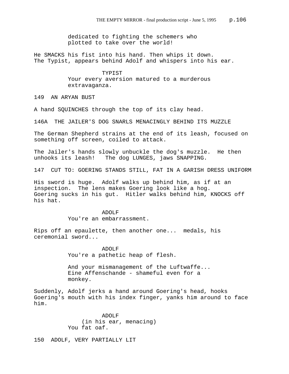dedicated to fighting the schemers who plotted to take over the world!

He SMACKS his fist into his hand. Then whips it down. The Typist, appears behind Adolf and whispers into his ear.

> TYPIST Your every aversion matured to a murderous extravaganza.

149 AN ARYAN BUST

A hand SQUINCHES through the top of its clay head.

146A THE JAILER'S DOG SNARLS MENACINGLY BEHIND ITS MUZZLE

The German Shepherd strains at the end of its leash, focused on something off screen, coiled to attack.

The Jailer's hands slowly unbuckle the dog's muzzle. He then unhooks its leash! The dog LUNGES, jaws SNAPPING.

147 CUT TO: GOERING STANDS STILL, FAT IN A GARISH DRESS UNIFORM

His sword is huge. Adolf walks up behind him, as if at an inspection. The lens makes Goering look like a hog. Goering sucks in his gut. Hitler walks behind him, KNOCKS off his hat.

> ADOLF You're an embarrassment.

Rips off an epaulette, then another one... medals, his ceremonial sword...

> ADOLF You're a pathetic heap of flesh.

And your mismanagement of the Luftwaffe... Eine Affenschande - shameful even for a monkey.

Suddenly, Adolf jerks a hand around Goering's head, hooks Goering's mouth with his index finger, yanks him around to face him.

> ADOLF (in his ear, menacing) You fat oaf.

150 ADOLF, VERY PARTIALLY LIT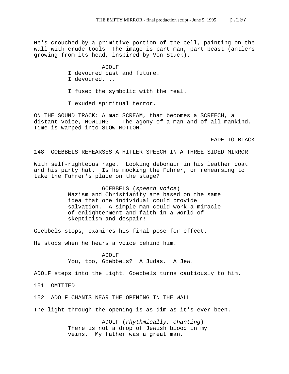He's crouched by a primitive portion of the cell, painting on the wall with crude tools. The image is part man, part beast (antlers growing from its head, inspired by Von Stuck).

#### ADOLF

- I devoured past and future.
- I devoured....
- I fused the symbolic with the real.
- I exuded spiritual terror.

ON THE SOUND TRACK: A mad SCREAM, that becomes a SCREECH, a distant voice, HOWLING -- The agony of a man and of all mankind. Time is warped into SLOW MOTION.

FADE TO BLACK

# 148 GOEBBELS REHEARSES A HITLER SPEECH IN A THREE-SIDED MIRROR

With self-righteous rage. Looking debonair in his leather coat and his party hat. Is he mocking the Fuhrer, or rehearsing to take the Fuhrer's place on the stage?

> GOEBBELS (*speech voice*) Nazism and Christianity are based on the same idea that one individual could provide salvation. A simple man could work a miracle of enlightenment and faith in a world of skepticism and despair!

Goebbels stops, examines his final pose for effect.

He stops when he hears a voice behind him.

ADOLF You, too, Goebbels? A Judas. A Jew.

ADOLF steps into the light. Goebbels turns cautiously to him.

151 OMITTED

152 ADOLF CHANTS NEAR THE OPENING IN THE WALL

The light through the opening is as dim as it's ever been.

ADOLF (*rhythmically, chanting*) There is not a drop of Jewish blood in my veins. My father was a great man.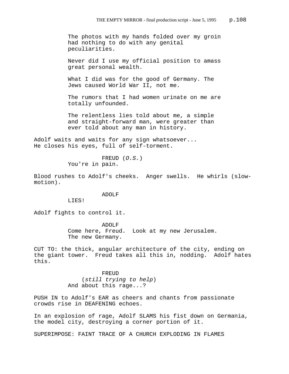The photos with my hands folded over my groin had nothing to do with any genital peculiarities.

Never did I use my official position to amass great personal wealth.

What I did was for the good of Germany. The Jews caused World War II, not me.

The rumors that I had women urinate on me are totally unfounded.

The relentless lies told about me, a simple and straight-forward man, were greater than ever told about any man in history.

Adolf waits and waits for any sign whatsoever... He closes his eyes, full of self-torment.

> FREUD (*O.S.*) You're in pain.

Blood rushes to Adolf's cheeks. Anger swells. He whirls (slowmotion).

ADOLF

LIES!

Adolf fights to control it.

ADOLF Come here, Freud. Look at my new Jerusalem. The new Germany.

CUT TO: the thick, angular architecture of the city, ending on the giant tower. Freud takes all this in, nodding. Adolf hates this.

> FREUD (*still trying to help*) And about this rage...?

PUSH IN to Adolf's EAR as cheers and chants from passionate crowds rise in DEAFENING echoes.

In an explosion of rage, Adolf SLAMS his fist down on Germania, the model city, destroying a corner portion of it.

SUPERIMPOSE: FAINT TRACE OF A CHURCH EXPLODING IN FLAMES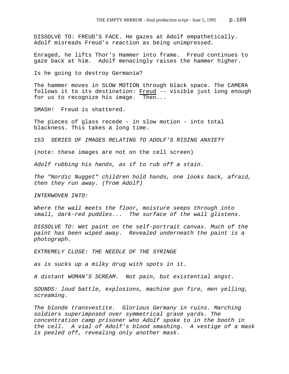DISSOLVE TO: FREUD'S FACE. He gazes at Adolf empathetically. Adolf misreads Freud's reaction as being unimpressed.

Enraged, he lifts Thor's Hammer into frame. Freud continues to gaze back at him. Adolf menacingly raises the hammer higher.

Is he going to destroy Germania?

The hammer moves in SLOW MOTION through black space. The CAMERA follows it to its destination: Freud -- visible just long enough for us to recognize his image. Then...

SMASH! Freud is shattered.

The pieces of glass recede - in slow motion - into total blackness. This takes a long time.

153 *SERIES OF IMAGES RELATING TO ADOLF'S RISING ANXIETY*

(note: these images are not on the cell screen)

*Adolf rubbing his hands, as if to rub off a stain.* 

*The "Nordic Nugget" children hold hands, one looks back, afraid, then they run away. (from Adolf)*

*INTERWOVEN INTO:*

*Where the wall meets the floor, moisture seeps through into small, dark-red puddles... The surface of the wall glistens.*

*DISSOLVE TO: Wet paint on the self-portrait canvas. Much of the paint has been wiped away. Revealed underneath the paint is a photograph.* 

*EXTREMELY CLOSE: THE NEEDLE OF THE SYRINGE*

*as is sucks up a milky drug with spots in it.* 

*A distant WOMAN'S SCREAM. Not pain, but existential angst.*

*SOUNDS: loud battle, explosions, machine gun fire, men yelling, screaming.* 

*The blonde transvestite. Glorious Germany in ruins. Marching soldiers superimposed over symmetrical grave yards. The concentration camp prisoner who Adolf spoke to in the booth in the cell. A vial of Adolf's blood smashing. A vestige of a mask is peeled off, revealing only another mask.*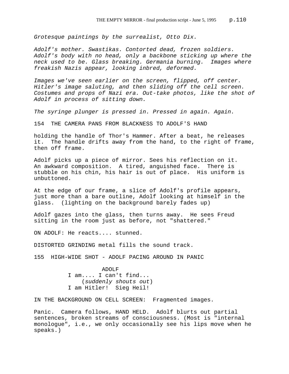*Grotesque paintings by the surrealist, Otto Dix.* 

*Adolf's mother. Swastikas. Contorted dead, frozen soldiers. Adolf's body with no head, only a backbone sticking up where the neck used to be. Glass breaking. Germania burning. Images where freakish Nazis appear, looking inbred, deformed.* 

*Images we've seen earlier on the screen, flipped, off center. Hitler's image saluting, and then sliding off the cell screen. Costumes and props of Nazi era. Out-take photos, like the shot of Adolf in process of sitting down.* 

*The syringe plunger is pressed in. Pressed in again. Again.*

154 THE CAMERA PANS FROM BLACKNESS TO ADOLF'S HAND

holding the handle of Thor's Hammer. After a beat, he releases it. The handle drifts away from the hand, to the right of frame, then off frame.

Adolf picks up a piece of mirror. Sees his reflection on it. An awkward composition. A tired, anguished face. There is stubble on his chin, his hair is out of place. His uniform is unbuttoned.

At the edge of our frame, a slice of Adolf's profile appears, just more than a bare outline, Adolf looking at himself in the glass. (lighting on the background barely fades up)

Adolf gazes into the glass, then turns away. He sees Freud sitting in the room just as before, not "shattered."

ON ADOLF: He reacts.... stunned.

DISTORTED GRINDING metal fills the sound track.

155 HIGH-WIDE SHOT - ADOLF PACING AROUND IN PANIC

ADOLF I am.... I can't find... (*suddenly shouts out*) I am Hitler! Sieg Heil!

IN THE BACKGROUND ON CELL SCREEN: Fragmented images.

Panic. Camera follows, HAND HELD. Adolf blurts out partial sentences, broken streams of consciousness. (Most is "internal monologue", i.e., we only occasionally see his lips move when he speaks.)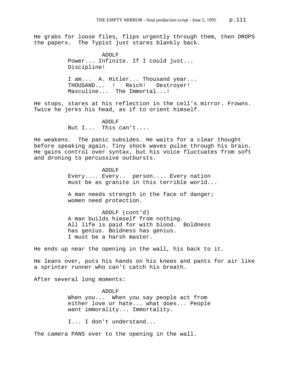He grabs for loose files, flips urgently through them, then DROPS the papers. The Typist just stares blankly back.

> ADOLF Power... Infinite. If I could just... Discipline!

I am... A. Hitler... Thousand year... THOUSAND... ! Reich! Destroyer! Masculine... The Immortal...!

He stops, stares at his reflection in the cell's mirror. Frowns. Twice he jerks his head, as if to orient himself.

> ADOLF But I... This can't....

He weakens. The panic subsides. He waits for a clear thought before speaking again. Tiny shock waves pulse through his brain. He gains control over syntax, but his voice fluctuates from soft and droning to percussive outbursts.

> ADOLF Every.... Every.. person.... Every nation must be as granite in this terrible world...

A man needs strength in the face of danger; women need protection.

ADOLF (cont'd) A man builds himself from nothing. All life is paid for with blood. Boldness has genius. Boldness has genius. I must be a harsh master.

He ends up near the opening in the wall, his back to it.

He leans over, puts his hands on his knees and pants for air like a sprinter runner who can't catch his breath.

After several long moments:

ADOLF When you... When you say people act from either love or hate... what does... People want immorality... Immortality.

I... I don't understand...

The camera PANS over to the opening in the wall.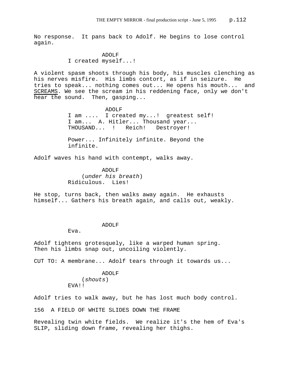No response. It pans back to Adolf. He begins to lose control again.

> ADOLF I created myself...!

A violent spasm shoots through his body, his muscles clenching as his nerves misfire. His limbs contort, as if in seizure. He tries to speak... nothing comes out... He opens his mouth... and SCREAMS. We see the scream in his reddening face, only we don't hear the sound. Then, gasping...

> ADOLF I am .... I created my...! greatest self! I am... A. Hitler... Thousand year... THOUSAND... ! Reich! Destroyer!

Power... Infinitely infinite. Beyond the infinite.

Adolf waves his hand with contempt, walks away.

ADOLF (*under his breath*) Ridiculous. Lies!

He stop, turns back, then walks away again. He exhausts himself... Gathers his breath again, and calls out, weakly.

## ADOLF

Eva.

Adolf tightens grotesquely, like a warped human spring. Then his limbs snap out, uncoiling violently.

CUT TO: A membrane... Adolf tears through it towards us...

ADOLF (*shouts*) EVA!!

Adolf tries to walk away, but he has lost much body control.

156 A FIELD OF WHITE SLIDES DOWN THE FRAME

Revealing twin white fields. We realize it's the hem of Eva's SLIP, sliding down frame, revealing her thighs.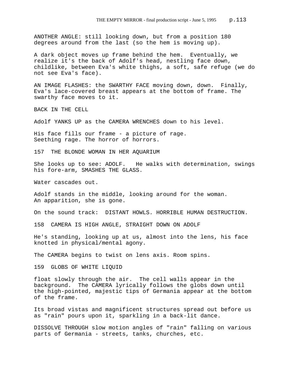ANOTHER ANGLE: still looking down, but from a position 180 degrees around from the last (so the hem is moving up).

A dark object moves up frame behind the hem. Eventually, we realize it's the back of Adolf's head, nestling face down, childlike, between Eva's white thighs, a soft, safe refuge (we do not see Eva's face).

AN IMAGE FLASHES: the SWARTHY FACE moving down, down. Finally, Eva's lace-covered breast appears at the bottom of frame. The swarthy face moves to it.

BACK IN THE CELL

Adolf YANKS UP as the CAMERA WRENCHES down to his level.

His face fills our frame - a picture of rage. Seething rage. The horror of horrors.

157 THE BLONDE WOMAN IN HER AQUARIUM

She looks up to see: ADOLF. He walks with determination, swings his fore-arm, SMASHES THE GLASS.

Water cascades out.

Adolf stands in the middle, looking around for the woman. An apparition, she is gone.

On the sound track: DISTANT HOWLS. HORRIBLE HUMAN DESTRUCTION.

158 CAMERA IS HIGH ANGLE, STRAIGHT DOWN ON ADOLF

He's standing, looking up at us, almost into the lens, his face knotted in physical/mental agony.

The CAMERA begins to twist on lens axis. Room spins.

159 GLOBS OF WHITE LIQUID

float slowly through the air. The cell walls appear in the background. The CAMERA lyrically follows the globs down until the high-pointed, majestic tips of Germania appear at the bottom of the frame.

Its broad vistas and magnificent structures spread out before us as "rain" pours upon it, sparkling in a back-lit dance.

DISSOLVE THROUGH slow motion angles of "rain" falling on various parts of Germania - streets, tanks, churches, etc.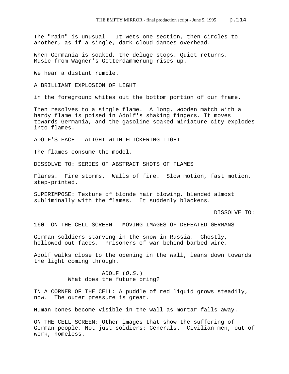The "rain" is unusual. It wets one section, then circles to another, as if a single, dark cloud dances overhead.

When Germania is soaked, the deluge stops. Quiet returns. Music from Wagner's Gotterdammerung rises up.

We hear a distant rumble.

A BRILLIANT EXPLOSION OF LIGHT

in the foreground whites out the bottom portion of our frame.

Then resolves to a single flame. A long, wooden match with a hardy flame is poised in Adolf's shaking fingers. It moves towards Germania, and the gasoline-soaked miniature city explodes into flames.

ADOLF'S FACE - ALIGHT WITH FLICKERING LIGHT

The flames consume the model.

DISSOLVE TO: SERIES OF ABSTRACT SHOTS OF FLAMES

Flares. Fire storms. Walls of fire. Slow motion, fast motion, step-printed.

SUPERIMPOSE: Texture of blonde hair blowing, blended almost subliminally with the flames. It suddenly blackens.

DISSOLVE TO:

160 ON THE CELL-SCREEN - MOVING IMAGES OF DEFEATED GERMANS

German soldiers starving in the snow in Russia. Ghostly, hollowed-out faces. Prisoners of war behind barbed wire.

Adolf walks close to the opening in the wall, leans down towards the light coming through.

> ADOLF (*O.S.*) What does the future bring?

IN A CORNER OF THE CELL: A puddle of red liquid grows steadily, now. The outer pressure is great.

Human bones become visible in the wall as mortar falls away.

ON THE CELL SCREEN: Other images that show the suffering of German people. Not just soldiers: Generals. Civilian men, out of work, homeless.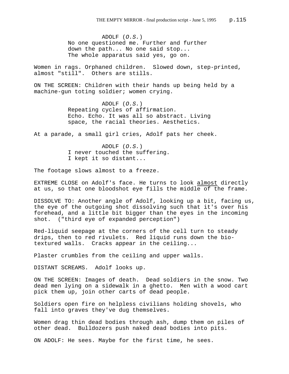ADOLF (*O.S.*) No one questioned me. Further and further down the path... No one said stop... The whole apparatus said yes, go on.

Women in rags. Orphaned children. Slowed down, step-printed, almost "still". Others are stills.

ON THE SCREEN: Children with their hands up being held by a machine-gun toting soldier; women crying.

> ADOLF (*O.S.*) Repeating cycles of affirmation. Echo. Echo. It was all so abstract. Living space, the racial theories. Aesthetics.

At a parade, a small girl cries, Adolf pats her cheek.

ADOLF (*O.S.*) I never touched the suffering. I kept it so distant...

The footage slows almost to a freeze.

EXTREME CLOSE on Adolf's face. He turns to look almost directly at us, so that one bloodshot eye fills the middle of the frame.

DISSOLVE TO: Another angle of Adolf, looking up a bit, facing us, the eye of the outgoing shot dissolving such that it's over his forehead, and a little bit bigger than the eyes in the incoming shot. ("third eye of expanded perception")

Red-liquid seepage at the corners of the cell turn to steady drips, then to red rivulets. Red liquid runs down the biotextured walls. Cracks appear in the ceiling...

Plaster crumbles from the ceiling and upper walls.

DISTANT SCREAMS. Adolf looks up.

ON THE SCREEN: Images of death. Dead soldiers in the snow. Two dead men lying on a sidewalk in a ghetto. Men with a wood cart pick them up, join other carts of dead people.

Soldiers open fire on helpless civilians holding shovels, who fall into graves they've dug themselves.

Women drag thin dead bodies through ash, dump them on piles of other dead. Bulldozers push naked dead bodies into pits.

ON ADOLF: He sees. Maybe for the first time, he sees.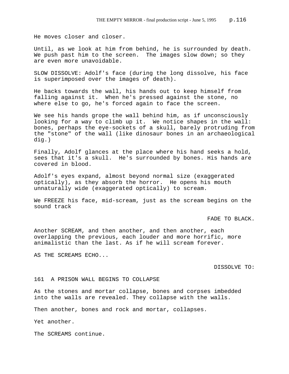He moves closer and closer.

Until, as we look at him from behind, he is surrounded by death. We push past him to the screen. The images slow down; so they are even more unavoidable.

SLOW DISSOLVE: Adolf's face (during the long dissolve, his face is superimposed over the images of death).

He backs towards the wall, his hands out to keep himself from falling against it. When he's pressed against the stone, no where else to go, he's forced again to face the screen.

We see his hands grope the wall behind him, as if unconsciously looking for a way to climb up it. We notice shapes in the wall: bones, perhaps the eye-sockets of a skull, barely protruding from the "stone" of the wall (like dinosaur bones in an archaeological dig.)

Finally, Adolf glances at the place where his hand seeks a hold, sees that it's a skull. He's surrounded by bones. His hands are covered in blood.

Adolf's eyes expand, almost beyond normal size (exaggerated optically), as they absorb the horror. He opens his mouth unnaturally wide (exaggerated optically) to scream.

We FREEZE his face, mid-scream, just as the scream begins on the sound track

FADE TO BLACK.

Another SCREAM, and then another, and then another, each overlapping the previous, each louder and more horrific, more animalistic than the last. As if he will scream forever.

AS THE SCREAMS ECHO...

DISSOLVE TO:

161 A PRISON WALL BEGINS TO COLLAPSE

As the stones and mortar collapse, bones and corpses imbedded into the walls are revealed. They collapse with the walls.

Then another, bones and rock and mortar, collapses.

Yet another.

The SCREAMS continue.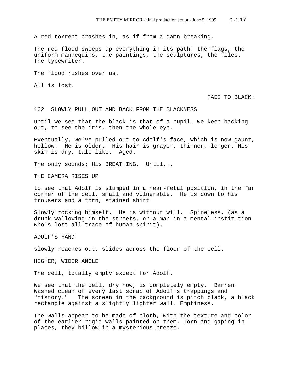A red torrent crashes in, as if from a damn breaking.

The red flood sweeps up everything in its path: the flags, the uniform mannequins, the paintings, the sculptures, the files. The typewriter.

The flood rushes over us.

All is lost.

FADE TO BLACK:

162 SLOWLY PULL OUT AND BACK FROM THE BLACKNESS

until we see that the black is that of a pupil. We keep backing out, to see the iris, then the whole eye.

Eventually, we've pulled out to Adolf's face, which is now gaunt, hollow. He is older. His hair is grayer, thinner, longer. His skin is dry, talc-like. Aged.

The only sounds: His BREATHING. Until...

THE CAMERA RISES UP

to see that Adolf is slumped in a near-fetal position, in the far corner of the cell, small and vulnerable. He is down to his trousers and a torn, stained shirt.

Slowly rocking himself. He is without will. Spineless. (as a drunk wallowing in the streets, or a man in a mental institution who's lost all trace of human spirit).

ADOLF'S HAND

slowly reaches out, slides across the floor of the cell.

HIGHER, WIDER ANGLE

The cell, totally empty except for Adolf.

We see that the cell, dry now, is completely empty. Barren. Washed clean of every last scrap of Adolf's trappings and "history." The screen in the background is pitch black, a black rectangle against a slightly lighter wall. Emptiness.

The walls appear to be made of cloth, with the texture and color of the earlier rigid walls painted on them. Torn and gaping in places, they billow in a mysterious breeze.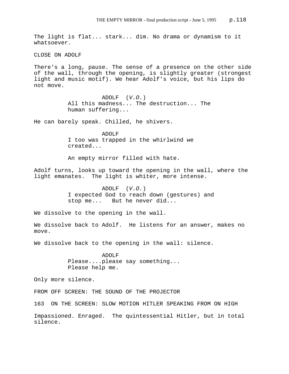The light is flat... stark... dim. No drama or dynamism to it whatsoever.

CLOSE ON ADOLF

There's a long, pause. The sense of a presence on the other side of the wall, through the opening, is slightly greater (strongest light and music motif). We hear Adolf's voice, but his lips do not move.

> ADOLF (*V.O.*) All this madness... The destruction... The human suffering...

He can barely speak. Chilled, he shivers.

ADOLF I too was trapped in the whirlwind we created...

An empty mirror filled with hate.

Adolf turns, looks up toward the opening in the wall, where the light emanates. The light is whiter, more intense.

> ADOLF (*V.O.*) I expected God to reach down (gestures) and stop me... But he never did...

We dissolve to the opening in the wall.

We dissolve back to Adolf. He listens for an answer, makes no move.

We dissolve back to the opening in the wall: silence.

ADOLF Please....please say something... Please help me.

Only more silence.

FROM OFF SCREEN: THE SOUND OF THE PROJECTOR

163 ON THE SCREEN: SLOW MOTION HITLER SPEAKING FROM ON HIGH

Impassioned. Enraged. The quintessential Hitler, but in total silence.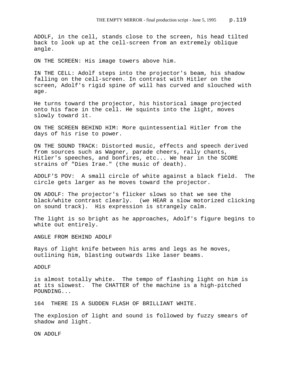ADOLF, in the cell, stands close to the screen, his head tilted back to look up at the cell-screen from an extremely oblique angle.

ON THE SCREEN: His image towers above him.

IN THE CELL: Adolf steps into the projector's beam, his shadow falling on the cell-screen. In contrast with Hitler on the screen, Adolf's rigid spine of will has curved and slouched with age.

He turns toward the projector, his historical image projected onto his face in the cell. He squints into the light, moves slowly toward it.

ON THE SCREEN BEHIND HIM: More quintessential Hitler from the days of his rise to power.

ON THE SOUND TRACK: Distorted music, effects and speech derived from sources such as Wagner, parade cheers, rally chants, Hitler's speeches, and bonfires, etc... We hear in the SCORE strains of "Dies Irae." (the music of death).

ADOLF'S POV: A small circle of white against a black field. The circle gets larger as he moves toward the projector.

ON ADOLF: The projector's flicker slows so that we see the black/white contrast clearly. (we HEAR a slow motorized clicking on sound track). His expression is strangely calm.

The light is so bright as he approaches, Adolf's figure begins to white out entirely.

ANGLE FROM BEHIND ADOLF

Rays of light knife between his arms and legs as he moves, outlining him, blasting outwards like laser beams.

ADOLF

is almost totally white. The tempo of flashing light on him is at its slowest. The CHATTER of the machine is a high-pitched POUNDING...

164 THERE IS A SUDDEN FLASH OF BRILLIANT WHITE.

The explosion of light and sound is followed by fuzzy smears of shadow and light.

ON ADOLF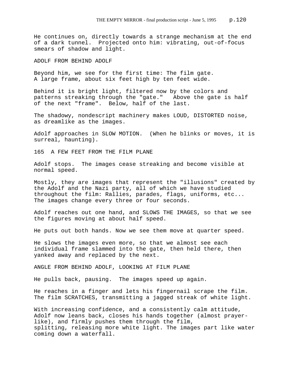He continues on, directly towards a strange mechanism at the end of a dark tunnel. Projected onto him: vibrating, out-of-focus smears of shadow and light.

ADOLF FROM BEHIND ADOLF

Beyond him, we see for the first time: The film gate. A large frame, about six feet high by ten feet wide.

Behind it is bright light, filtered now by the colors and patterns streaking through the "gate." Above the gate is half of the next "frame". Below, half of the last.

The shadowy, nondescript machinery makes LOUD, DISTORTED noise, as dreamlike as the images.

Adolf approaches in SLOW MOTION. (When he blinks or moves, it is surreal, haunting).

165 A FEW FEET FROM THE FILM PLANE

Adolf stops. The images cease streaking and become visible at normal speed.

Mostly, they are images that represent the "illusions" created by the Adolf and the Nazi party, all of which we have studied throughout the film: Rallies, parades, flags, uniforms, etc... The images change every three or four seconds.

Adolf reaches out one hand, and SLOWS THE IMAGES, so that we see the figures moving at about half speed.

He puts out both hands. Now we see them move at quarter speed.

He slows the images even more, so that we almost see each individual frame slammed into the gate, then held there, then yanked away and replaced by the next.

ANGLE FROM BEHIND ADOLF, LOOKING AT FILM PLANE

He pulls back, pausing. The images speed up again.

He reaches in a finger and lets his fingernail scrape the film. The film SCRATCHES, transmitting a jagged streak of white light.

With increasing confidence, and a consistently calm attitude, Adolf now leans back, closes his hands together (almost prayerlike), and firmly pushes them through the film, splitting, releasing more white light. The images part like water coming down a waterfall.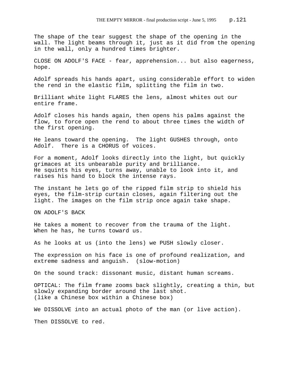The shape of the tear suggest the shape of the opening in the wall. The light beams through it, just as it did from the opening in the wall, only a hundred times brighter.

CLOSE ON ADOLF'S FACE - fear, apprehension... but also eagerness, hope.

Adolf spreads his hands apart, using considerable effort to widen the rend in the elastic film, splitting the film in two.

Brilliant white light FLARES the lens, almost whites out our entire frame.

Adolf closes his hands again, then opens his palms against the flow, to force open the rend to about three times the width of the first opening.

He leans toward the opening. The light GUSHES through, onto Adolf. There is a CHORUS of voices.

For a moment, Adolf looks directly into the light, but quickly grimaces at its unbearable purity and brilliance. He squints his eyes, turns away, unable to look into it, and raises his hand to block the intense rays.

The instant he lets go of the ripped film strip to shield his eyes, the film-strip curtain closes, again filtering out the light. The images on the film strip once again take shape.

ON ADOLF'S BACK

He takes a moment to recover from the trauma of the light. When he has, he turns toward us.

As he looks at us (into the lens) we PUSH slowly closer.

The expression on his face is one of profound realization, and extreme sadness and anguish. (slow-motion)

On the sound track: dissonant music, distant human screams.

OPTICAL: The film frame zooms back slightly, creating a thin, but slowly expanding border around the last shot. (like a Chinese box within a Chinese box)

We DISSOLVE into an actual photo of the man (or live action).

Then DISSOLVE to red.